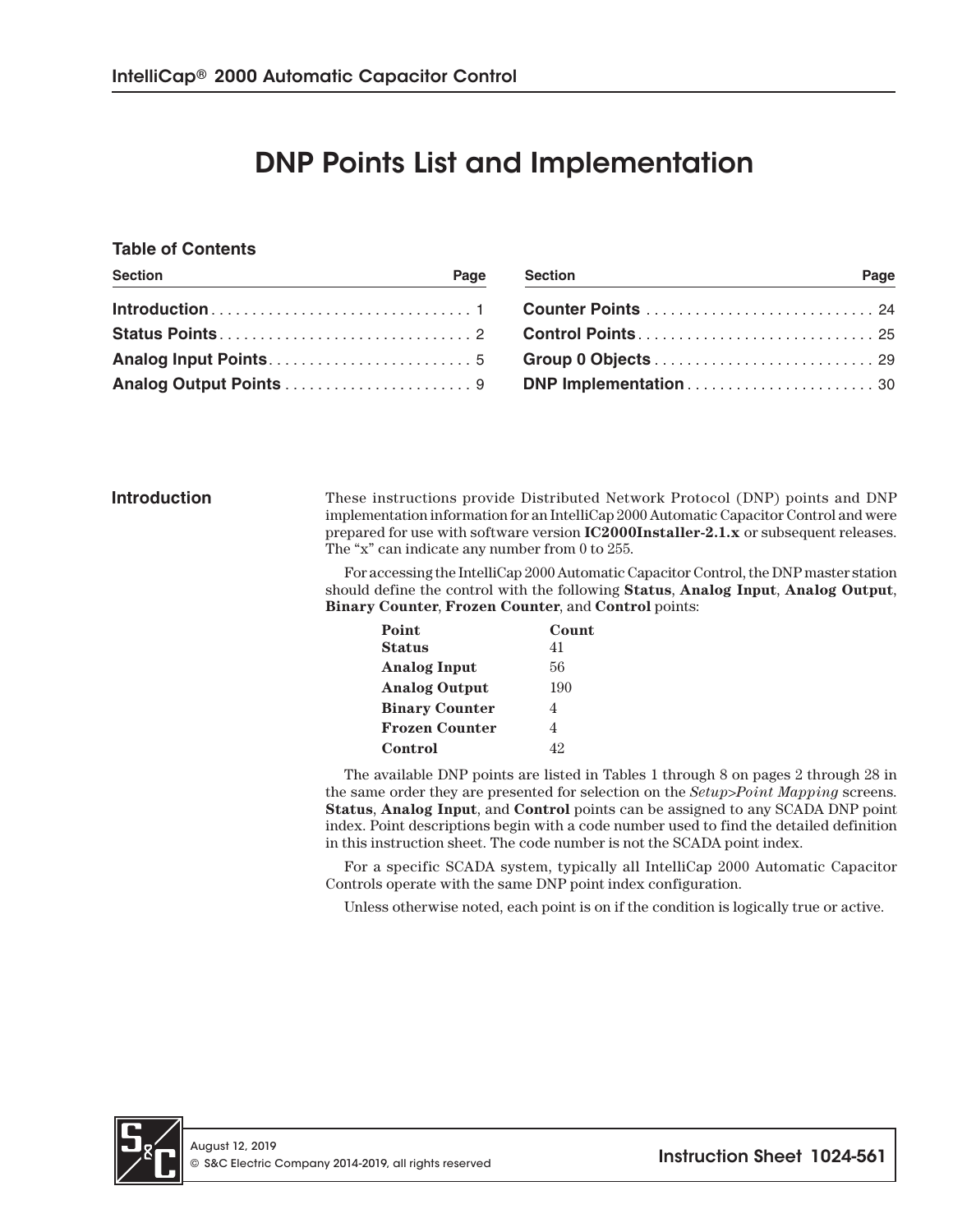# DNP Points List and Implementation

#### **Table of Contents**

| <b>Section</b> | Page | <b>Section</b> | Page |
|----------------|------|----------------|------|
|                |      |                |      |
|                |      |                |      |
|                |      |                |      |
|                |      |                |      |

**Introduction** These instructions provide Distributed Network Protocol (DNP) points and DNP implementation information for an IntelliCap 2000 Automatic Capacitor Control and were prepared for use with software version **IC2000Installer-2.1.x** or subsequent releases. The "x" can indicate any number from 0 to 255.

> For accessing the IntelliCap 2000 Automatic Capacitor Control, the DNP master station should define the control with the following **Status**, **Analog Input**, **Analog Output**, **Binary Counter**, **Frozen Counter**, and **Control** points:

| Point                 | Count |
|-----------------------|-------|
| <b>Status</b>         | 41    |
| <b>Analog Input</b>   | 56    |
| <b>Analog Output</b>  | 190   |
| <b>Binary Counter</b> | 4     |
| <b>Frozen Counter</b> | 4     |
| Control               | 42    |

The available DNP points are listed in Tables 1 through 8 on pages 2 through 28 in the same order they are presented for selection on the *Setup>Point Mapping* screens. **Status**, **Analog Input**, and **Control** points can be assigned to any SCADA DNP point index. Point descriptions begin with a code number used to find the detailed definition in this instruction sheet. The code number is not the SCADA point index.

For a specific SCADA system, typically all IntelliCap 2000 Automatic Capacitor Controls operate with the same DNP point index configuration.

Unless otherwise noted, each point is on if the condition is logically true or active.

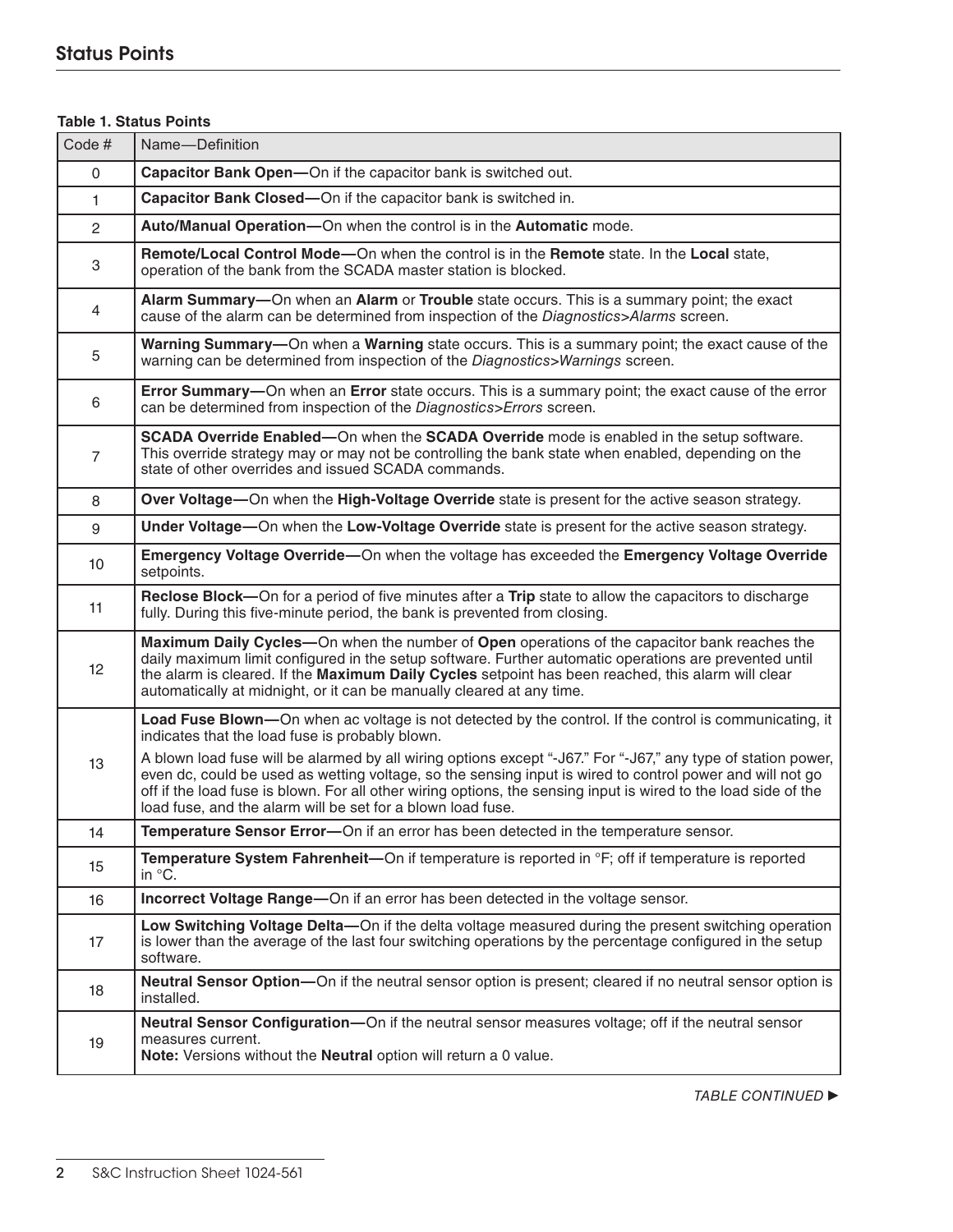## **Table 1. Status Points**

| Code#          | Name-Definition                                                                                                                                                                                                                                                                                                                                                                                              |
|----------------|--------------------------------------------------------------------------------------------------------------------------------------------------------------------------------------------------------------------------------------------------------------------------------------------------------------------------------------------------------------------------------------------------------------|
| 0              | Capacitor Bank Open-On if the capacitor bank is switched out.                                                                                                                                                                                                                                                                                                                                                |
| $\mathbf{1}$   | Capacitor Bank Closed-On if the capacitor bank is switched in.                                                                                                                                                                                                                                                                                                                                               |
| $\overline{2}$ | Auto/Manual Operation-On when the control is in the Automatic mode.                                                                                                                                                                                                                                                                                                                                          |
| 3              | Remote/Local Control Mode-On when the control is in the Remote state. In the Local state,<br>operation of the bank from the SCADA master station is blocked.                                                                                                                                                                                                                                                 |
| 4              | Alarm Summary-On when an Alarm or Trouble state occurs. This is a summary point; the exact<br>cause of the alarm can be determined from inspection of the Diagnostics>Alarms screen.                                                                                                                                                                                                                         |
| 5              | Warning Summary-On when a Warning state occurs. This is a summary point; the exact cause of the<br>warning can be determined from inspection of the Diagnostics>Warnings screen.                                                                                                                                                                                                                             |
| 6              | Error Summary-On when an Error state occurs. This is a summary point; the exact cause of the error<br>can be determined from inspection of the Diagnostics>Errors screen.                                                                                                                                                                                                                                    |
| $\overline{7}$ | SCADA Override Enabled—On when the SCADA Override mode is enabled in the setup software.<br>This override strategy may or may not be controlling the bank state when enabled, depending on the<br>state of other overrides and issued SCADA commands.                                                                                                                                                        |
| 8              | Over Voltage—On when the High-Voltage Override state is present for the active season strategy.                                                                                                                                                                                                                                                                                                              |
| 9              | Under Voltage-On when the Low-Voltage Override state is present for the active season strategy.                                                                                                                                                                                                                                                                                                              |
| 10             | Emergency Voltage Override-On when the voltage has exceeded the Emergency Voltage Override<br>setpoints.                                                                                                                                                                                                                                                                                                     |
| 11             | Reclose Block—On for a period of five minutes after a Trip state to allow the capacitors to discharge<br>fully. During this five-minute period, the bank is prevented from closing.                                                                                                                                                                                                                          |
| 12             | Maximum Daily Cycles—On when the number of Open operations of the capacitor bank reaches the<br>daily maximum limit configured in the setup software. Further automatic operations are prevented until<br>the alarm is cleared. If the Maximum Daily Cycles setpoint has been reached, this alarm will clear<br>automatically at midnight, or it can be manually cleared at any time.                        |
|                | Load Fuse Blown—On when ac voltage is not detected by the control. If the control is communicating, it<br>indicates that the load fuse is probably blown.                                                                                                                                                                                                                                                    |
| 13             | A blown load fuse will be alarmed by all wiring options except "-J67." For "-J67," any type of station power,<br>even dc, could be used as wetting voltage, so the sensing input is wired to control power and will not go<br>off if the load fuse is blown. For all other wiring options, the sensing input is wired to the load side of the<br>load fuse, and the alarm will be set for a blown load fuse. |
| 14             | Temperature Sensor Error-On if an error has been detected in the temperature sensor.                                                                                                                                                                                                                                                                                                                         |
| 15             | Temperature System Fahrenheit—On if temperature is reported in °F; off if temperature is reported<br>in °C.                                                                                                                                                                                                                                                                                                  |
| 16             | Incorrect Voltage Range-On if an error has been detected in the voltage sensor.                                                                                                                                                                                                                                                                                                                              |
| 17             | Low Switching Voltage Delta-On if the delta voltage measured during the present switching operation<br>is lower than the average of the last four switching operations by the percentage configured in the setup<br>software.                                                                                                                                                                                |
| 18             | Neutral Sensor Option-On if the neutral sensor option is present; cleared if no neutral sensor option is<br>installed.                                                                                                                                                                                                                                                                                       |
| 19             | Neutral Sensor Configuration-On if the neutral sensor measures voltage; off if the neutral sensor<br>measures current.<br>Note: Versions without the Neutral option will return a 0 value.                                                                                                                                                                                                                   |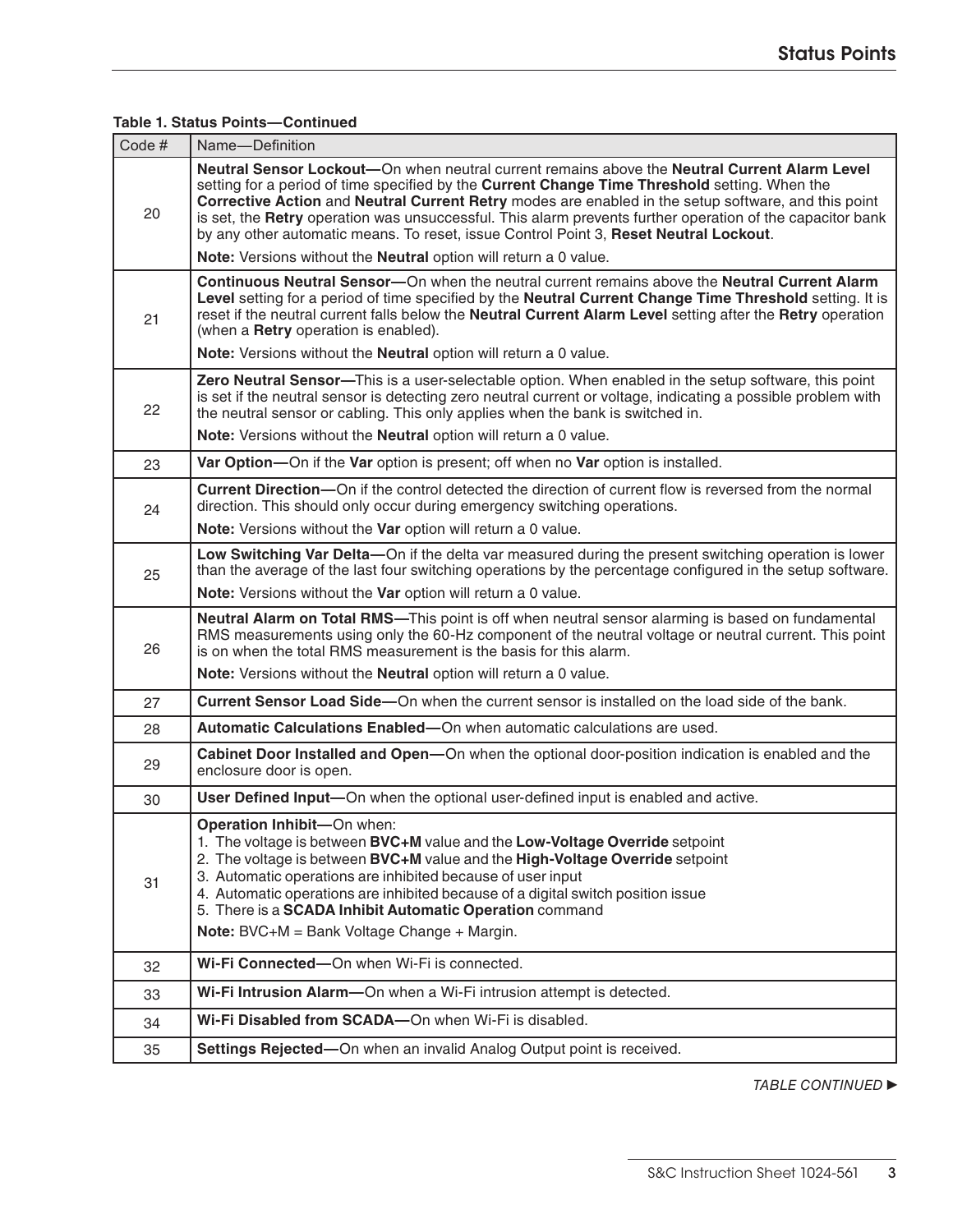## **Table 1. Status Points—Continued**

| Code # | Name-Definition                                                                                                                                                                                                                                                                                                                                                                                                                                                                                            |
|--------|------------------------------------------------------------------------------------------------------------------------------------------------------------------------------------------------------------------------------------------------------------------------------------------------------------------------------------------------------------------------------------------------------------------------------------------------------------------------------------------------------------|
| 20     | Neutral Sensor Lockout—On when neutral current remains above the Neutral Current Alarm Level<br>setting for a period of time specified by the Current Change Time Threshold setting. When the<br>Corrective Action and Neutral Current Retry modes are enabled in the setup software, and this point<br>is set, the Retry operation was unsuccessful. This alarm prevents further operation of the capacitor bank<br>by any other automatic means. To reset, issue Control Point 3, Reset Neutral Lockout. |
|        | Note: Versions without the Neutral option will return a 0 value.                                                                                                                                                                                                                                                                                                                                                                                                                                           |
| 21     | Continuous Neutral Sensor-On when the neutral current remains above the Neutral Current Alarm<br>Level setting for a period of time specified by the Neutral Current Change Time Threshold setting. It is<br>reset if the neutral current falls below the Neutral Current Alarm Level setting after the Retry operation<br>(when a Retry operation is enabled).                                                                                                                                            |
|        | Note: Versions without the Neutral option will return a 0 value.                                                                                                                                                                                                                                                                                                                                                                                                                                           |
| 22     | Zero Neutral Sensor-This is a user-selectable option. When enabled in the setup software, this point<br>is set if the neutral sensor is detecting zero neutral current or voltage, indicating a possible problem with<br>the neutral sensor or cabling. This only applies when the bank is switched in.                                                                                                                                                                                                    |
|        | Note: Versions without the Neutral option will return a 0 value.                                                                                                                                                                                                                                                                                                                                                                                                                                           |
| 23     | Var Option-On if the Var option is present; off when no Var option is installed.                                                                                                                                                                                                                                                                                                                                                                                                                           |
| 24     | <b>Current Direction--</b> On if the control detected the direction of current flow is reversed from the normal<br>direction. This should only occur during emergency switching operations.                                                                                                                                                                                                                                                                                                                |
|        | Note: Versions without the Var option will return a 0 value.                                                                                                                                                                                                                                                                                                                                                                                                                                               |
| 25     | Low Switching Var Delta-On if the delta var measured during the present switching operation is lower<br>than the average of the last four switching operations by the percentage configured in the setup software.                                                                                                                                                                                                                                                                                         |
|        | Note: Versions without the Var option will return a 0 value.                                                                                                                                                                                                                                                                                                                                                                                                                                               |
| 26     | Neutral Alarm on Total RMS-This point is off when neutral sensor alarming is based on fundamental<br>RMS measurements using only the 60-Hz component of the neutral voltage or neutral current. This point<br>is on when the total RMS measurement is the basis for this alarm.                                                                                                                                                                                                                            |
|        | Note: Versions without the Neutral option will return a 0 value.                                                                                                                                                                                                                                                                                                                                                                                                                                           |
| 27     | Current Sensor Load Side-On when the current sensor is installed on the load side of the bank.                                                                                                                                                                                                                                                                                                                                                                                                             |
| 28     | Automatic Calculations Enabled-On when automatic calculations are used.                                                                                                                                                                                                                                                                                                                                                                                                                                    |
| 29     | Cabinet Door Installed and Open-On when the optional door-position indication is enabled and the<br>enclosure door is open.                                                                                                                                                                                                                                                                                                                                                                                |
| 30     | User Defined Input—On when the optional user-defined input is enabled and active.                                                                                                                                                                                                                                                                                                                                                                                                                          |
| 31     | Operation Inhibit-On when:<br>1. The voltage is between BVC+M value and the Low-Voltage Override setpoint<br>2. The voltage is between BVC+M value and the High-Voltage Override setpoint<br>3. Automatic operations are inhibited because of user input<br>4. Automatic operations are inhibited because of a digital switch position issue<br>5. There is a SCADA Inhibit Automatic Operation command<br>Note: BVC+M = Bank Voltage Change + Margin.                                                     |
| 32     | Wi-Fi Connected-On when Wi-Fi is connected.                                                                                                                                                                                                                                                                                                                                                                                                                                                                |
| 33     | Wi-Fi Intrusion Alarm-On when a Wi-Fi intrusion attempt is detected.                                                                                                                                                                                                                                                                                                                                                                                                                                       |
| 34     | Wi-Fi Disabled from SCADA-On when Wi-Fi is disabled.                                                                                                                                                                                                                                                                                                                                                                                                                                                       |
|        |                                                                                                                                                                                                                                                                                                                                                                                                                                                                                                            |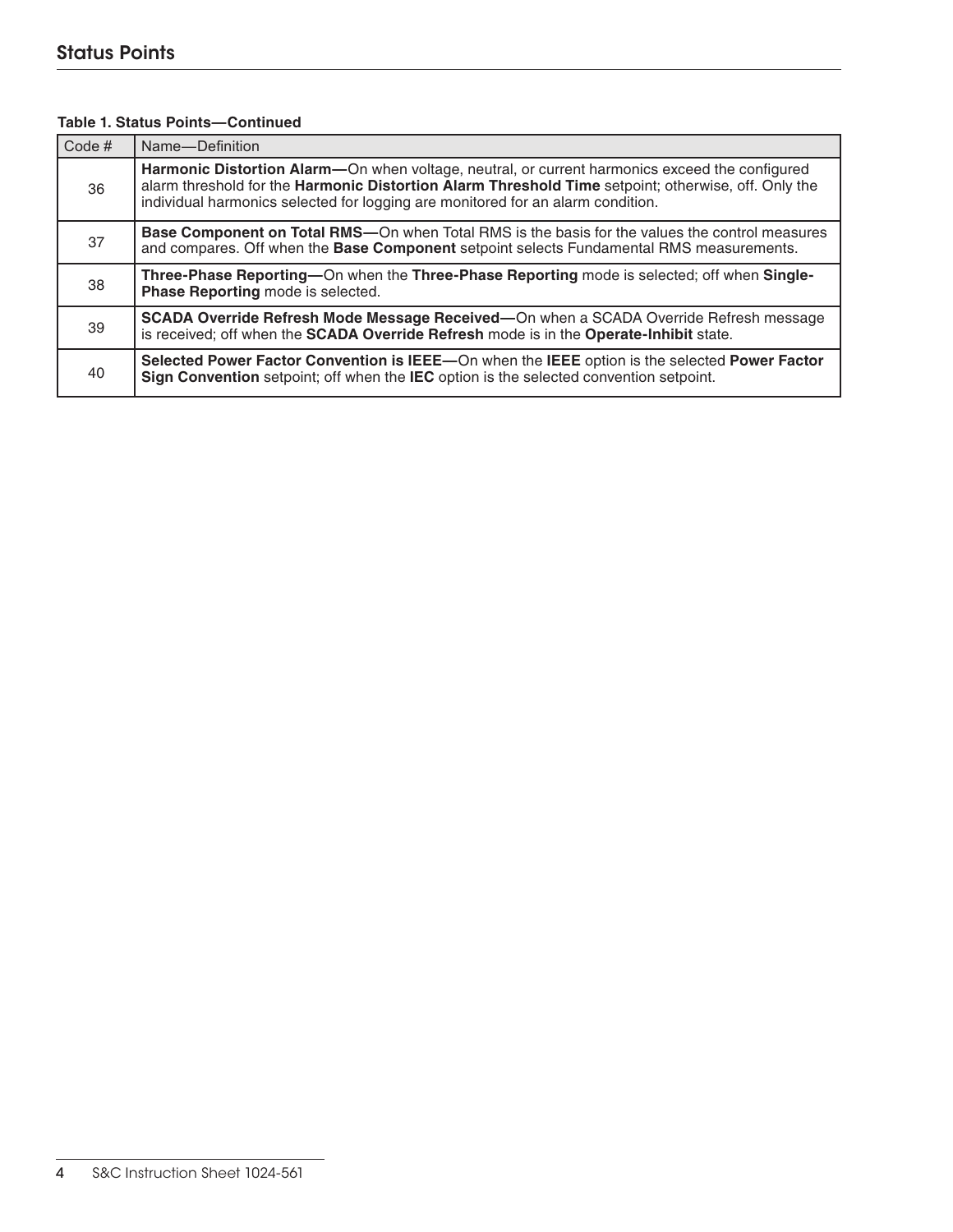| Code $#$ | Name-Definition                                                                                                                                                                                                                                                                          |
|----------|------------------------------------------------------------------------------------------------------------------------------------------------------------------------------------------------------------------------------------------------------------------------------------------|
| 36       | Harmonic Distortion Alarm-On when voltage, neutral, or current harmonics exceed the configured<br>alarm threshold for the Harmonic Distortion Alarm Threshold Time setpoint; otherwise, off. Only the<br>individual harmonics selected for logging are monitored for an alarm condition. |
| 37       | <b>Base Component on Total RMS</b> —On when Total RMS is the basis for the values the control measures<br>and compares. Off when the Base Component setpoint selects Fundamental RMS measurements.                                                                                       |
| 38       | Three-Phase Reporting-On when the Three-Phase Reporting mode is selected; off when Single-<br>Phase Reporting mode is selected.                                                                                                                                                          |
| 39       | SCADA Override Refresh Mode Message Received—On when a SCADA Override Refresh message<br>is received; off when the SCADA Override Refresh mode is in the Operate-Inhibit state.                                                                                                          |
| 40       | Selected Power Factor Convention is IEEE-On when the IEEE option is the selected Power Factor<br>Sign Convention setpoint; off when the IEC option is the selected convention setpoint.                                                                                                  |

#### **Table 1. Status Points—Continued**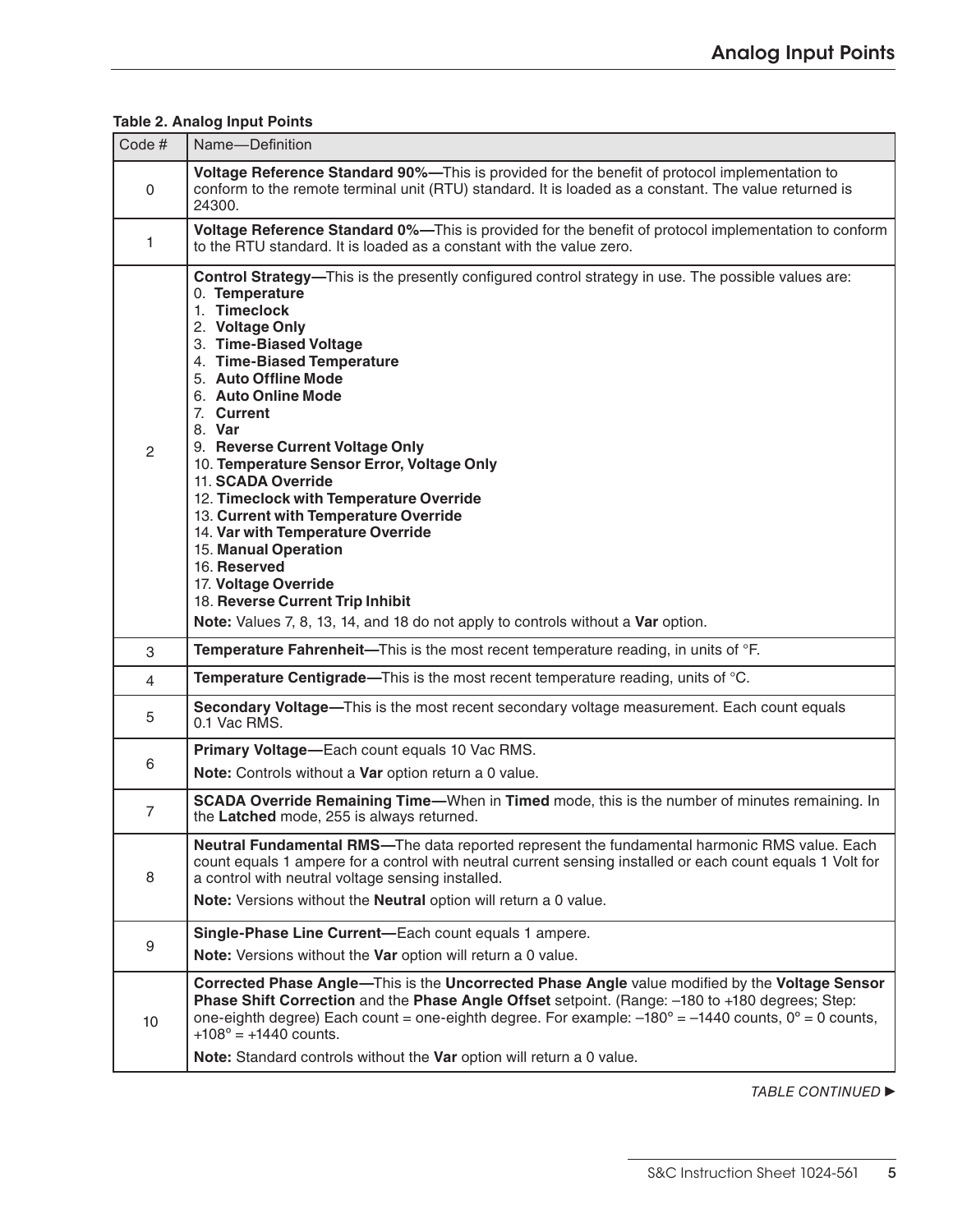| Code#           | Name-Definition                                                                                                                                                                                                                                                                                                                                                                                                                                                                                                                                                                                                                                                                                                 |
|-----------------|-----------------------------------------------------------------------------------------------------------------------------------------------------------------------------------------------------------------------------------------------------------------------------------------------------------------------------------------------------------------------------------------------------------------------------------------------------------------------------------------------------------------------------------------------------------------------------------------------------------------------------------------------------------------------------------------------------------------|
| 0               | Voltage Reference Standard 90%-This is provided for the benefit of protocol implementation to<br>conform to the remote terminal unit (RTU) standard. It is loaded as a constant. The value returned is<br>24300.                                                                                                                                                                                                                                                                                                                                                                                                                                                                                                |
| 1               | Voltage Reference Standard 0%—This is provided for the benefit of protocol implementation to conform<br>to the RTU standard. It is loaded as a constant with the value zero.                                                                                                                                                                                                                                                                                                                                                                                                                                                                                                                                    |
| 2               | Control Strategy-This is the presently configured control strategy in use. The possible values are:<br>0. Temperature<br>1. Timeclock<br>2. Voltage Only<br>3. Time-Biased Voltage<br>4. Time-Biased Temperature<br>5. Auto Offline Mode<br>6. Auto Online Mode<br>7. Current<br>8. Var<br>9. Reverse Current Voltage Only<br>10. Temperature Sensor Error, Voltage Only<br>11. SCADA Override<br>12. Timeclock with Temperature Override<br>13. Current with Temperature Override<br>14. Var with Temperature Override<br>15. Manual Operation<br>16. Reserved<br>17. Voltage Override<br>18. Reverse Current Trip Inhibit<br>Note: Values 7, 8, 13, 14, and 18 do not apply to controls without a Var option. |
| 3               | Temperature Fahrenheit-This is the most recent temperature reading, in units of °F.                                                                                                                                                                                                                                                                                                                                                                                                                                                                                                                                                                                                                             |
| $\overline{4}$  | Temperature Centigrade—This is the most recent temperature reading, units of °C.                                                                                                                                                                                                                                                                                                                                                                                                                                                                                                                                                                                                                                |
| 5               | Secondary Voltage-This is the most recent secondary voltage measurement. Each count equals<br>0.1 Vac RMS.                                                                                                                                                                                                                                                                                                                                                                                                                                                                                                                                                                                                      |
| 6               | Primary Voltage-Each count equals 10 Vac RMS.                                                                                                                                                                                                                                                                                                                                                                                                                                                                                                                                                                                                                                                                   |
|                 | Note: Controls without a Var option return a 0 value.                                                                                                                                                                                                                                                                                                                                                                                                                                                                                                                                                                                                                                                           |
| $\overline{7}$  | SCADA Override Remaining Time-When in Timed mode, this is the number of minutes remaining. In<br>the Latched mode, 255 is always returned.                                                                                                                                                                                                                                                                                                                                                                                                                                                                                                                                                                      |
| 8               | Neutral Fundamental RMS-The data reported represent the fundamental harmonic RMS value. Each<br>count equals 1 ampere for a control with neutral current sensing installed or each count equals 1 Volt for<br>a control with neutral voltage sensing installed.<br>Note: Versions without the Neutral option will return a 0 value.                                                                                                                                                                                                                                                                                                                                                                             |
| 9               | Single-Phase Line Current-Each count equals 1 ampere.<br>Note: Versions without the Var option will return a 0 value.                                                                                                                                                                                                                                                                                                                                                                                                                                                                                                                                                                                           |
| 10 <sup>°</sup> | Corrected Phase Angle-This is the Uncorrected Phase Angle value modified by the Voltage Sensor<br>Phase Shift Correction and the Phase Angle Offset setpoint. (Range: -180 to +180 degrees; Step:<br>one-eighth degree) Each count = one-eighth degree. For example: $-180^\circ = -1440$ counts, $0^\circ = 0$ counts,<br>$+108^{\circ} = +1440$ counts.<br>Note: Standard controls without the Var option will return a 0 value.                                                                                                                                                                                                                                                                              |

## **Table 2. Analog Input Points**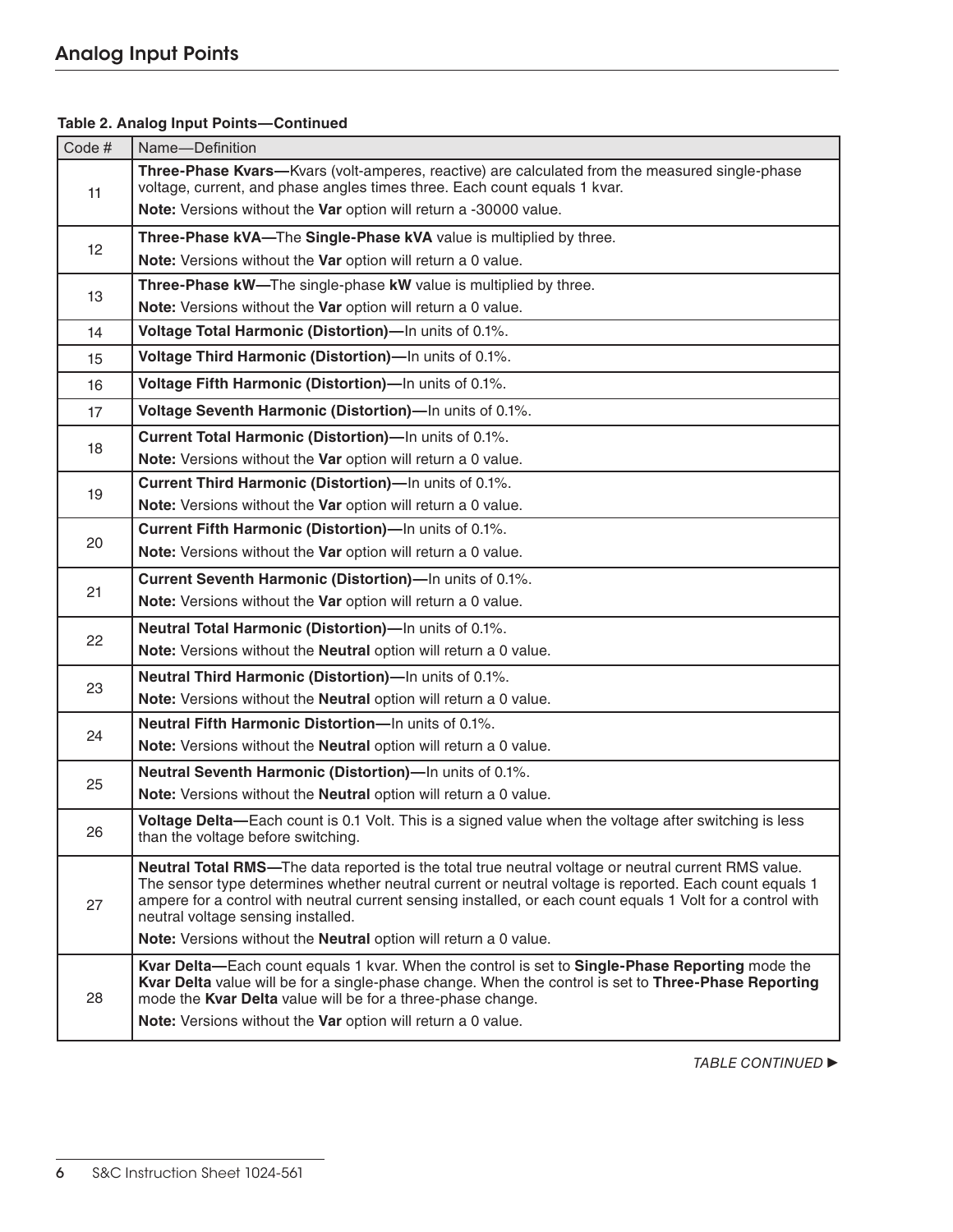| Code# | Name-Definition                                                                                                                                                                                                                                                                                                                                                    |
|-------|--------------------------------------------------------------------------------------------------------------------------------------------------------------------------------------------------------------------------------------------------------------------------------------------------------------------------------------------------------------------|
| 11    | Three-Phase Kvars-Kvars (volt-amperes, reactive) are calculated from the measured single-phase<br>voltage, current, and phase angles times three. Each count equals 1 kvar.                                                                                                                                                                                        |
|       | Note: Versions without the Var option will return a -30000 value.                                                                                                                                                                                                                                                                                                  |
| 12    | Three-Phase kVA-The Single-Phase kVA value is multiplied by three.                                                                                                                                                                                                                                                                                                 |
|       | Note: Versions without the Var option will return a 0 value.                                                                                                                                                                                                                                                                                                       |
| 13    | Three-Phase kW-The single-phase kW value is multiplied by three.                                                                                                                                                                                                                                                                                                   |
|       | Note: Versions without the Var option will return a 0 value.                                                                                                                                                                                                                                                                                                       |
| 14    | Voltage Total Harmonic (Distortion)-In units of 0.1%.                                                                                                                                                                                                                                                                                                              |
| 15    | Voltage Third Harmonic (Distortion)-In units of 0.1%.                                                                                                                                                                                                                                                                                                              |
| 16    | Voltage Fifth Harmonic (Distortion)-In units of 0.1%.                                                                                                                                                                                                                                                                                                              |
| 17    | Voltage Seventh Harmonic (Distortion)-In units of 0.1%.                                                                                                                                                                                                                                                                                                            |
|       | Current Total Harmonic (Distortion)-In units of 0.1%.                                                                                                                                                                                                                                                                                                              |
| 18    | Note: Versions without the Var option will return a 0 value.                                                                                                                                                                                                                                                                                                       |
| 19    | Current Third Harmonic (Distortion)-In units of 0.1%.                                                                                                                                                                                                                                                                                                              |
|       | Note: Versions without the Var option will return a 0 value.                                                                                                                                                                                                                                                                                                       |
| 20    | Current Fifth Harmonic (Distortion)-In units of 0.1%.                                                                                                                                                                                                                                                                                                              |
|       | Note: Versions without the Var option will return a 0 value.                                                                                                                                                                                                                                                                                                       |
| 21    | Current Seventh Harmonic (Distortion)-In units of 0.1%.                                                                                                                                                                                                                                                                                                            |
|       | Note: Versions without the Var option will return a 0 value.                                                                                                                                                                                                                                                                                                       |
| 22    | Neutral Total Harmonic (Distortion)-In units of 0.1%.                                                                                                                                                                                                                                                                                                              |
|       | Note: Versions without the Neutral option will return a 0 value.                                                                                                                                                                                                                                                                                                   |
| 23    | Neutral Third Harmonic (Distortion)-In units of 0.1%.                                                                                                                                                                                                                                                                                                              |
|       | Note: Versions without the Neutral option will return a 0 value.                                                                                                                                                                                                                                                                                                   |
| 24    | Neutral Fifth Harmonic Distortion-In units of 0.1%.                                                                                                                                                                                                                                                                                                                |
|       | Note: Versions without the Neutral option will return a 0 value.                                                                                                                                                                                                                                                                                                   |
| 25    | Neutral Seventh Harmonic (Distortion)-In units of 0.1%.                                                                                                                                                                                                                                                                                                            |
|       | Note: Versions without the Neutral option will return a 0 value.                                                                                                                                                                                                                                                                                                   |
| 26    | Voltage Delta—Each count is 0.1 Volt. This is a signed value when the voltage after switching is less<br>than the voltage before switching.                                                                                                                                                                                                                        |
| 27    | Neutral Total RMS-The data reported is the total true neutral voltage or neutral current RMS value.<br>The sensor type determines whether neutral current or neutral voltage is reported. Each count equals 1<br>ampere for a control with neutral current sensing installed, or each count equals 1 Volt for a control with<br>neutral voltage sensing installed. |
|       | Note: Versions without the Neutral option will return a 0 value.                                                                                                                                                                                                                                                                                                   |
| 28    | Kvar Delta—Each count equals 1 kvar. When the control is set to Single-Phase Reporting mode the<br>Kvar Delta value will be for a single-phase change. When the control is set to Three-Phase Reporting<br>mode the Kvar Delta value will be for a three-phase change.<br>Note: Versions without the Var option will return a 0 value.                             |
|       |                                                                                                                                                                                                                                                                                                                                                                    |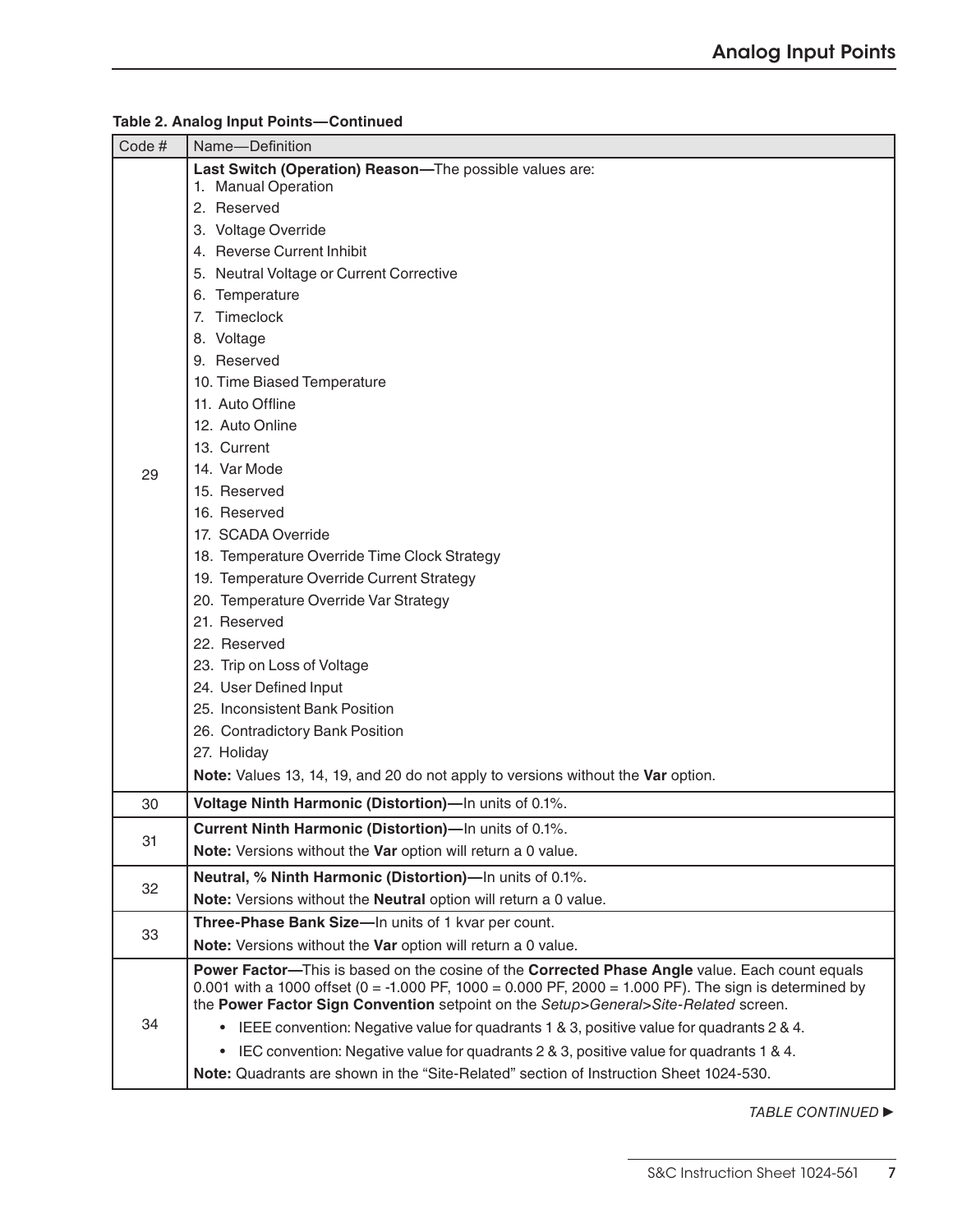| Code# | Name-Definition                                                                                                                                                                                         |
|-------|---------------------------------------------------------------------------------------------------------------------------------------------------------------------------------------------------------|
|       | Last Switch (Operation) Reason-The possible values are:<br>1. Manual Operation                                                                                                                          |
|       | 2. Reserved                                                                                                                                                                                             |
|       | 3. Voltage Override                                                                                                                                                                                     |
|       | 4. Reverse Current Inhibit                                                                                                                                                                              |
|       | 5. Neutral Voltage or Current Corrective                                                                                                                                                                |
|       | 6. Temperature                                                                                                                                                                                          |
|       | 7. Timeclock                                                                                                                                                                                            |
|       | 8. Voltage                                                                                                                                                                                              |
|       | 9. Reserved                                                                                                                                                                                             |
|       | 10. Time Biased Temperature                                                                                                                                                                             |
|       | 11. Auto Offline                                                                                                                                                                                        |
|       | 12. Auto Online                                                                                                                                                                                         |
|       | 13. Current                                                                                                                                                                                             |
| 29    | 14. Var Mode                                                                                                                                                                                            |
|       | 15. Reserved                                                                                                                                                                                            |
|       | 16. Reserved                                                                                                                                                                                            |
|       | 17. SCADA Override                                                                                                                                                                                      |
|       | 18. Temperature Override Time Clock Strategy                                                                                                                                                            |
|       | 19. Temperature Override Current Strategy                                                                                                                                                               |
|       | 20. Temperature Override Var Strategy                                                                                                                                                                   |
|       | 21. Reserved                                                                                                                                                                                            |
|       | 22. Reserved                                                                                                                                                                                            |
|       | 23. Trip on Loss of Voltage                                                                                                                                                                             |
|       | 24. User Defined Input                                                                                                                                                                                  |
|       | 25. Inconsistent Bank Position                                                                                                                                                                          |
|       | 26. Contradictory Bank Position                                                                                                                                                                         |
|       | 27. Holiday                                                                                                                                                                                             |
|       | Note: Values 13, 14, 19, and 20 do not apply to versions without the Var option.                                                                                                                        |
| 30    | Voltage Ninth Harmonic (Distortion)-In units of 0.1%.                                                                                                                                                   |
| 31    | <b>Current Ninth Harmonic (Distortion)—In units of 0.1%.</b>                                                                                                                                            |
|       | Note: Versions without the Var option will return a 0 value.                                                                                                                                            |
| 32    | Neutral, % Ninth Harmonic (Distortion)-In units of 0.1%.                                                                                                                                                |
|       | Note: Versions without the Neutral option will return a 0 value.                                                                                                                                        |
| 33    | Three-Phase Bank Size-In units of 1 kvar per count.                                                                                                                                                     |
|       | Note: Versions without the Var option will return a 0 value.                                                                                                                                            |
| 34    | Power Factor—This is based on the cosine of the Corrected Phase Angle value. Each count equals<br>0.001 with a 1000 offset (0 = -1.000 PF, 1000 = 0.000 PF, 2000 = 1.000 PF). The sign is determined by |
|       | the Power Factor Sign Convention setpoint on the Setup>General>Site-Related screen.                                                                                                                     |
|       | • IEEE convention: Negative value for quadrants 1 & 3, positive value for quadrants 2 & 4.                                                                                                              |
|       | • IEC convention: Negative value for quadrants 2 & 3, positive value for quadrants 1 & 4.                                                                                                               |
|       | Note: Quadrants are shown in the "Site-Related" section of Instruction Sheet 1024-530.                                                                                                                  |
|       |                                                                                                                                                                                                         |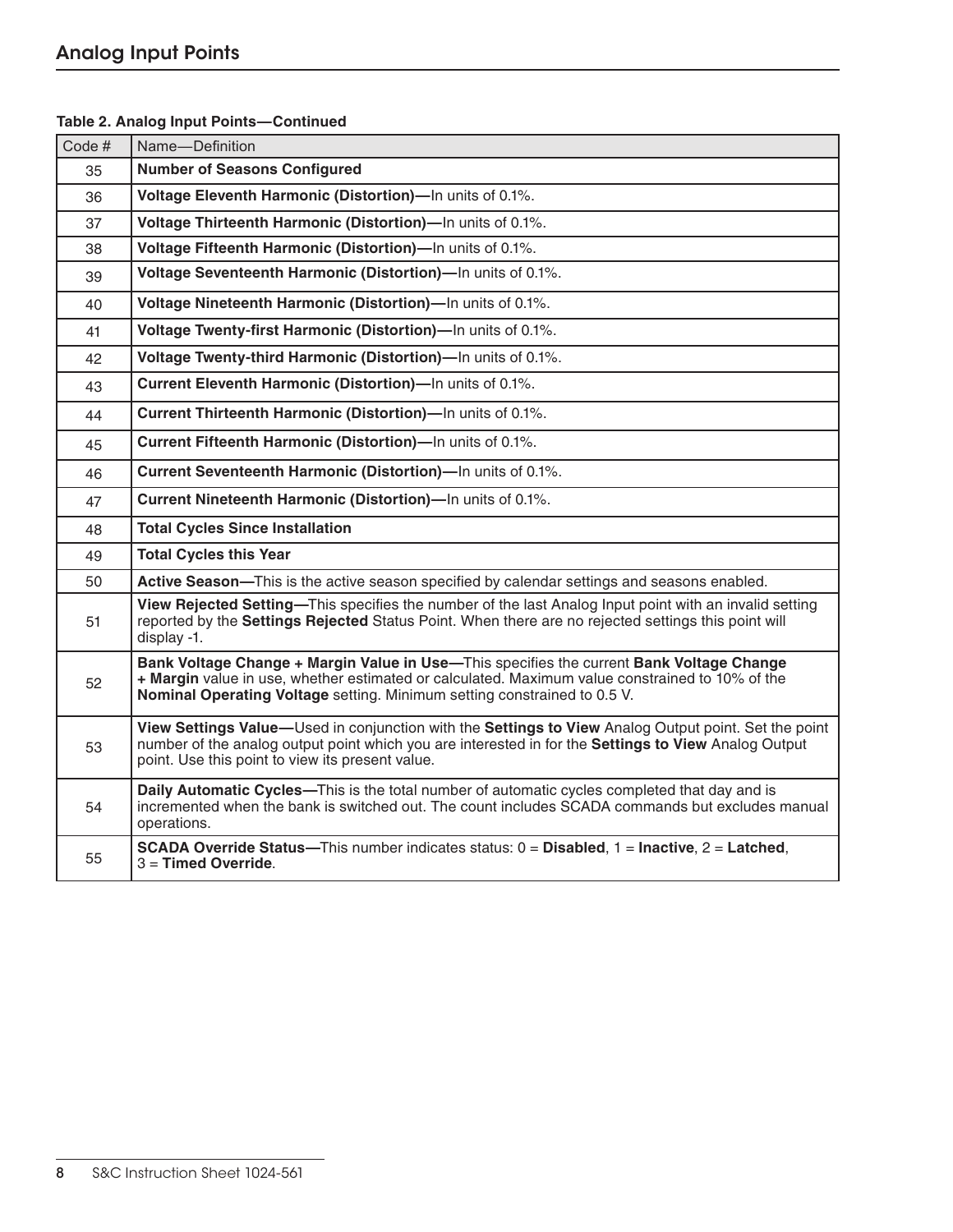| Code# | Name-Definition                                                                                                                                                                                                                                                         |
|-------|-------------------------------------------------------------------------------------------------------------------------------------------------------------------------------------------------------------------------------------------------------------------------|
| 35    | <b>Number of Seasons Configured</b>                                                                                                                                                                                                                                     |
| 36    | Voltage Eleventh Harmonic (Distortion)-In units of 0.1%.                                                                                                                                                                                                                |
| 37    | Voltage Thirteenth Harmonic (Distortion)-In units of 0.1%.                                                                                                                                                                                                              |
| 38    | Voltage Fifteenth Harmonic (Distortion)-In units of 0.1%.                                                                                                                                                                                                               |
| 39    | Voltage Seventeenth Harmonic (Distortion)-In units of 0.1%.                                                                                                                                                                                                             |
| 40    | Voltage Nineteenth Harmonic (Distortion)-In units of 0.1%.                                                                                                                                                                                                              |
| 41    | Voltage Twenty-first Harmonic (Distortion)-In units of 0.1%.                                                                                                                                                                                                            |
| 42    | Voltage Twenty-third Harmonic (Distortion)-In units of 0.1%.                                                                                                                                                                                                            |
| 43    | Current Eleventh Harmonic (Distortion)-In units of 0.1%.                                                                                                                                                                                                                |
| 44    | Current Thirteenth Harmonic (Distortion)-In units of 0.1%.                                                                                                                                                                                                              |
| 45    | Current Fifteenth Harmonic (Distortion)-In units of 0.1%.                                                                                                                                                                                                               |
| 46    | Current Seventeenth Harmonic (Distortion)-In units of 0.1%.                                                                                                                                                                                                             |
| 47    | Current Nineteenth Harmonic (Distortion)-In units of 0.1%.                                                                                                                                                                                                              |
| 48    | <b>Total Cycles Since Installation</b>                                                                                                                                                                                                                                  |
| 49    | <b>Total Cycles this Year</b>                                                                                                                                                                                                                                           |
| 50    | Active Season-This is the active season specified by calendar settings and seasons enabled.                                                                                                                                                                             |
| 51    | View Rejected Setting-This specifies the number of the last Analog Input point with an invalid setting<br>reported by the Settings Rejected Status Point. When there are no rejected settings this point will<br>display -1.                                            |
| 52    | Bank Voltage Change + Margin Value in Use-This specifies the current Bank Voltage Change<br>+ Margin value in use, whether estimated or calculated. Maximum value constrained to 10% of the<br>Nominal Operating Voltage setting. Minimum setting constrained to 0.5 V. |
| 53    | View Settings Value—Used in conjunction with the Settings to View Analog Output point. Set the point<br>number of the analog output point which you are interested in for the Settings to View Analog Output<br>point. Use this point to view its present value.        |
| 54    | Daily Automatic Cycles-This is the total number of automatic cycles completed that day and is<br>incremented when the bank is switched out. The count includes SCADA commands but excludes manual<br>operations.                                                        |
| 55    | <b>SCADA Override Status—This number indicates status: <math>0 = Disabeled</math>, 1 = Inactive, 2 = Latched,</b><br>$3 =$ Timed Override.                                                                                                                              |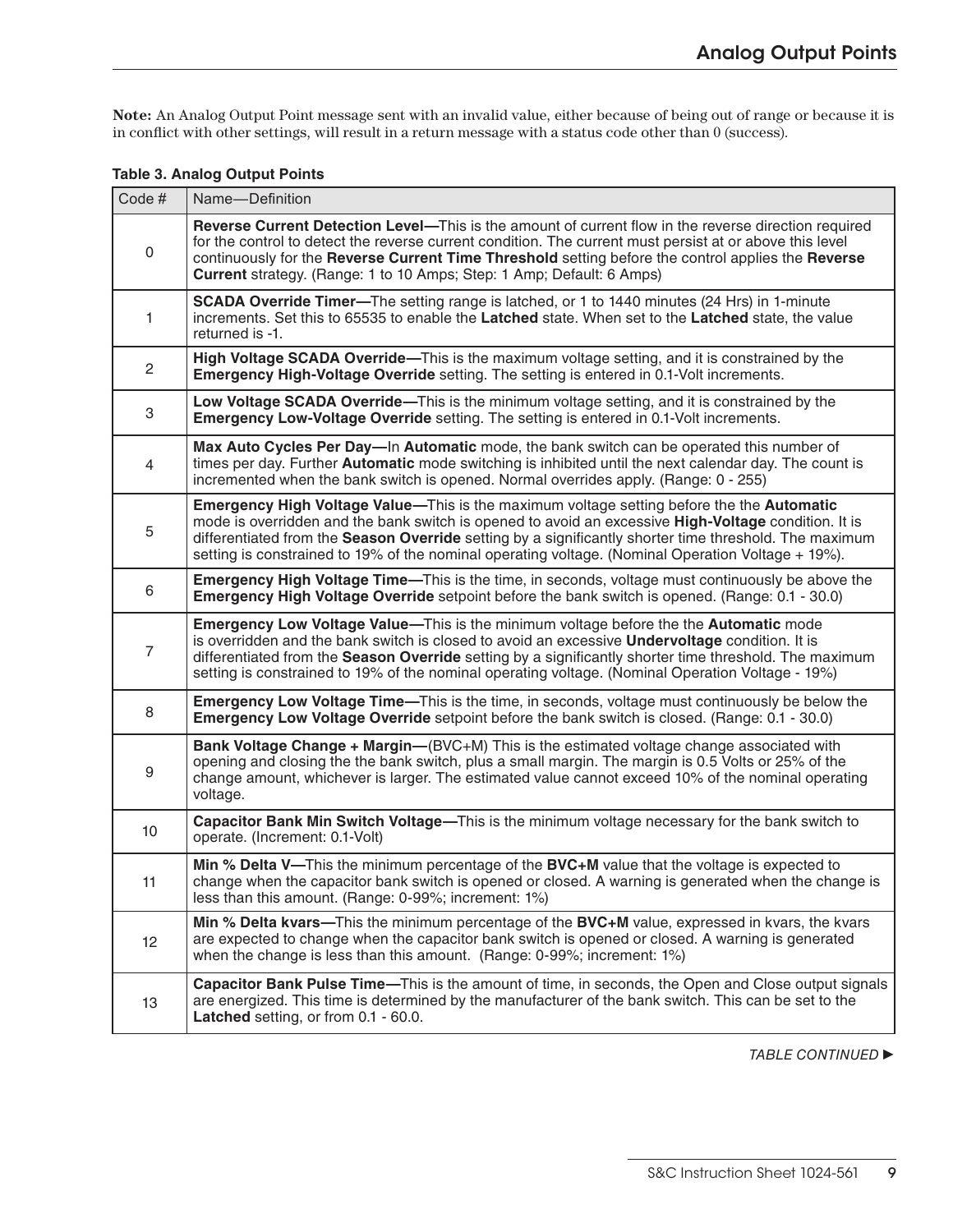**Note:** An Analog Output Point message sent with an invalid value, either because of being out of range or because it is in conflict with other settings, will result in a return message with a status code other than 0 (success).

|  | <b>Table 3. Analog Output Points</b> |  |
|--|--------------------------------------|--|
|  |                                      |  |

| Code#                     | Name-Definition                                                                                                                                                                                                                                                                                                                                                                                                   |
|---------------------------|-------------------------------------------------------------------------------------------------------------------------------------------------------------------------------------------------------------------------------------------------------------------------------------------------------------------------------------------------------------------------------------------------------------------|
| $\mathsf 0$               | Reverse Current Detection Level-This is the amount of current flow in the reverse direction required<br>for the control to detect the reverse current condition. The current must persist at or above this level<br>continuously for the Reverse Current Time Threshold setting before the control applies the Reverse<br><b>Current</b> strategy. (Range: 1 to 10 Amps; Step: 1 Amp; Default: 6 Amps)            |
| 1                         | <b>SCADA Override Timer—The setting range is latched, or 1 to 1440 minutes (24 Hrs) in 1-minute</b><br>increments. Set this to 65535 to enable the Latched state. When set to the Latched state, the value<br>returned is -1.                                                                                                                                                                                     |
| $\overline{c}$            | High Voltage SCADA Override—This is the maximum voltage setting, and it is constrained by the<br><b>Emergency High-Voltage Override</b> setting. The setting is entered in 0.1-Volt increments.                                                                                                                                                                                                                   |
| $\ensuremath{\mathsf{3}}$ | Low Voltage SCADA Override—This is the minimum voltage setting, and it is constrained by the<br>Emergency Low-Voltage Override setting. The setting is entered in 0.1-Volt increments.                                                                                                                                                                                                                            |
| $\overline{4}$            | Max Auto Cycles Per Day—In Automatic mode, the bank switch can be operated this number of<br>times per day. Further Automatic mode switching is inhibited until the next calendar day. The count is<br>incremented when the bank switch is opened. Normal overrides apply. (Range: 0 - 255)                                                                                                                       |
| 5                         | Emergency High Voltage Value-This is the maximum voltage setting before the the Automatic<br>mode is overridden and the bank switch is opened to avoid an excessive High-Voltage condition. It is<br>differentiated from the Season Override setting by a significantly shorter time threshold. The maximum<br>setting is constrained to 19% of the nominal operating voltage. (Nominal Operation Voltage + 19%). |
| 6                         | Emergency High Voltage Time—This is the time, in seconds, voltage must continuously be above the<br>Emergency High Voltage Override setpoint before the bank switch is opened. (Range: 0.1 - 30.0)                                                                                                                                                                                                                |
| $\overline{7}$            | Emergency Low Voltage Value-This is the minimum voltage before the the Automatic mode<br>is overridden and the bank switch is closed to avoid an excessive <b>Undervoltage</b> condition. It is<br>differentiated from the Season Override setting by a significantly shorter time threshold. The maximum<br>setting is constrained to 19% of the nominal operating voltage. (Nominal Operation Voltage - 19%)    |
| 8                         | Emergency Low Voltage Time-This is the time, in seconds, voltage must continuously be below the<br>Emergency Low Voltage Override setpoint before the bank switch is closed. (Range: 0.1 - 30.0)                                                                                                                                                                                                                  |
| $\boldsymbol{9}$          | <b>Bank Voltage Change + Margin—(BVC+M)</b> This is the estimated voltage change associated with<br>opening and closing the the bank switch, plus a small margin. The margin is 0.5 Volts or 25% of the<br>change amount, whichever is larger. The estimated value cannot exceed 10% of the nominal operating<br>voltage.                                                                                         |
| 10 <sub>1</sub>           | Capacitor Bank Min Switch Voltage-This is the minimum voltage necessary for the bank switch to<br>operate. (Increment: 0.1-Volt)                                                                                                                                                                                                                                                                                  |
| 11                        | Min % Delta V—This the minimum percentage of the BVC+M value that the voltage is expected to<br>change when the capacitor bank switch is opened or closed. A warning is generated when the change is<br>less than this amount. (Range: 0-99%; increment: 1%)                                                                                                                                                      |
| 12                        | Min % Delta kvars—This the minimum percentage of the BVC+M value, expressed in kvars, the kvars<br>are expected to change when the capacitor bank switch is opened or closed. A warning is generated<br>when the change is less than this amount. (Range: 0-99%; increment: 1%)                                                                                                                                   |
| 13                        | Capacitor Bank Pulse Time—This is the amount of time, in seconds, the Open and Close output signals<br>are energized. This time is determined by the manufacturer of the bank switch. This can be set to the<br>Latched setting, or from 0.1 - 60.0.                                                                                                                                                              |
|                           |                                                                                                                                                                                                                                                                                                                                                                                                                   |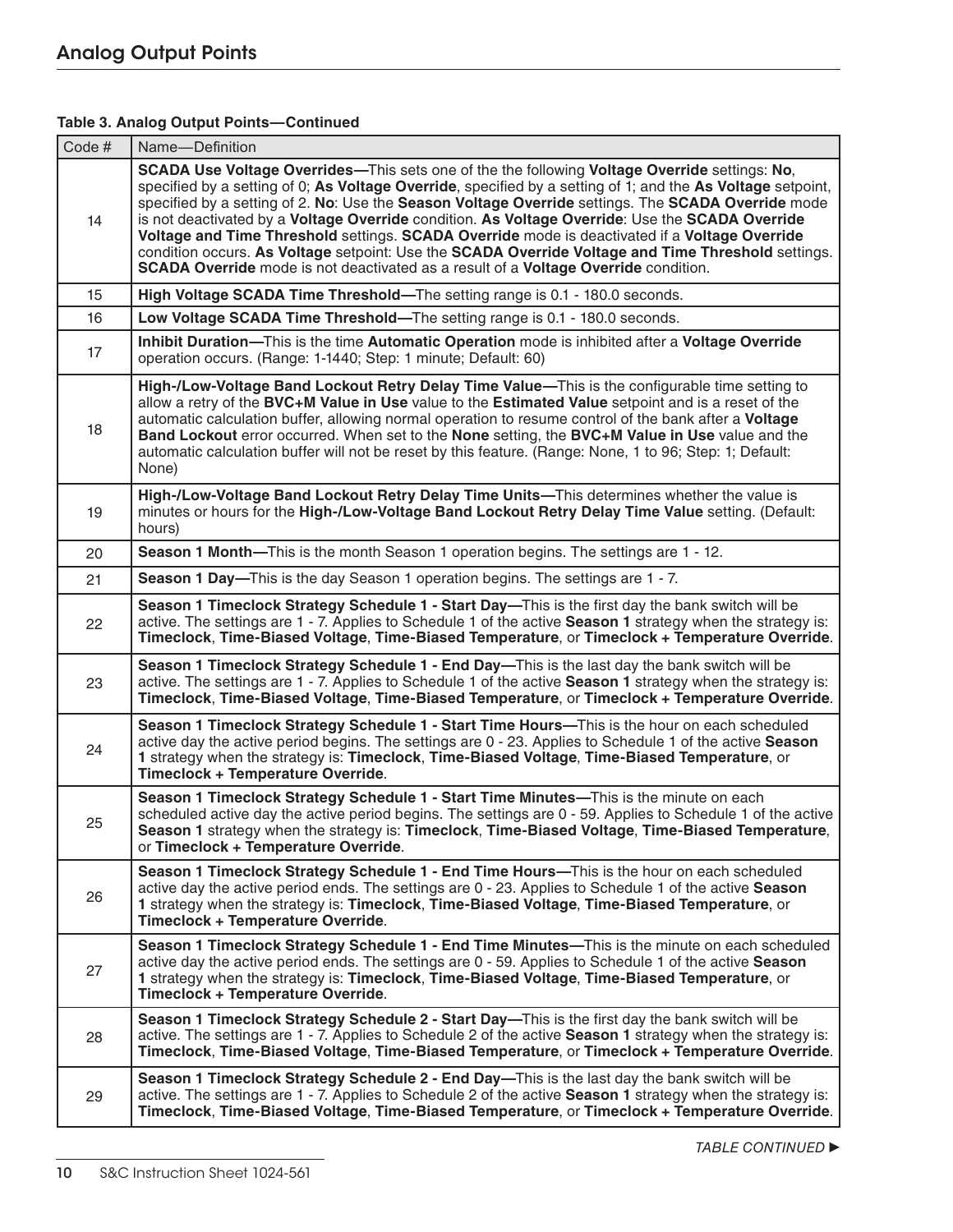| Code# | Name-Definition                                                                                                                                                                                                                                                                                                                                                                                                                                                                                                                                                                                                                                                                                                     |
|-------|---------------------------------------------------------------------------------------------------------------------------------------------------------------------------------------------------------------------------------------------------------------------------------------------------------------------------------------------------------------------------------------------------------------------------------------------------------------------------------------------------------------------------------------------------------------------------------------------------------------------------------------------------------------------------------------------------------------------|
| 14    | SCADA Use Voltage Overrides—This sets one of the the following Voltage Override settings: No,<br>specified by a setting of 0; As Voltage Override, specified by a setting of 1; and the As Voltage setpoint,<br>specified by a setting of 2. No: Use the Season Voltage Override settings. The SCADA Override mode<br>is not deactivated by a Voltage Override condition. As Voltage Override: Use the SCADA Override<br>Voltage and Time Threshold settings. SCADA Override mode is deactivated if a Voltage Override<br>condition occurs. As Voltage setpoint: Use the SCADA Override Voltage and Time Threshold settings.<br>SCADA Override mode is not deactivated as a result of a Voltage Override condition. |
| 15    | High Voltage SCADA Time Threshold-The setting range is 0.1 - 180.0 seconds.                                                                                                                                                                                                                                                                                                                                                                                                                                                                                                                                                                                                                                         |
| 16    | Low Voltage SCADA Time Threshold-The setting range is 0.1 - 180.0 seconds.                                                                                                                                                                                                                                                                                                                                                                                                                                                                                                                                                                                                                                          |
| 17    | Inhibit Duration—This is the time Automatic Operation mode is inhibited after a Voltage Override<br>operation occurs. (Range: 1-1440; Step: 1 minute; Default: 60)                                                                                                                                                                                                                                                                                                                                                                                                                                                                                                                                                  |
| 18    | High-/Low-Voltage Band Lockout Retry Delay Time Value-This is the configurable time setting to<br>allow a retry of the BVC+M Value in Use value to the Estimated Value setpoint and is a reset of the<br>automatic calculation buffer, allowing normal operation to resume control of the bank after a Voltage<br>Band Lockout error occurred. When set to the None setting, the BVC+M Value in Use value and the<br>automatic calculation buffer will not be reset by this feature. (Range: None, 1 to 96; Step: 1; Default:<br>None)                                                                                                                                                                              |
| 19    | High-/Low-Voltage Band Lockout Retry Delay Time Units-This determines whether the value is<br>minutes or hours for the High-/Low-Voltage Band Lockout Retry Delay Time Value setting. (Default:<br>hours)                                                                                                                                                                                                                                                                                                                                                                                                                                                                                                           |
| 20    | <b>Season 1 Month—This is the month Season 1 operation begins. The settings are 1 - 12.</b>                                                                                                                                                                                                                                                                                                                                                                                                                                                                                                                                                                                                                         |
| 21    | <b>Season 1 Day—This is the day Season 1 operation begins. The settings are 1 - 7.</b>                                                                                                                                                                                                                                                                                                                                                                                                                                                                                                                                                                                                                              |
| 22    | Season 1 Timeclock Strategy Schedule 1 - Start Day—This is the first day the bank switch will be<br>active. The settings are 1 - 7. Applies to Schedule 1 of the active Season 1 strategy when the strategy is:<br>Timeclock, Time-Biased Voltage, Time-Biased Temperature, or Timeclock + Temperature Override.                                                                                                                                                                                                                                                                                                                                                                                                    |
| 23    | Season 1 Timeclock Strategy Schedule 1 - End Day-This is the last day the bank switch will be<br>active. The settings are 1 - 7. Applies to Schedule 1 of the active Season 1 strategy when the strategy is:<br>Timeclock, Time-Biased Voltage, Time-Biased Temperature, or Timeclock + Temperature Override.                                                                                                                                                                                                                                                                                                                                                                                                       |
| 24    | Season 1 Timeclock Strategy Schedule 1 - Start Time Hours—This is the hour on each scheduled<br>active day the active period begins. The settings are 0 - 23. Applies to Schedule 1 of the active Season<br>1 strategy when the strategy is: Timeclock, Time-Biased Voltage, Time-Biased Temperature, or<br>Timeclock + Temperature Override.                                                                                                                                                                                                                                                                                                                                                                       |
| 25    | Season 1 Timeclock Strategy Schedule 1 - Start Time Minutes-This is the minute on each<br>scheduled active day the active period begins. The settings are 0 - 59. Applies to Schedule 1 of the active<br>Season 1 strategy when the strategy is: Timeclock, Time-Biased Voltage, Time-Biased Temperature,<br>or Timeclock + Temperature Override.                                                                                                                                                                                                                                                                                                                                                                   |
| 26    | Season 1 Timeclock Strategy Schedule 1 - End Time Hours-This is the hour on each scheduled<br>active day the active period ends. The settings are 0 - 23. Applies to Schedule 1 of the active Season<br>1 strategy when the strategy is: Timeclock, Time-Biased Voltage, Time-Biased Temperature, or<br>Timeclock + Temperature Override.                                                                                                                                                                                                                                                                                                                                                                           |
| 27    | Season 1 Timeclock Strategy Schedule 1 - End Time Minutes-This is the minute on each scheduled<br>active day the active period ends. The settings are 0 - 59. Applies to Schedule 1 of the active Season<br>1 strategy when the strategy is: Timeclock, Time-Biased Voltage, Time-Biased Temperature, or<br>Timeclock + Temperature Override.                                                                                                                                                                                                                                                                                                                                                                       |
| 28    | Season 1 Timeclock Strategy Schedule 2 - Start Day—This is the first day the bank switch will be<br>active. The settings are 1 - 7. Applies to Schedule 2 of the active Season 1 strategy when the strategy is:<br>Timeclock, Time-Biased Voltage, Time-Biased Temperature, or Timeclock + Temperature Override.                                                                                                                                                                                                                                                                                                                                                                                                    |
| 29    | Season 1 Timeclock Strategy Schedule 2 - End Day—This is the last day the bank switch will be<br>active. The settings are 1 - 7. Applies to Schedule 2 of the active Season 1 strategy when the strategy is:<br>Timeclock, Time-Biased Voltage, Time-Biased Temperature, or Timeclock + Temperature Override.                                                                                                                                                                                                                                                                                                                                                                                                       |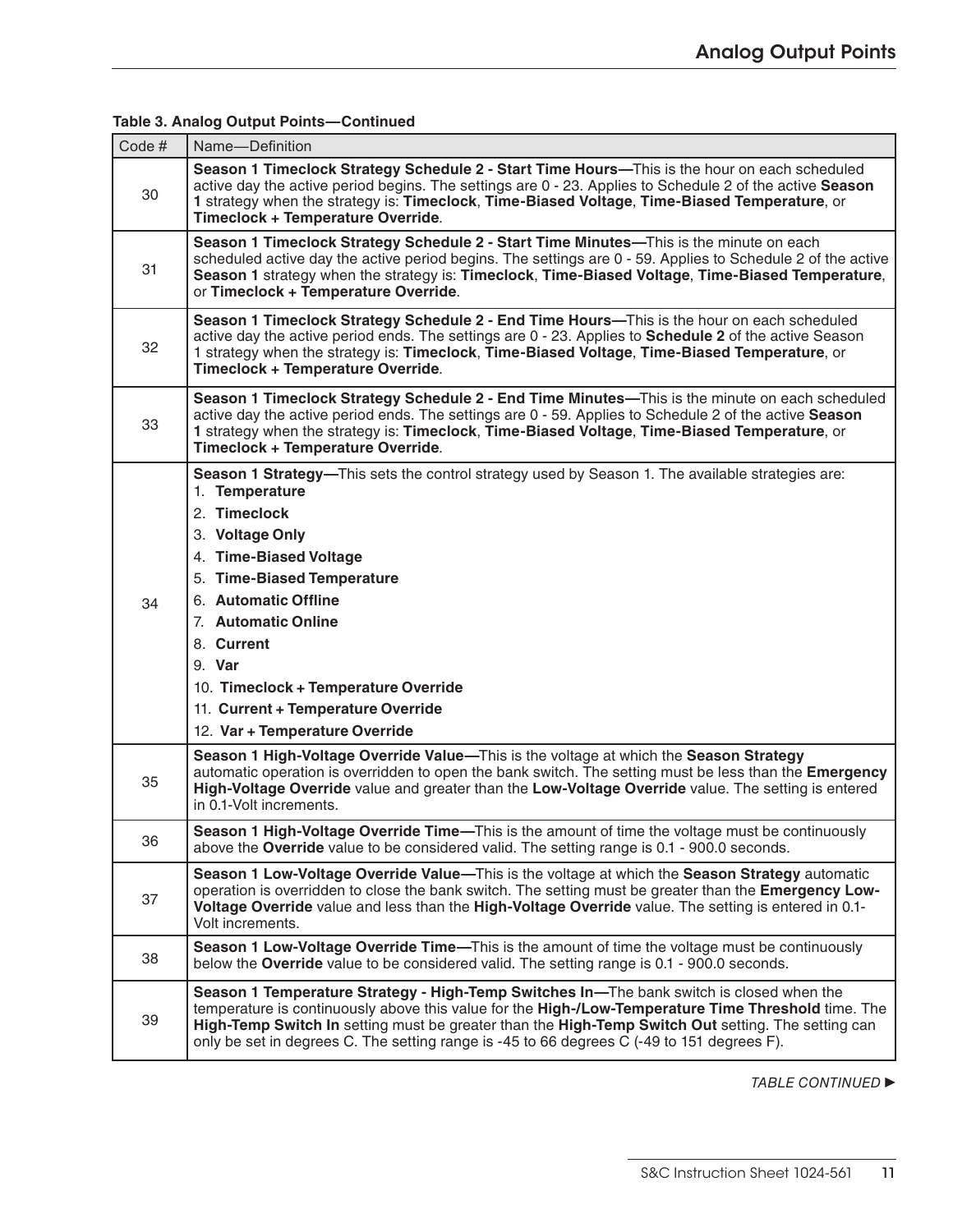| Code $#$ | Name-Definition                                                                                                                                                                                                                                                                                                                                                                                      |
|----------|------------------------------------------------------------------------------------------------------------------------------------------------------------------------------------------------------------------------------------------------------------------------------------------------------------------------------------------------------------------------------------------------------|
| 30       | Season 1 Timeclock Strategy Schedule 2 - Start Time Hours—This is the hour on each scheduled<br>active day the active period begins. The settings are 0 - 23. Applies to Schedule 2 of the active Season<br>1 strategy when the strategy is: Timeclock, Time-Biased Voltage, Time-Biased Temperature, or<br>Timeclock + Temperature Override.                                                        |
| 31       | Season 1 Timeclock Strategy Schedule 2 - Start Time Minutes—This is the minute on each<br>scheduled active day the active period begins. The settings are 0 - 59. Applies to Schedule 2 of the active<br>Season 1 strategy when the strategy is: Timeclock, Time-Biased Voltage, Time-Biased Temperature,<br>or Timeclock + Temperature Override.                                                    |
| 32       | Season 1 Timeclock Strategy Schedule 2 - End Time Hours—This is the hour on each scheduled<br>active day the active period ends. The settings are 0 - 23. Applies to <b>Schedule 2</b> of the active Season<br>1 strategy when the strategy is: Timeclock, Time-Biased Voltage, Time-Biased Temperature, or<br>Timeclock + Temperature Override.                                                     |
| 33       | Season 1 Timeclock Strategy Schedule 2 - End Time Minutes—This is the minute on each scheduled<br>active day the active period ends. The settings are 0 - 59. Applies to Schedule 2 of the active Season<br>1 strategy when the strategy is: Timeclock, Time-Biased Voltage, Time-Biased Temperature, or<br>Timeclock + Temperature Override.                                                        |
| 34       | Season 1 Strategy—This sets the control strategy used by Season 1. The available strategies are:<br>1. Temperature<br>2. Timeclock<br>3. Voltage Only<br>4. Time-Biased Voltage<br>5. Time-Biased Temperature<br>6. Automatic Offline<br>7. Automatic Online<br>8. Current<br>9. Var<br>10. Timeclock + Temperature Override<br>11. Current + Temperature Override<br>12. Var + Temperature Override |
| 35       | Season 1 High-Voltage Override Value-This is the voltage at which the Season Strategy<br>automatic operation is overridden to open the bank switch. The setting must be less than the Emergency<br>High-Voltage Override value and greater than the Low-Voltage Override value. The setting is entered<br>in 0.1-Volt increments.                                                                    |
| 36       | Season 1 High-Voltage Override Time-This is the amount of time the voltage must be continuously<br>above the Override value to be considered valid. The setting range is 0.1 - 900.0 seconds.                                                                                                                                                                                                        |
| 37       | Season 1 Low-Voltage Override Value-This is the voltage at which the Season Strategy automatic<br>operation is overridden to close the bank switch. The setting must be greater than the Emergency Low-<br>Voltage Override value and less than the High-Voltage Override value. The setting is entered in 0.1-<br>Volt increments.                                                                  |
| 38       | Season 1 Low-Voltage Override Time—This is the amount of time the voltage must be continuously<br>below the Override value to be considered valid. The setting range is 0.1 - 900.0 seconds.                                                                                                                                                                                                         |
| 39       | Season 1 Temperature Strategy - High-Temp Switches In-The bank switch is closed when the<br>temperature is continuously above this value for the High-/Low-Temperature Time Threshold time. The<br>High-Temp Switch In setting must be greater than the High-Temp Switch Out setting. The setting can<br>only be set in degrees C. The setting range is -45 to 66 degrees C (-49 to 151 degrees F).  |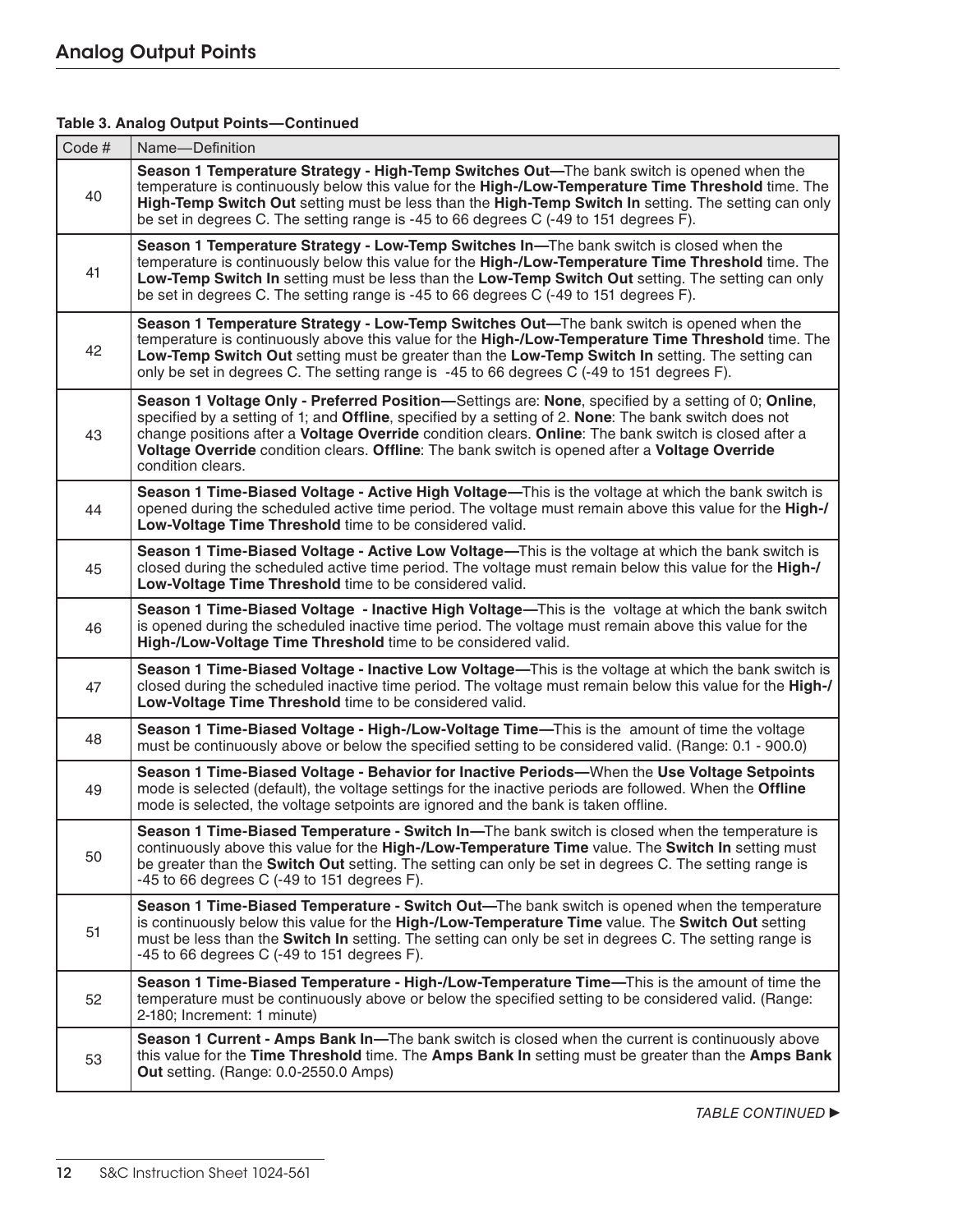| Code# | Name-Definition                                                                                                                                                                                                                                                                                                                                                                                                                              |
|-------|----------------------------------------------------------------------------------------------------------------------------------------------------------------------------------------------------------------------------------------------------------------------------------------------------------------------------------------------------------------------------------------------------------------------------------------------|
| 40    | Season 1 Temperature Strategy - High-Temp Switches Out—The bank switch is opened when the<br>temperature is continuously below this value for the High-/Low-Temperature Time Threshold time. The<br>High-Temp Switch Out setting must be less than the High-Temp Switch In setting. The setting can only<br>be set in degrees C. The setting range is -45 to 66 degrees C (-49 to 151 degrees F).                                            |
| 41    | Season 1 Temperature Strategy - Low-Temp Switches In-The bank switch is closed when the<br>temperature is continuously below this value for the High-/Low-Temperature Time Threshold time. The<br>Low-Temp Switch In setting must be less than the Low-Temp Switch Out setting. The setting can only<br>be set in degrees C. The setting range is -45 to 66 degrees C (-49 to 151 degrees F).                                                |
| 42    | Season 1 Temperature Strategy - Low-Temp Switches Out-The bank switch is opened when the<br>temperature is continuously above this value for the High-/Low-Temperature Time Threshold time. The<br>Low-Temp Switch Out setting must be greater than the Low-Temp Switch In setting. The setting can<br>only be set in degrees C. The setting range is -45 to 66 degrees C (-49 to 151 degrees F).                                            |
| 43    | Season 1 Voltage Only - Preferred Position-Settings are: None, specified by a setting of 0; Online,<br>specified by a setting of 1; and Offline, specified by a setting of 2. None: The bank switch does not<br>change positions after a Voltage Override condition clears. Online: The bank switch is closed after a<br>Voltage Override condition clears. Offline: The bank switch is opened after a Voltage Override<br>condition clears. |
| 44    | Season 1 Time-Biased Voltage - Active High Voltage-This is the voltage at which the bank switch is<br>opened during the scheduled active time period. The voltage must remain above this value for the High-/<br>Low-Voltage Time Threshold time to be considered valid.                                                                                                                                                                     |
| 45    | Season 1 Time-Biased Voltage - Active Low Voltage—This is the voltage at which the bank switch is<br>closed during the scheduled active time period. The voltage must remain below this value for the High-/<br>Low-Voltage Time Threshold time to be considered valid.                                                                                                                                                                      |
| 46    | Season 1 Time-Biased Voltage - Inactive High Voltage—This is the voltage at which the bank switch<br>is opened during the scheduled inactive time period. The voltage must remain above this value for the<br>High-/Low-Voltage Time Threshold time to be considered valid.                                                                                                                                                                  |
| 47    | Season 1 Time-Biased Voltage - Inactive Low Voltage-This is the voltage at which the bank switch is<br>closed during the scheduled inactive time period. The voltage must remain below this value for the High-/<br>Low-Voltage Time Threshold time to be considered valid.                                                                                                                                                                  |
| 48    | Season 1 Time-Biased Voltage - High-/Low-Voltage Time—This is the amount of time the voltage<br>must be continuously above or below the specified setting to be considered valid. (Range: 0.1 - 900.0)                                                                                                                                                                                                                                       |
| 49    | Season 1 Time-Biased Voltage - Behavior for Inactive Periods—When the Use Voltage Setpoints<br>mode is selected (default), the voltage settings for the inactive periods are followed. When the Offline<br>mode is selected, the voltage setpoints are ignored and the bank is taken offline.                                                                                                                                                |
| 50    | <b>Season 1 Time-Biased Temperature - Switch In—The bank switch is closed when the temperature is</b><br>continuously above this value for the High-/Low-Temperature Time value. The Switch In setting must<br>be greater than the Switch Out setting. The setting can only be set in degrees C. The setting range is<br>-45 to 66 degrees C (-49 to 151 degrees F).                                                                         |
| 51    | Season 1 Time-Biased Temperature - Switch Out—The bank switch is opened when the temperature<br>is continuously below this value for the High-/Low-Temperature Time value. The Switch Out setting<br>must be less than the Switch In setting. The setting can only be set in degrees C. The setting range is<br>$-45$ to 66 degrees C ( $-49$ to 151 degrees F).                                                                             |
| 52    | Season 1 Time-Biased Temperature - High-/Low-Temperature Time-This is the amount of time the<br>temperature must be continuously above or below the specified setting to be considered valid. (Range:<br>2-180; Increment: 1 minute)                                                                                                                                                                                                         |
| 53    | Season 1 Current - Amps Bank In-The bank switch is closed when the current is continuously above<br>this value for the Time Threshold time. The Amps Bank In setting must be greater than the Amps Bank<br>Out setting. (Range: 0.0-2550.0 Amps)                                                                                                                                                                                             |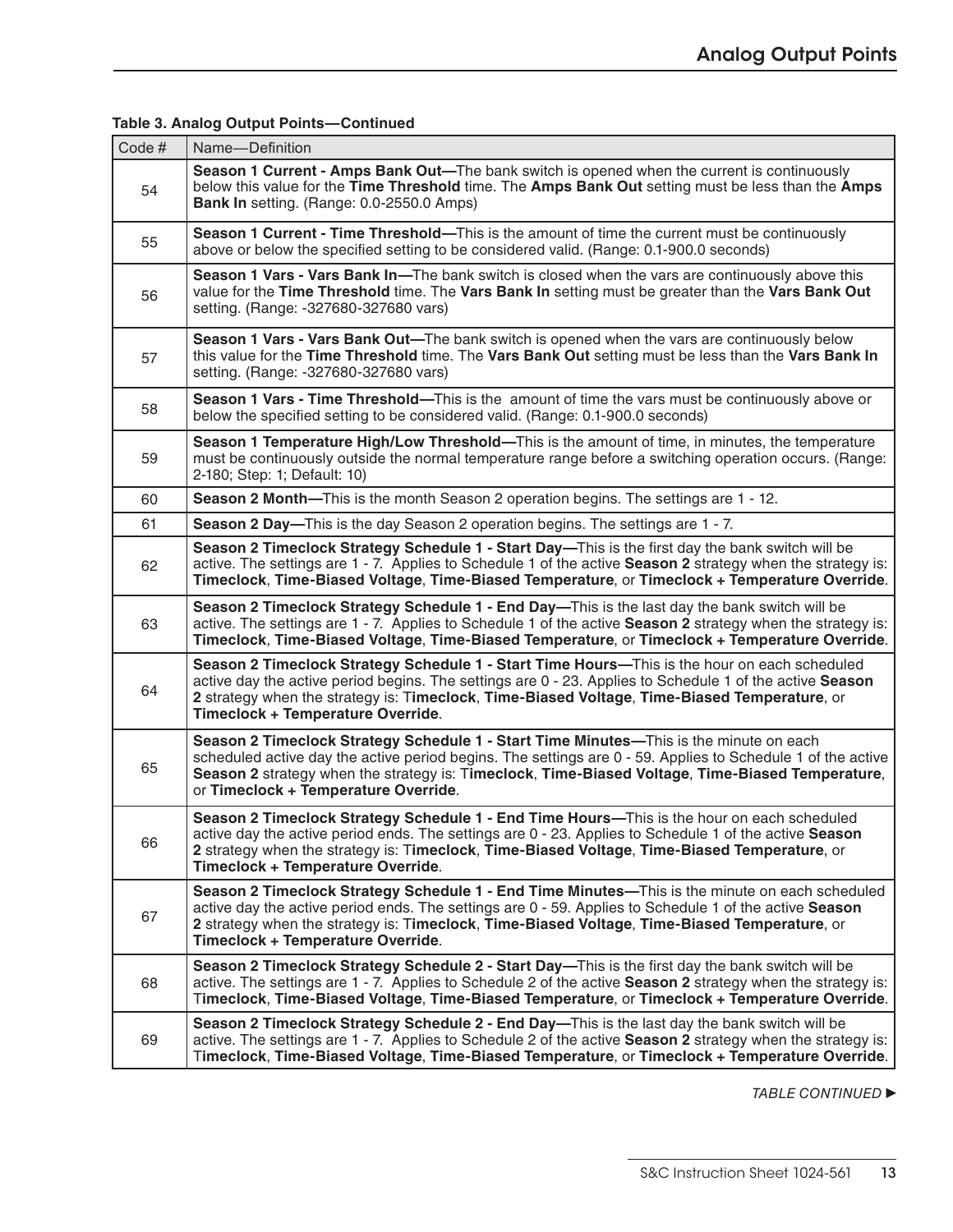| Code # | Name-Definition                                                                                                                                                                                                                                                                                                                                   |
|--------|---------------------------------------------------------------------------------------------------------------------------------------------------------------------------------------------------------------------------------------------------------------------------------------------------------------------------------------------------|
| 54     | Season 1 Current - Amps Bank Out-The bank switch is opened when the current is continuously<br>below this value for the Time Threshold time. The Amps Bank Out setting must be less than the Amps<br>Bank In setting. (Range: 0.0-2550.0 Amps)                                                                                                    |
| 55     | Season 1 Current - Time Threshold—This is the amount of time the current must be continuously<br>above or below the specified setting to be considered valid. (Range: 0.1-900.0 seconds)                                                                                                                                                          |
| 56     | Season 1 Vars - Vars Bank In-The bank switch is closed when the vars are continuously above this<br>value for the Time Threshold time. The Vars Bank In setting must be greater than the Vars Bank Out<br>setting. (Range: -327680-327680 vars)                                                                                                   |
| 57     | Season 1 Vars - Vars Bank Out-The bank switch is opened when the vars are continuously below<br>this value for the Time Threshold time. The Vars Bank Out setting must be less than the Vars Bank In<br>setting. (Range: -327680-327680 vars)                                                                                                     |
| 58     | Season 1 Vars - Time Threshold—This is the amount of time the vars must be continuously above or<br>below the specified setting to be considered valid. (Range: 0.1-900.0 seconds)                                                                                                                                                                |
| 59     | Season 1 Temperature High/Low Threshold—This is the amount of time, in minutes, the temperature<br>must be continuously outside the normal temperature range before a switching operation occurs. (Range:<br>2-180; Step: 1; Default: 10)                                                                                                         |
| 60     | Season 2 Month—This is the month Season 2 operation begins. The settings are 1 - 12.                                                                                                                                                                                                                                                              |
| 61     | Season 2 Day-This is the day Season 2 operation begins. The settings are 1 - 7.                                                                                                                                                                                                                                                                   |
| 62     | Season 2 Timeclock Strategy Schedule 1 - Start Day—This is the first day the bank switch will be<br>active. The settings are 1 - 7. Applies to Schedule 1 of the active Season 2 strategy when the strategy is:<br>Timeclock, Time-Biased Voltage, Time-Biased Temperature, or Timeclock + Temperature Override.                                  |
| 63     | Season 2 Timeclock Strategy Schedule 1 - End Day—This is the last day the bank switch will be<br>active. The settings are 1 - 7. Applies to Schedule 1 of the active Season 2 strategy when the strategy is:<br>Timeclock, Time-Biased Voltage, Time-Biased Temperature, or Timeclock + Temperature Override.                                     |
| 64     | Season 2 Timeclock Strategy Schedule 1 - Start Time Hours—This is the hour on each scheduled<br>active day the active period begins. The settings are 0 - 23. Applies to Schedule 1 of the active Season<br>2 strategy when the strategy is: Timeclock, Time-Biased Voltage, Time-Biased Temperature, or<br>Timeclock + Temperature Override.     |
| 65     | Season 2 Timeclock Strategy Schedule 1 - Start Time Minutes—This is the minute on each<br>scheduled active day the active period begins. The settings are 0 - 59. Applies to Schedule 1 of the active<br>Season 2 strategy when the strategy is: Timeclock, Time-Biased Voltage, Time-Biased Temperature,<br>or Timeclock + Temperature Override. |
| 66     | Season 2 Timeclock Strategy Schedule 1 - End Time Hours—This is the hour on each scheduled<br>active day the active period ends. The settings are 0 - 23. Applies to Schedule 1 of the active Season<br>2 strategy when the strategy is: Timeclock, Time-Biased Voltage, Time-Biased Temperature, or<br>Timeclock + Temperature Override.         |
| 67     | Season 2 Timeclock Strategy Schedule 1 - End Time Minutes—This is the minute on each scheduled<br>active day the active period ends. The settings are 0 - 59. Applies to Schedule 1 of the active Season<br>2 strategy when the strategy is: Timeclock, Time-Biased Voltage, Time-Biased Temperature, or<br>Timeclock + Temperature Override.     |
| 68     | Season 2 Timeclock Strategy Schedule 2 - Start Day—This is the first day the bank switch will be<br>active. The settings are 1 - 7. Applies to Schedule 2 of the active Season 2 strategy when the strategy is:<br>Timeclock, Time-Biased Voltage, Time-Biased Temperature, or Timeclock + Temperature Override.                                  |
| 69     | Season 2 Timeclock Strategy Schedule 2 - End Day—This is the last day the bank switch will be<br>active. The settings are 1 - 7. Applies to Schedule 2 of the active Season 2 strategy when the strategy is:<br>Timeclock, Time-Biased Voltage, Time-Biased Temperature, or Timeclock + Temperature Override.                                     |
|        |                                                                                                                                                                                                                                                                                                                                                   |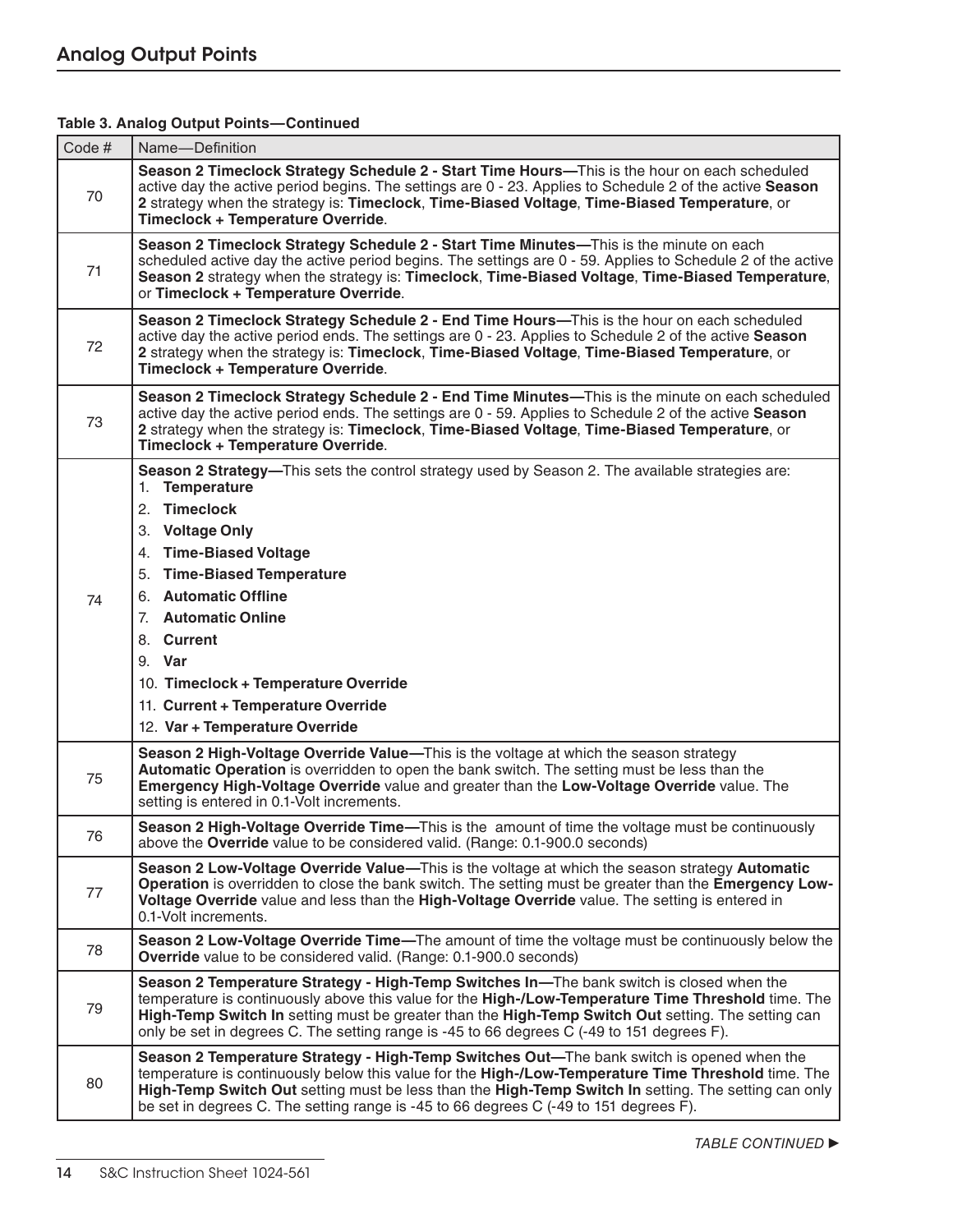| Code#    | Name-Definition                                                                                                                                                                                                                                                                                                                                                                                                                                                                                                                                                                                                                                                                             |
|----------|---------------------------------------------------------------------------------------------------------------------------------------------------------------------------------------------------------------------------------------------------------------------------------------------------------------------------------------------------------------------------------------------------------------------------------------------------------------------------------------------------------------------------------------------------------------------------------------------------------------------------------------------------------------------------------------------|
| 70       | Season 2 Timeclock Strategy Schedule 2 - Start Time Hours—This is the hour on each scheduled<br>active day the active period begins. The settings are 0 - 23. Applies to Schedule 2 of the active Season<br>2 strategy when the strategy is: Timeclock, Time-Biased Voltage, Time-Biased Temperature, or<br>Timeclock + Temperature Override.                                                                                                                                                                                                                                                                                                                                               |
| 71       | Season 2 Timeclock Strategy Schedule 2 - Start Time Minutes—This is the minute on each<br>scheduled active day the active period begins. The settings are 0 - 59. Applies to Schedule 2 of the active<br>Season 2 strategy when the strategy is: Timeclock, Time-Biased Voltage, Time-Biased Temperature,<br>or Timeclock + Temperature Override.                                                                                                                                                                                                                                                                                                                                           |
| 72       | Season 2 Timeclock Strategy Schedule 2 - End Time Hours—This is the hour on each scheduled<br>active day the active period ends. The settings are 0 - 23. Applies to Schedule 2 of the active Season<br>2 strategy when the strategy is: Timeclock, Time-Biased Voltage, Time-Biased Temperature, or<br>Timeclock + Temperature Override.                                                                                                                                                                                                                                                                                                                                                   |
| 73       | Season 2 Timeclock Strategy Schedule 2 - End Time Minutes-This is the minute on each scheduled<br>active day the active period ends. The settings are 0 - 59. Applies to Schedule 2 of the active Season<br>2 strategy when the strategy is: Timeclock, Time-Biased Voltage, Time-Biased Temperature, or<br>Timeclock + Temperature Override.                                                                                                                                                                                                                                                                                                                                               |
| 74<br>75 | Season 2 Strategy-This sets the control strategy used by Season 2. The available strategies are:<br>1. Temperature<br>2. Timeclock<br>3. Voltage Only<br>4. Time-Biased Voltage<br>5. Time-Biased Temperature<br>6. Automatic Offline<br>7. Automatic Online<br>8. Current<br>9. Var<br>10. Timeclock + Temperature Override<br>11. Current + Temperature Override<br>12. Var + Temperature Override<br>Season 2 High-Voltage Override Value-This is the voltage at which the season strategy<br>Automatic Operation is overridden to open the bank switch. The setting must be less than the<br>Emergency High-Voltage Override value and greater than the Low-Voltage Override value. The |
| 76       | setting is entered in 0.1-Volt increments.<br>Season 2 High-Voltage Override Time-This is the amount of time the voltage must be continuously<br>above the Override value to be considered valid. (Range: 0.1-900.0 seconds)                                                                                                                                                                                                                                                                                                                                                                                                                                                                |
| 77       | Season 2 Low-Voltage Override Value—This is the voltage at which the season strategy Automatic<br>Operation is overridden to close the bank switch. The setting must be greater than the Emergency Low-<br>Voltage Override value and less than the High-Voltage Override value. The setting is entered in<br>0.1-Volt increments.                                                                                                                                                                                                                                                                                                                                                          |
| 78       | Season 2 Low-Voltage Override Time-The amount of time the voltage must be continuously below the<br><b>Override</b> value to be considered valid. (Range: 0.1-900.0 seconds)                                                                                                                                                                                                                                                                                                                                                                                                                                                                                                                |
| 79       | Season 2 Temperature Strategy - High-Temp Switches In-The bank switch is closed when the<br>temperature is continuously above this value for the High-/Low-Temperature Time Threshold time. The<br>High-Temp Switch In setting must be greater than the High-Temp Switch Out setting. The setting can<br>only be set in degrees C. The setting range is -45 to 66 degrees C (-49 to 151 degrees F).                                                                                                                                                                                                                                                                                         |
| 80       | Season 2 Temperature Strategy - High-Temp Switches Out—The bank switch is opened when the<br>temperature is continuously below this value for the High-/Low-Temperature Time Threshold time. The<br>High-Temp Switch Out setting must be less than the High-Temp Switch In setting. The setting can only<br>be set in degrees C. The setting range is -45 to 66 degrees C (-49 to 151 degrees F).                                                                                                                                                                                                                                                                                           |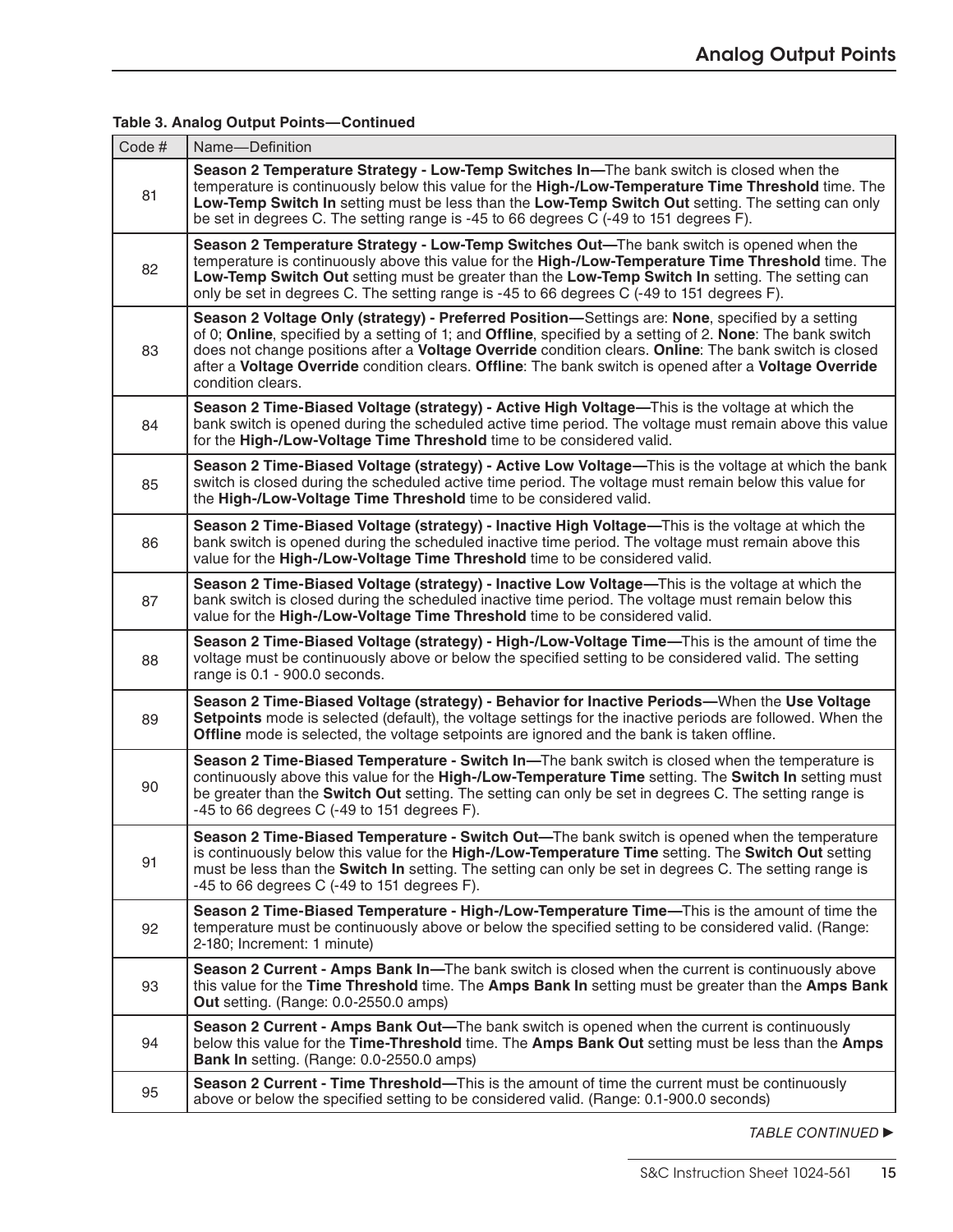| Code# | Name-Definition                                                                                                                                                                                                                                                                                                                                                                                                                                         |
|-------|---------------------------------------------------------------------------------------------------------------------------------------------------------------------------------------------------------------------------------------------------------------------------------------------------------------------------------------------------------------------------------------------------------------------------------------------------------|
| 81    | Season 2 Temperature Strategy - Low-Temp Switches In-The bank switch is closed when the<br>temperature is continuously below this value for the High-/Low-Temperature Time Threshold time. The<br>Low-Temp Switch In setting must be less than the Low-Temp Switch Out setting. The setting can only<br>be set in degrees C. The setting range is -45 to 66 degrees C (-49 to 151 degrees F).                                                           |
| 82    | Season 2 Temperature Strategy - Low-Temp Switches Out-The bank switch is opened when the<br>temperature is continuously above this value for the High-/Low-Temperature Time Threshold time. The<br>Low-Temp Switch Out setting must be greater than the Low-Temp Switch In setting. The setting can<br>only be set in degrees C. The setting range is -45 to 66 degrees C (-49 to 151 degrees F).                                                       |
| 83    | Season 2 Voltage Only (strategy) - Preferred Position—Settings are: None, specified by a setting<br>of 0; Online, specified by a setting of 1; and Offline, specified by a setting of 2. None: The bank switch<br>does not change positions after a Voltage Override condition clears. Online: The bank switch is closed<br>after a Voltage Override condition clears. Offline: The bank switch is opened after a Voltage Override<br>condition clears. |
| 84    | Season 2 Time-Biased Voltage (strategy) - Active High Voltage-This is the voltage at which the<br>bank switch is opened during the scheduled active time period. The voltage must remain above this value<br>for the High-/Low-Voltage Time Threshold time to be considered valid.                                                                                                                                                                      |
| 85    | Season 2 Time-Biased Voltage (strategy) - Active Low Voltage—This is the voltage at which the bank<br>switch is closed during the scheduled active time period. The voltage must remain below this value for<br>the High-/Low-Voltage Time Threshold time to be considered valid.                                                                                                                                                                       |
| 86    | Season 2 Time-Biased Voltage (strategy) - Inactive High Voltage-This is the voltage at which the<br>bank switch is opened during the scheduled inactive time period. The voltage must remain above this<br>value for the High-/Low-Voltage Time Threshold time to be considered valid.                                                                                                                                                                  |
| 87    | Season 2 Time-Biased Voltage (strategy) - Inactive Low Voltage—This is the voltage at which the<br>bank switch is closed during the scheduled inactive time period. The voltage must remain below this<br>value for the High-/Low-Voltage Time Threshold time to be considered valid.                                                                                                                                                                   |
| 88    | Season 2 Time-Biased Voltage (strategy) - High-/Low-Voltage Time-This is the amount of time the<br>voltage must be continuously above or below the specified setting to be considered valid. The setting<br>range is 0.1 - 900.0 seconds.                                                                                                                                                                                                               |
| 89    | Season 2 Time-Biased Voltage (strategy) - Behavior for Inactive Periods-When the Use Voltage<br>Setpoints mode is selected (default), the voltage settings for the inactive periods are followed. When the<br>Offline mode is selected, the voltage setpoints are ignored and the bank is taken offline.                                                                                                                                                |
| 90    | Season 2 Time-Biased Temperature - Switch In-The bank switch is closed when the temperature is<br>continuously above this value for the High-/Low-Temperature Time setting. The Switch In setting must<br>be greater than the Switch Out setting. The setting can only be set in degrees C. The setting range is<br>$-45$ to 66 degrees C ( $-49$ to 151 degrees F).                                                                                    |
| 91    | Season 2 Time-Biased Temperature - Switch Out-The bank switch is opened when the temperature<br>is continuously below this value for the High-/Low-Temperature Time setting. The Switch Out setting<br>must be less than the Switch In setting. The setting can only be set in degrees C. The setting range is<br>$-45$ to 66 degrees C ( $-49$ to 151 degrees F).                                                                                      |
| 92    | Season 2 Time-Biased Temperature - High-/Low-Temperature Time-This is the amount of time the<br>temperature must be continuously above or below the specified setting to be considered valid. (Range:<br>2-180; Increment: 1 minute)                                                                                                                                                                                                                    |
| 93    | Season 2 Current - Amps Bank In-The bank switch is closed when the current is continuously above<br>this value for the Time Threshold time. The Amps Bank In setting must be greater than the Amps Bank<br>Out setting. (Range: 0.0-2550.0 amps)                                                                                                                                                                                                        |
| 94    | Season 2 Current - Amps Bank Out-The bank switch is opened when the current is continuously<br>below this value for the Time-Threshold time. The Amps Bank Out setting must be less than the Amps<br>Bank In setting. (Range: 0.0-2550.0 amps)                                                                                                                                                                                                          |
| 95    | Season 2 Current - Time Threshold—This is the amount of time the current must be continuously<br>above or below the specified setting to be considered valid. (Range: 0.1-900.0 seconds)                                                                                                                                                                                                                                                                |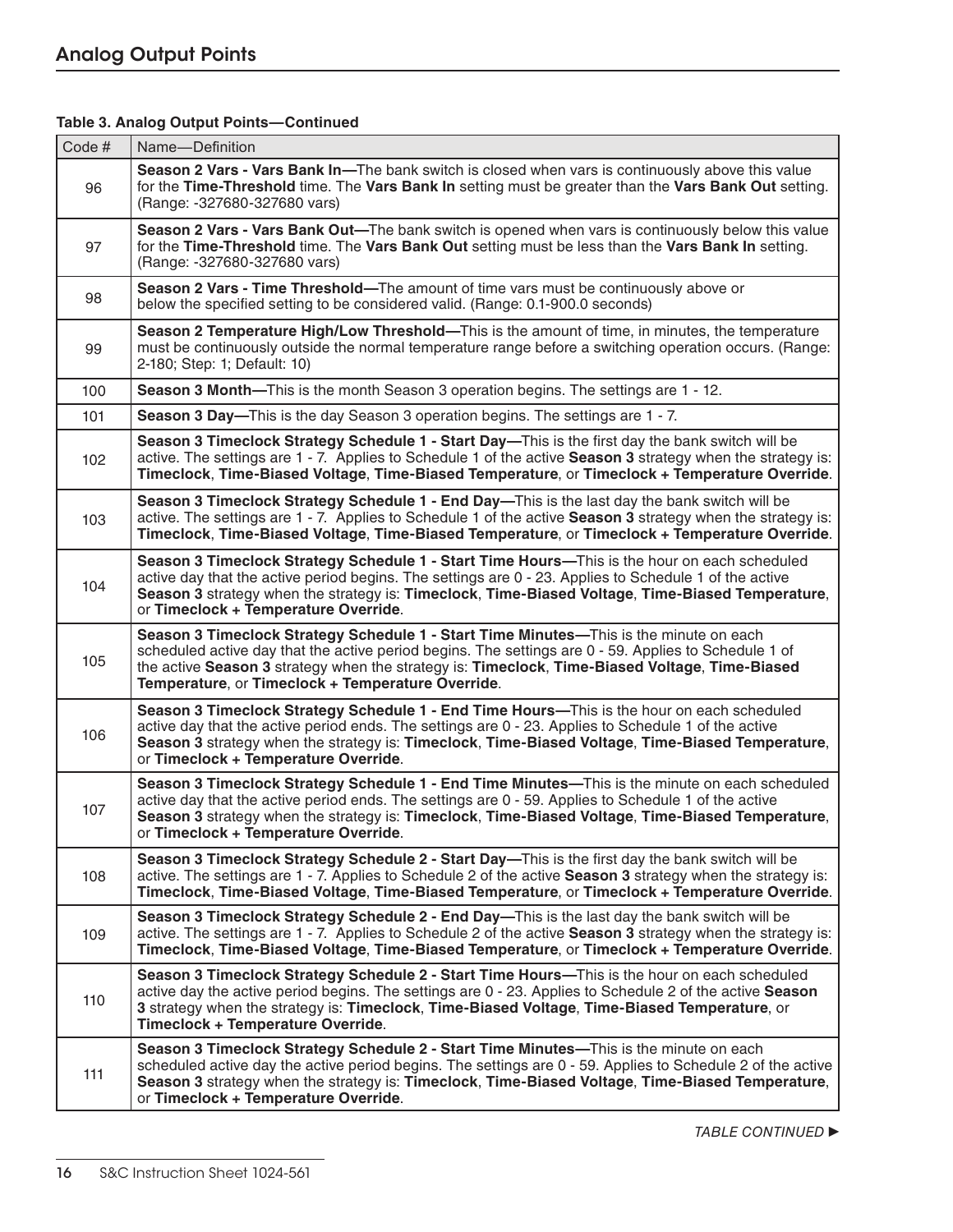| Code# | Name-Definition                                                                                                                                                                                                                                                                                                                                        |
|-------|--------------------------------------------------------------------------------------------------------------------------------------------------------------------------------------------------------------------------------------------------------------------------------------------------------------------------------------------------------|
| 96    | Season 2 Vars - Vars Bank In—The bank switch is closed when vars is continuously above this value<br>for the Time-Threshold time. The Vars Bank In setting must be greater than the Vars Bank Out setting.<br>(Range: -327680-327680 vars)                                                                                                             |
| 97    | Season 2 Vars - Vars Bank Out—The bank switch is opened when vars is continuously below this value<br>for the Time-Threshold time. The Vars Bank Out setting must be less than the Vars Bank In setting.<br>(Range: -327680-327680 vars)                                                                                                               |
| 98    | Season 2 Vars - Time Threshold—The amount of time vars must be continuously above or<br>below the specified setting to be considered valid. (Range: 0.1-900.0 seconds)                                                                                                                                                                                 |
| 99    | Season 2 Temperature High/Low Threshold-This is the amount of time, in minutes, the temperature<br>must be continuously outside the normal temperature range before a switching operation occurs. (Range:<br>2-180; Step: 1; Default: 10)                                                                                                              |
| 100   | Season 3 Month-This is the month Season 3 operation begins. The settings are 1 - 12.                                                                                                                                                                                                                                                                   |
| 101   | Season 3 Day-This is the day Season 3 operation begins. The settings are 1 - 7.                                                                                                                                                                                                                                                                        |
| 102   | Season 3 Timeclock Strategy Schedule 1 - Start Day—This is the first day the bank switch will be<br>active. The settings are 1 - 7. Applies to Schedule 1 of the active <b>Season 3</b> strategy when the strategy is:<br>Timeclock, Time-Biased Voltage, Time-Biased Temperature, or Timeclock + Temperature Override.                                |
| 103   | Season 3 Timeclock Strategy Schedule 1 - End Day—This is the last day the bank switch will be<br>active. The settings are 1 - 7. Applies to Schedule 1 of the active Season 3 strategy when the strategy is:<br>Timeclock, Time-Biased Voltage, Time-Biased Temperature, or Timeclock + Temperature Override.                                          |
| 104   | Season 3 Timeclock Strategy Schedule 1 - Start Time Hours-This is the hour on each scheduled<br>active day that the active period begins. The settings are 0 - 23. Applies to Schedule 1 of the active<br>Season 3 strategy when the strategy is: Timeclock, Time-Biased Voltage, Time-Biased Temperature,<br>or Timeclock + Temperature Override.     |
| 105   | Season 3 Timeclock Strategy Schedule 1 - Start Time Minutes-This is the minute on each<br>scheduled active day that the active period begins. The settings are 0 - 59. Applies to Schedule 1 of<br>the active Season 3 strategy when the strategy is: Timeclock, Time-Biased Voltage, Time-Biased<br>Temperature, or Timeclock + Temperature Override. |
| 106   | Season 3 Timeclock Strategy Schedule 1 - End Time Hours-This is the hour on each scheduled<br>active day that the active period ends. The settings are 0 - 23. Applies to Schedule 1 of the active<br>Season 3 strategy when the strategy is: Timeclock, Time-Biased Voltage, Time-Biased Temperature,<br>or Timeclock + Temperature Override.         |
| 107   | Season 3 Timeclock Strategy Schedule 1 - End Time Minutes-This is the minute on each scheduled<br>active day that the active period ends. The settings are 0 - 59. Applies to Schedule 1 of the active<br>Season 3 strategy when the strategy is: Timeclock, Time-Biased Voltage, Time-Biased Temperature,<br>or Timeclock + Temperature Override.     |
| 108   | Season 3 Timeclock Strategy Schedule 2 - Start Day—This is the first day the bank switch will be<br>active. The settings are 1 - 7. Applies to Schedule 2 of the active Season 3 strategy when the strategy is:<br>Timeclock, Time-Biased Voltage, Time-Biased Temperature, or Timeclock + Temperature Override.                                       |
| 109   | Season 3 Timeclock Strategy Schedule 2 - End Day—This is the last day the bank switch will be<br>active. The settings are 1 - 7. Applies to Schedule 2 of the active Season 3 strategy when the strategy is:<br>Timeclock, Time-Biased Voltage, Time-Biased Temperature, or Timeclock + Temperature Override.                                          |
| 110   | Season 3 Timeclock Strategy Schedule 2 - Start Time Hours—This is the hour on each scheduled<br>active day the active period begins. The settings are 0 - 23. Applies to Schedule 2 of the active Season<br>3 strategy when the strategy is: Timeclock, Time-Biased Voltage, Time-Biased Temperature, or<br>Timeclock + Temperature Override.          |
| 111   | Season 3 Timeclock Strategy Schedule 2 - Start Time Minutes—This is the minute on each<br>scheduled active day the active period begins. The settings are 0 - 59. Applies to Schedule 2 of the active<br>Season 3 strategy when the strategy is: Timeclock, Time-Biased Voltage, Time-Biased Temperature,<br>or Timeclock + Temperature Override.      |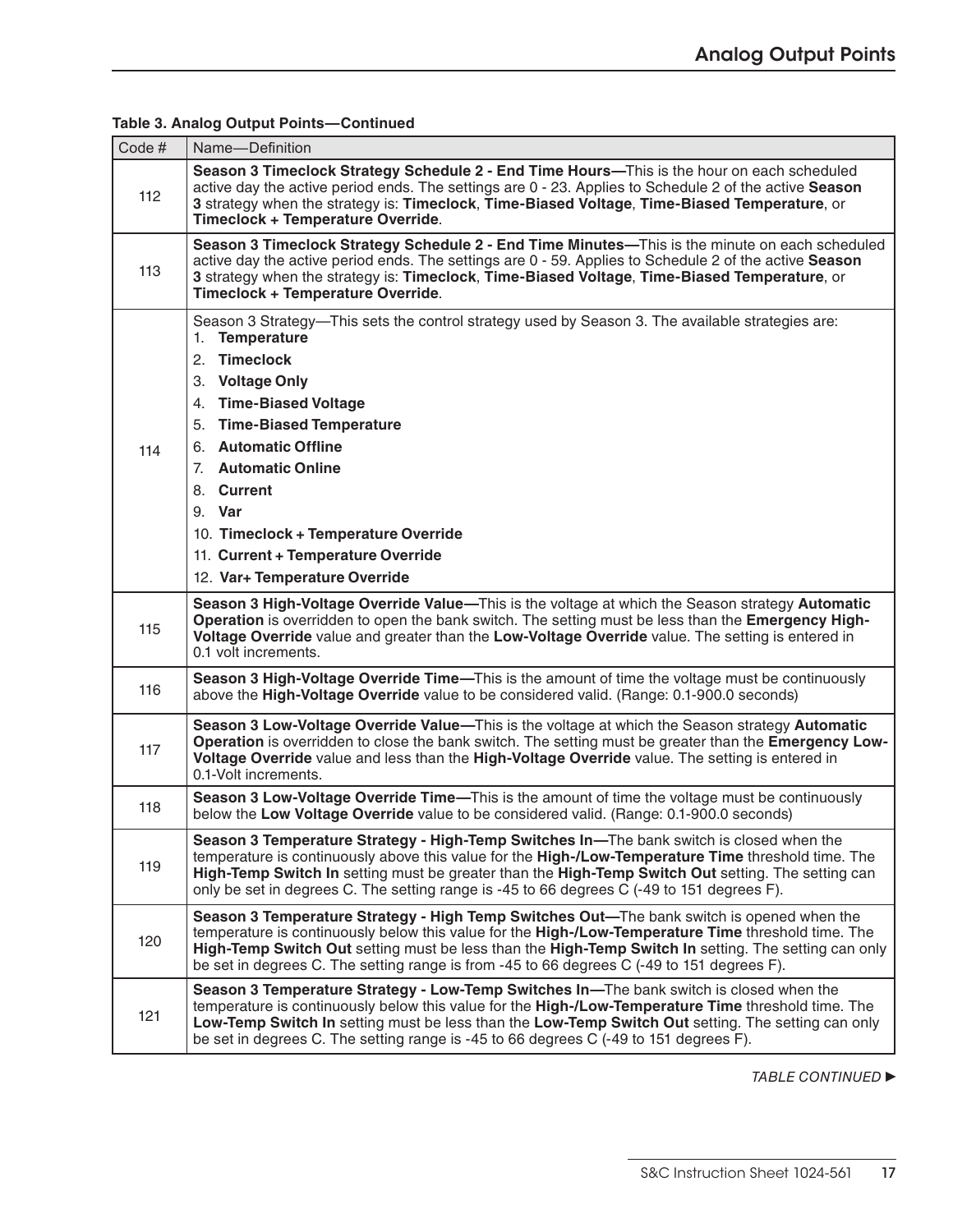| Code # | Name-Definition                                                                                                                                                                                                                                                                                                                                                                                        |
|--------|--------------------------------------------------------------------------------------------------------------------------------------------------------------------------------------------------------------------------------------------------------------------------------------------------------------------------------------------------------------------------------------------------------|
| 112    | Season 3 Timeclock Strategy Schedule 2 - End Time Hours—This is the hour on each scheduled<br>active day the active period ends. The settings are 0 - 23. Applies to Schedule 2 of the active Season<br>3 strategy when the strategy is: Timeclock, Time-Biased Voltage, Time-Biased Temperature, or<br>Timeclock + Temperature Override.                                                              |
| 113    | Season 3 Timeclock Strategy Schedule 2 - End Time Minutes-This is the minute on each scheduled<br>active day the active period ends. The settings are 0 - 59. Applies to Schedule 2 of the active Season<br>3 strategy when the strategy is: Timeclock, Time-Biased Voltage, Time-Biased Temperature, or<br>Timeclock + Temperature Override.                                                          |
| 114    | Season 3 Strategy—This sets the control strategy used by Season 3. The available strategies are:<br>1. Temperature<br>2. Timeclock<br>3. Voltage Only<br>4. Time-Biased Voltage<br>5. Time-Biased Temperature<br>6. Automatic Offline<br>7. Automatic Online<br>8. Current<br>9. Var<br>10. Timeclock + Temperature Override<br>11. Current + Temperature Override                                     |
|        | 12. Var+ Temperature Override                                                                                                                                                                                                                                                                                                                                                                          |
| 115    | Season 3 High-Voltage Override Value-This is the voltage at which the Season strategy Automatic<br>Operation is overridden to open the bank switch. The setting must be less than the Emergency High-<br>Voltage Override value and greater than the Low-Voltage Override value. The setting is entered in<br>0.1 volt increments.                                                                     |
| 116    | Season 3 High-Voltage Override Time-This is the amount of time the voltage must be continuously<br>above the High-Voltage Override value to be considered valid. (Range: 0.1-900.0 seconds)                                                                                                                                                                                                            |
| 117    | Season 3 Low-Voltage Override Value-This is the voltage at which the Season strategy Automatic<br>Operation is overridden to close the bank switch. The setting must be greater than the Emergency Low-<br>Voltage Override value and less than the High-Voltage Override value. The setting is entered in<br>0.1-Volt increments.                                                                     |
| 118    | Season 3 Low-Voltage Override Time—This is the amount of time the voltage must be continuously<br>below the Low Voltage Override value to be considered valid. (Range: 0.1-900.0 seconds)                                                                                                                                                                                                              |
| 119    | Season 3 Temperature Strategy - High-Temp Switches In-The bank switch is closed when the<br>temperature is continuously above this value for the High-/Low-Temperature Time threshold time. The<br>High-Temp Switch In setting must be greater than the High-Temp Switch Out setting. The setting can<br>only be set in degrees C. The setting range is -45 to 66 degrees C (-49 to 151 degrees F).    |
| 120    | Season 3 Temperature Strategy - High Temp Switches Out-The bank switch is opened when the<br>temperature is continuously below this value for the High-/Low-Temperature Time threshold time. The<br>High-Temp Switch Out setting must be less than the High-Temp Switch In setting. The setting can only<br>be set in degrees C. The setting range is from -45 to 66 degrees C (-49 to 151 degrees F). |
| 121    | Season 3 Temperature Strategy - Low-Temp Switches In-The bank switch is closed when the<br>temperature is continuously below this value for the High-/Low-Temperature Time threshold time. The<br>Low-Temp Switch In setting must be less than the Low-Temp Switch Out setting. The setting can only<br>be set in degrees C. The setting range is -45 to 66 degrees C (-49 to 151 degrees F).          |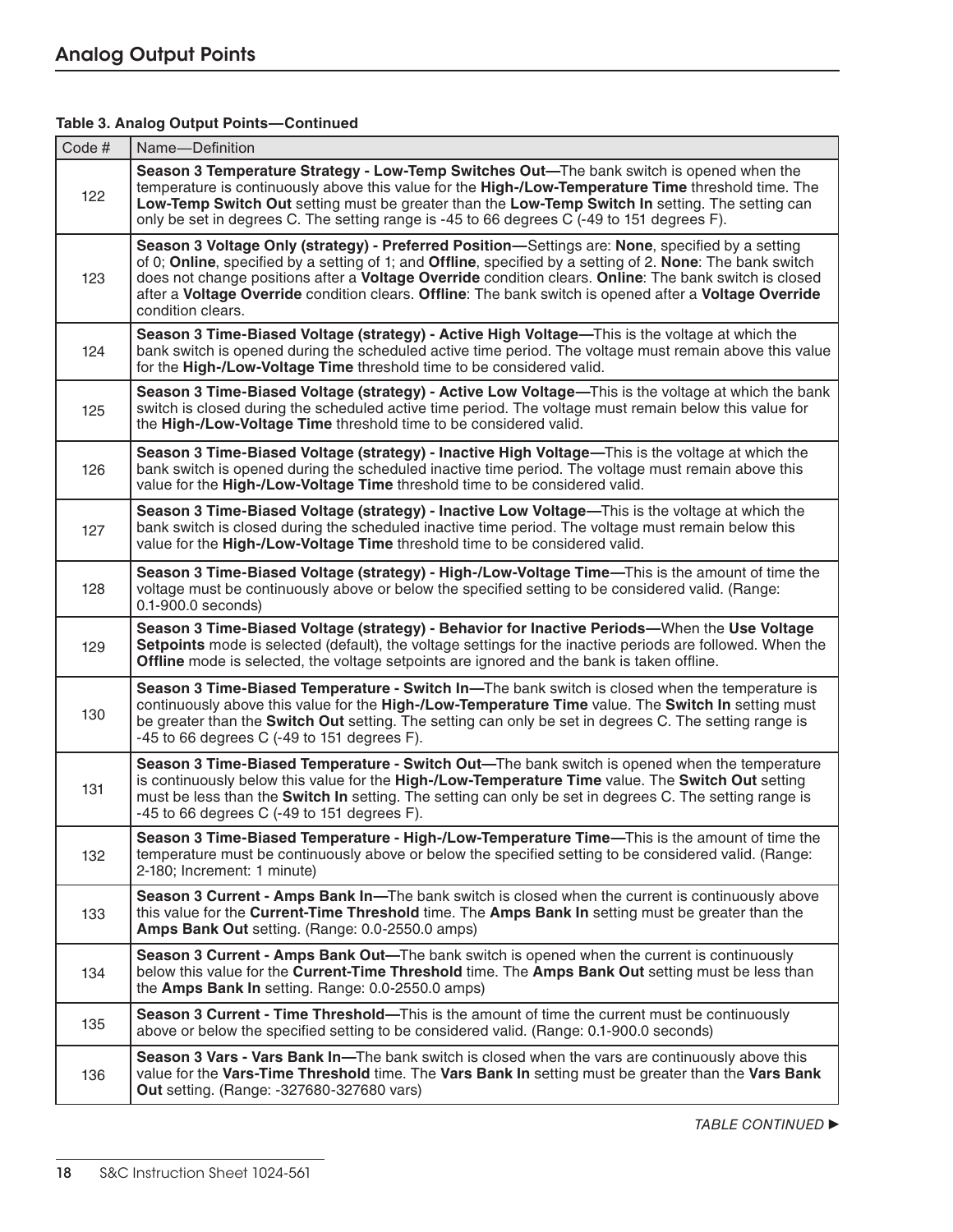| Code # | Name-Definition                                                                                                                                                                                                                                                                                                                                                                                                                                         |
|--------|---------------------------------------------------------------------------------------------------------------------------------------------------------------------------------------------------------------------------------------------------------------------------------------------------------------------------------------------------------------------------------------------------------------------------------------------------------|
| 122    | Season 3 Temperature Strategy - Low-Temp Switches Out-The bank switch is opened when the<br>temperature is continuously above this value for the High-/Low-Temperature Time threshold time. The<br>Low-Temp Switch Out setting must be greater than the Low-Temp Switch In setting. The setting can<br>only be set in degrees C. The setting range is -45 to 66 degrees C (-49 to 151 degrees F).                                                       |
| 123    | Season 3 Voltage Only (strategy) - Preferred Position—Settings are: None, specified by a setting<br>of 0; Online, specified by a setting of 1; and Offline, specified by a setting of 2. None: The bank switch<br>does not change positions after a Voltage Override condition clears. Online: The bank switch is closed<br>after a Voltage Override condition clears. Offline: The bank switch is opened after a Voltage Override<br>condition clears. |
| 124    | Season 3 Time-Biased Voltage (strategy) - Active High Voltage-This is the voltage at which the<br>bank switch is opened during the scheduled active time period. The voltage must remain above this value<br>for the High-/Low-Voltage Time threshold time to be considered valid.                                                                                                                                                                      |
| 125    | Season 3 Time-Biased Voltage (strategy) - Active Low Voltage—This is the voltage at which the bank<br>switch is closed during the scheduled active time period. The voltage must remain below this value for<br>the High-/Low-Voltage Time threshold time to be considered valid.                                                                                                                                                                       |
| 126    | Season 3 Time-Biased Voltage (strategy) - Inactive High Voltage-This is the voltage at which the<br>bank switch is opened during the scheduled inactive time period. The voltage must remain above this<br>value for the High-/Low-Voltage Time threshold time to be considered valid.                                                                                                                                                                  |
| 127    | Season 3 Time-Biased Voltage (strategy) - Inactive Low Voltage-This is the voltage at which the<br>bank switch is closed during the scheduled inactive time period. The voltage must remain below this<br>value for the High-/Low-Voltage Time threshold time to be considered valid.                                                                                                                                                                   |
| 128    | Season 3 Time-Biased Voltage (strategy) - High-/Low-Voltage Time-This is the amount of time the<br>voltage must be continuously above or below the specified setting to be considered valid. (Range:<br>0.1-900.0 seconds)                                                                                                                                                                                                                              |
| 129    | Season 3 Time-Biased Voltage (strategy) - Behavior for Inactive Periods-When the Use Voltage<br>Setpoints mode is selected (default), the voltage settings for the inactive periods are followed. When the<br>Offline mode is selected, the voltage setpoints are ignored and the bank is taken offline.                                                                                                                                                |
| 130    | Season 3 Time-Biased Temperature - Switch In-The bank switch is closed when the temperature is<br>continuously above this value for the High-/Low-Temperature Time value. The Switch In setting must<br>be greater than the Switch Out setting. The setting can only be set in degrees C. The setting range is<br>$-45$ to 66 degrees C ( $-49$ to 151 degrees F).                                                                                      |
| 131    | Season 3 Time-Biased Temperature - Switch Out-The bank switch is opened when the temperature<br>is continuously below this value for the High-/Low-Temperature Time value. The Switch Out setting<br>must be less than the <b>Switch In</b> setting. The setting can only be set in degrees C. The setting range is<br>-45 to 66 degrees C (-49 to 151 degrees F).                                                                                      |
| 132    | Season 3 Time-Biased Temperature - High-/Low-Temperature Time-This is the amount of time the<br>temperature must be continuously above or below the specified setting to be considered valid. (Range:<br>2-180; Increment: 1 minute)                                                                                                                                                                                                                    |
| 133    | Season 3 Current - Amps Bank In-The bank switch is closed when the current is continuously above<br>this value for the Current-Time Threshold time. The Amps Bank In setting must be greater than the<br>Amps Bank Out setting. (Range: 0.0-2550.0 amps)                                                                                                                                                                                                |
| 134    | Season 3 Current - Amps Bank Out—The bank switch is opened when the current is continuously<br>below this value for the Current-Time Threshold time. The Amps Bank Out setting must be less than<br>the Amps Bank In setting. Range: 0.0-2550.0 amps)                                                                                                                                                                                                   |
| 135    | Season 3 Current - Time Threshold-This is the amount of time the current must be continuously<br>above or below the specified setting to be considered valid. (Range: 0.1-900.0 seconds)                                                                                                                                                                                                                                                                |
| 136    | Season 3 Vars - Vars Bank In-The bank switch is closed when the vars are continuously above this<br>value for the Vars-Time Threshold time. The Vars Bank In setting must be greater than the Vars Bank<br>Out setting. (Range: -327680-327680 vars)                                                                                                                                                                                                    |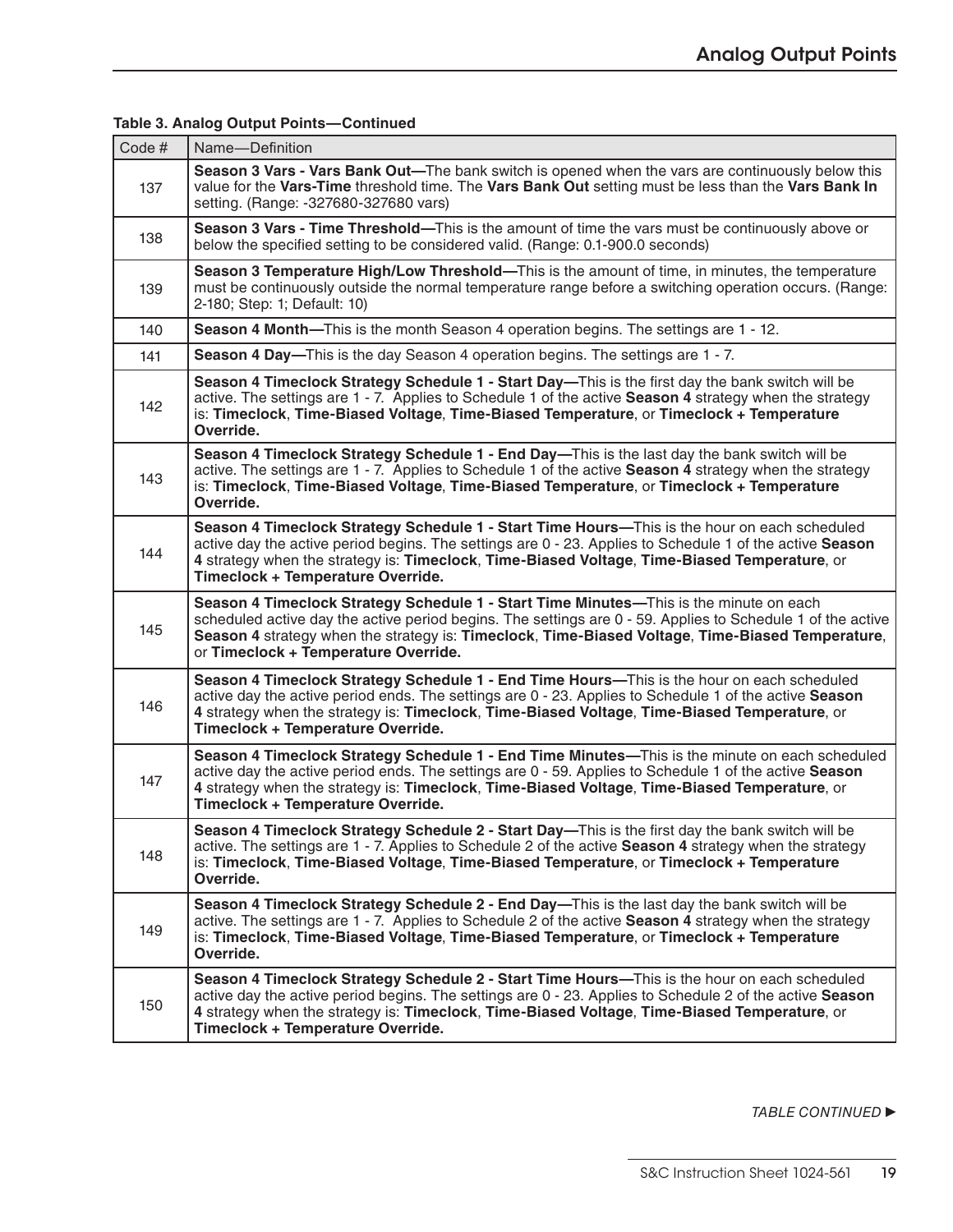| Code # | Name-Definition                                                                                                                                                                                                                                                                                                                                   |
|--------|---------------------------------------------------------------------------------------------------------------------------------------------------------------------------------------------------------------------------------------------------------------------------------------------------------------------------------------------------|
| 137    | Season 3 Vars - Vars Bank Out—The bank switch is opened when the vars are continuously below this<br>value for the Vars-Time threshold time. The Vars Bank Out setting must be less than the Vars Bank In<br>setting. (Range: -327680-327680 vars)                                                                                                |
| 138    | Season 3 Vars - Time Threshold—This is the amount of time the vars must be continuously above or<br>below the specified setting to be considered valid. (Range: 0.1-900.0 seconds)                                                                                                                                                                |
| 139    | Season 3 Temperature High/Low Threshold—This is the amount of time, in minutes, the temperature<br>must be continuously outside the normal temperature range before a switching operation occurs. (Range:<br>2-180; Step: 1; Default: 10)                                                                                                         |
| 140    | <b>Season 4 Month—This is the month Season 4 operation begins. The settings are 1 - 12.</b>                                                                                                                                                                                                                                                       |
| 141    | <b>Season 4 Day—This is the day Season 4 operation begins. The settings are 1 - 7.</b>                                                                                                                                                                                                                                                            |
| 142    | Season 4 Timeclock Strategy Schedule 1 - Start Day—This is the first day the bank switch will be<br>active. The settings are 1 - 7. Applies to Schedule 1 of the active Season 4 strategy when the strategy<br>is: Timeclock, Time-Biased Voltage, Time-Biased Temperature, or Timeclock + Temperature<br>Override.                               |
| 143    | Season 4 Timeclock Strategy Schedule 1 - End Day—This is the last day the bank switch will be<br>active. The settings are 1 - 7. Applies to Schedule 1 of the active Season 4 strategy when the strategy<br>is: Timeclock, Time-Biased Voltage, Time-Biased Temperature, or Timeclock + Temperature<br>Override.                                  |
| 144    | Season 4 Timeclock Strategy Schedule 1 - Start Time Hours—This is the hour on each scheduled<br>active day the active period begins. The settings are 0 - 23. Applies to Schedule 1 of the active Season<br>4 strategy when the strategy is: Timeclock, Time-Biased Voltage, Time-Biased Temperature, or<br>Timeclock + Temperature Override.     |
| 145    | Season 4 Timeclock Strategy Schedule 1 - Start Time Minutes—This is the minute on each<br>scheduled active day the active period begins. The settings are 0 - 59. Applies to Schedule 1 of the active<br>Season 4 strategy when the strategy is: Timeclock, Time-Biased Voltage, Time-Biased Temperature,<br>or Timeclock + Temperature Override. |
| 146    | Season 4 Timeclock Strategy Schedule 1 - End Time Hours—This is the hour on each scheduled<br>active day the active period ends. The settings are 0 - 23. Applies to Schedule 1 of the active Season<br>4 strategy when the strategy is: Timeclock, Time-Biased Voltage, Time-Biased Temperature, or<br>Timeclock + Temperature Override.         |
| 147    | Season 4 Timeclock Strategy Schedule 1 - End Time Minutes—This is the minute on each scheduled<br>active day the active period ends. The settings are 0 - 59. Applies to Schedule 1 of the active Season<br>4 strategy when the strategy is: Timeclock, Time-Biased Voltage, Time-Biased Temperature, or<br>Timeclock + Temperature Override.     |
| 148    | Season 4 Timeclock Strategy Schedule 2 - Start Day—This is the first day the bank switch will be<br>active. The settings are 1 - 7. Applies to Schedule 2 of the active Season 4 strategy when the strategy<br>is: Timeclock, Time-Biased Voltage, Time-Biased Temperature, or Timeclock + Temperature<br>Override.                               |
| 149    | Season 4 Timeclock Strategy Schedule 2 - End Day—This is the last day the bank switch will be<br>active. The settings are 1 - 7. Applies to Schedule 2 of the active Season 4 strategy when the strategy<br>is: Timeclock, Time-Biased Voltage, Time-Biased Temperature, or Timeclock + Temperature<br>Override.                                  |
| 150    | Season 4 Timeclock Strategy Schedule 2 - Start Time Hours—This is the hour on each scheduled<br>active day the active period begins. The settings are 0 - 23. Applies to Schedule 2 of the active Season<br>4 strategy when the strategy is: Timeclock, Time-Biased Voltage, Time-Biased Temperature, or<br>Timeclock + Temperature Override.     |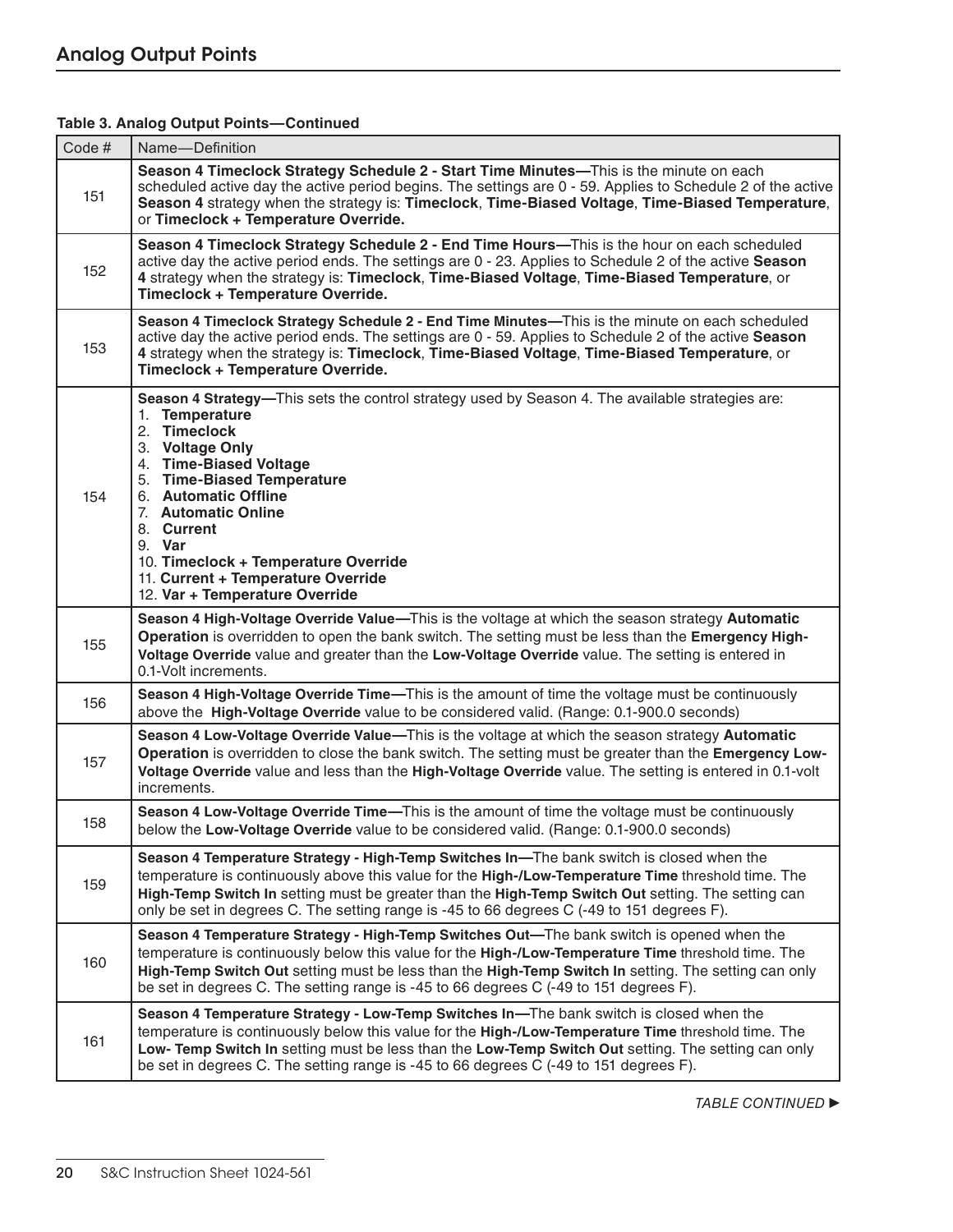| Code# | Name-Definition                                                                                                                                                                                                                                                                                                                                                                                      |
|-------|------------------------------------------------------------------------------------------------------------------------------------------------------------------------------------------------------------------------------------------------------------------------------------------------------------------------------------------------------------------------------------------------------|
| 151   | Season 4 Timeclock Strategy Schedule 2 - Start Time Minutes—This is the minute on each<br>scheduled active day the active period begins. The settings are 0 - 59. Applies to Schedule 2 of the active<br>Season 4 strategy when the strategy is: Timeclock, Time-Biased Voltage, Time-Biased Temperature,<br>or Timeclock + Temperature Override.                                                    |
| 152   | Season 4 Timeclock Strategy Schedule 2 - End Time Hours—This is the hour on each scheduled<br>active day the active period ends. The settings are 0 - 23. Applies to Schedule 2 of the active Season<br>4 strategy when the strategy is: Timeclock, Time-Biased Voltage, Time-Biased Temperature, or<br>Timeclock + Temperature Override.                                                            |
| 153   | Season 4 Timeclock Strategy Schedule 2 - End Time Minutes—This is the minute on each scheduled<br>active day the active period ends. The settings are 0 - 59. Applies to Schedule 2 of the active Season<br>4 strategy when the strategy is: Timeclock, Time-Biased Voltage, Time-Biased Temperature, or<br>Timeclock + Temperature Override.                                                        |
| 154   | Season 4 Strategy-This sets the control strategy used by Season 4. The available strategies are:<br>1. Temperature<br>2. Timeclock<br>3. Voltage Only<br>4. Time-Biased Voltage<br>5. Time-Biased Temperature<br>6. Automatic Offline<br>7. Automatic Online<br>8. Current<br>9. Var<br>10. Timeclock + Temperature Override<br>11. Current + Temperature Override<br>12. Var + Temperature Override |
|       | Season 4 High-Voltage Override Value-This is the voltage at which the season strategy Automatic<br>Operation is overridden to open the bank switch. The setting must be less than the Emergency High-                                                                                                                                                                                                |
| 155   | Voltage Override value and greater than the Low-Voltage Override value. The setting is entered in<br>0.1-Volt increments.                                                                                                                                                                                                                                                                            |
| 156   | Season 4 High-Voltage Override Time-This is the amount of time the voltage must be continuously<br>above the High-Voltage Override value to be considered valid. (Range: 0.1-900.0 seconds)                                                                                                                                                                                                          |
| 157   | Season 4 Low-Voltage Override Value-This is the voltage at which the season strategy Automatic<br>Operation is overridden to close the bank switch. The setting must be greater than the Emergency Low-<br>Voltage Override value and less than the High-Voltage Override value. The setting is entered in 0.1-volt<br>increments.                                                                   |
| 158   | Season 4 Low-Voltage Override Time-This is the amount of time the voltage must be continuously<br>below the Low-Voltage Override value to be considered valid. (Range: 0.1-900.0 seconds)                                                                                                                                                                                                            |
| 159   | Season 4 Temperature Strategy - High-Temp Switches In-The bank switch is closed when the<br>temperature is continuously above this value for the High-/Low-Temperature Time threshold time. The<br>High-Temp Switch In setting must be greater than the High-Temp Switch Out setting. The setting can<br>only be set in degrees C. The setting range is -45 to 66 degrees C (-49 to 151 degrees F).  |
| 160   | Season 4 Temperature Strategy - High-Temp Switches Out—The bank switch is opened when the<br>temperature is continuously below this value for the High-/Low-Temperature Time threshold time. The<br>High-Temp Switch Out setting must be less than the High-Temp Switch In setting. The setting can only<br>be set in degrees C. The setting range is -45 to 66 degrees C (-49 to 151 degrees F).    |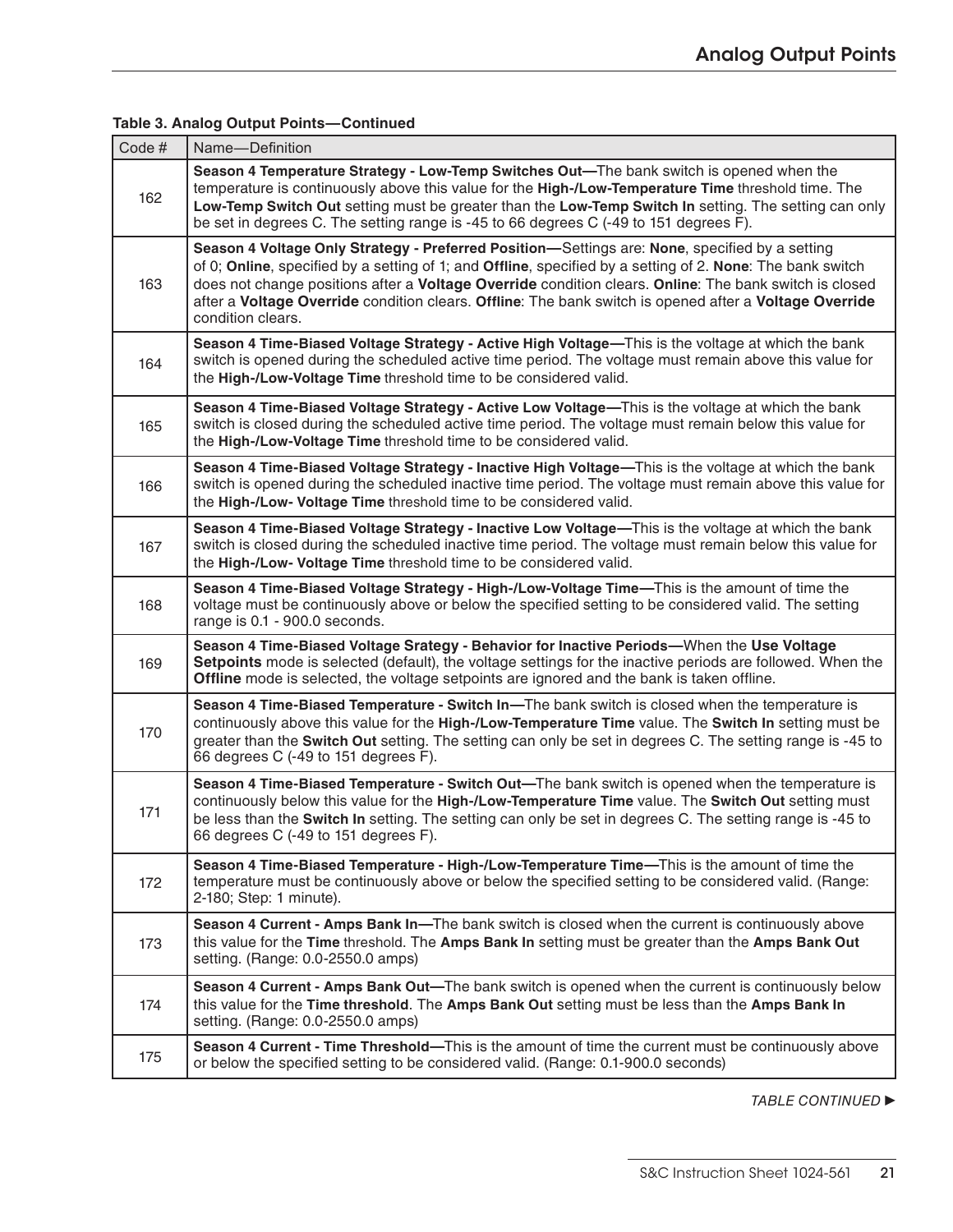| Code# | Name-Definition                                                                                                                                                                                                                                                                                                                                                                                                                                       |
|-------|-------------------------------------------------------------------------------------------------------------------------------------------------------------------------------------------------------------------------------------------------------------------------------------------------------------------------------------------------------------------------------------------------------------------------------------------------------|
| 162   | Season 4 Temperature Strategy - Low-Temp Switches Out-The bank switch is opened when the<br>temperature is continuously above this value for the High-/Low-Temperature Time threshold time. The<br>Low-Temp Switch Out setting must be greater than the Low-Temp Switch In setting. The setting can only<br>be set in degrees C. The setting range is -45 to 66 degrees C (-49 to 151 degrees F).                                                     |
| 163   | Season 4 Voltage Only Strategy - Preferred Position-Settings are: None, specified by a setting<br>of 0; Online, specified by a setting of 1; and Offline, specified by a setting of 2. None: The bank switch<br>does not change positions after a Voltage Override condition clears. Online: The bank switch is closed<br>after a Voltage Override condition clears. Offline: The bank switch is opened after a Voltage Override<br>condition clears. |
| 164   | Season 4 Time-Biased Voltage Strategy - Active High Voltage—This is the voltage at which the bank<br>switch is opened during the scheduled active time period. The voltage must remain above this value for<br>the High-/Low-Voltage Time threshold time to be considered valid.                                                                                                                                                                      |
| 165   | Season 4 Time-Biased Voltage Strategy - Active Low Voltage—This is the voltage at which the bank<br>switch is closed during the scheduled active time period. The voltage must remain below this value for<br>the High-/Low-Voltage Time threshold time to be considered valid.                                                                                                                                                                       |
| 166   | Season 4 Time-Biased Voltage Strategy - Inactive High Voltage—This is the voltage at which the bank<br>switch is opened during the scheduled inactive time period. The voltage must remain above this value for<br>the High-/Low- Voltage Time threshold time to be considered valid.                                                                                                                                                                 |
| 167   | Season 4 Time-Biased Voltage Strategy - Inactive Low Voltage—This is the voltage at which the bank<br>switch is closed during the scheduled inactive time period. The voltage must remain below this value for<br>the High-/Low- Voltage Time threshold time to be considered valid.                                                                                                                                                                  |
| 168   | Season 4 Time-Biased Voltage Strategy - High-/Low-Voltage Time—This is the amount of time the<br>voltage must be continuously above or below the specified setting to be considered valid. The setting<br>range is 0.1 - 900.0 seconds.                                                                                                                                                                                                               |
| 169   | Season 4 Time-Biased Voltage Srategy - Behavior for Inactive Periods-When the Use Voltage<br>Setpoints mode is selected (default), the voltage settings for the inactive periods are followed. When the<br>Offline mode is selected, the voltage setpoints are ignored and the bank is taken offline.                                                                                                                                                 |
| 170   | Season 4 Time-Biased Temperature - Switch In-The bank switch is closed when the temperature is<br>continuously above this value for the High-/Low-Temperature Time value. The Switch In setting must be<br>greater than the Switch Out setting. The setting can only be set in degrees C. The setting range is -45 to<br>66 degrees C (-49 to 151 degrees F).                                                                                         |
| 171   | Season 4 Time-Biased Temperature - Switch Out-The bank switch is opened when the temperature is<br>continuously below this value for the High-/Low-Temperature Time value. The Switch Out setting must<br>be less than the Switch In setting. The setting can only be set in degrees C. The setting range is -45 to<br>66 degrees C (-49 to 151 degrees F).                                                                                           |
| 172   | Season 4 Time-Biased Temperature - High-/Low-Temperature Time—This is the amount of time the<br>temperature must be continuously above or below the specified setting to be considered valid. (Range:<br>2-180; Step: 1 minute).                                                                                                                                                                                                                      |
| 173   | Season 4 Current - Amps Bank In-The bank switch is closed when the current is continuously above<br>this value for the Time threshold. The Amps Bank In setting must be greater than the Amps Bank Out<br>setting. (Range: 0.0-2550.0 amps)                                                                                                                                                                                                           |
| 174   | Season 4 Current - Amps Bank Out-The bank switch is opened when the current is continuously below<br>this value for the Time threshold. The Amps Bank Out setting must be less than the Amps Bank In<br>setting. (Range: 0.0-2550.0 amps)                                                                                                                                                                                                             |
| 175   | Season 4 Current - Time Threshold—This is the amount of time the current must be continuously above<br>or below the specified setting to be considered valid. (Range: 0.1-900.0 seconds)                                                                                                                                                                                                                                                              |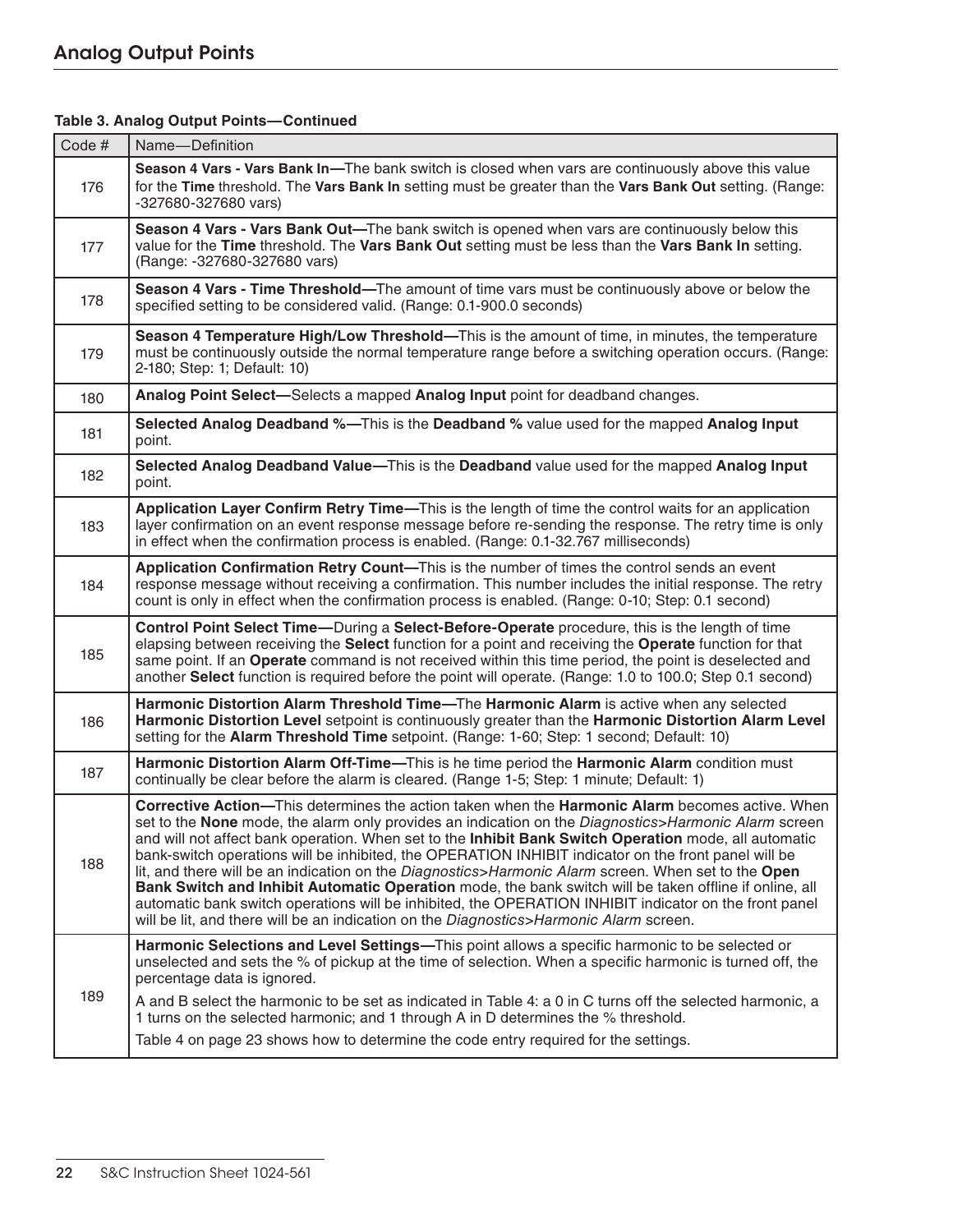| Code# | Name-Definition                                                                                                                                                                                                                                                                                                                                                                                                                                                                                                                                                                                                                                                                                                                                                                                                                               |
|-------|-----------------------------------------------------------------------------------------------------------------------------------------------------------------------------------------------------------------------------------------------------------------------------------------------------------------------------------------------------------------------------------------------------------------------------------------------------------------------------------------------------------------------------------------------------------------------------------------------------------------------------------------------------------------------------------------------------------------------------------------------------------------------------------------------------------------------------------------------|
| 176   | Season 4 Vars - Vars Bank In-The bank switch is closed when vars are continuously above this value<br>for the Time threshold. The Vars Bank In setting must be greater than the Vars Bank Out setting. (Range:<br>-327680-327680 vars)                                                                                                                                                                                                                                                                                                                                                                                                                                                                                                                                                                                                        |
| 177   | Season 4 Vars - Vars Bank Out-The bank switch is opened when vars are continuously below this<br>value for the Time threshold. The Vars Bank Out setting must be less than the Vars Bank In setting.<br>(Range: -327680-327680 vars)                                                                                                                                                                                                                                                                                                                                                                                                                                                                                                                                                                                                          |
| 178   | Season 4 Vars - Time Threshold—The amount of time vars must be continuously above or below the<br>specified setting to be considered valid. (Range: 0.1-900.0 seconds)                                                                                                                                                                                                                                                                                                                                                                                                                                                                                                                                                                                                                                                                        |
| 179   | Season 4 Temperature High/Low Threshold—This is the amount of time, in minutes, the temperature<br>must be continuously outside the normal temperature range before a switching operation occurs. (Range:<br>2-180; Step: 1; Default: 10)                                                                                                                                                                                                                                                                                                                                                                                                                                                                                                                                                                                                     |
| 180   | Analog Point Select—Selects a mapped Analog Input point for deadband changes.                                                                                                                                                                                                                                                                                                                                                                                                                                                                                                                                                                                                                                                                                                                                                                 |
| 181   | Selected Analog Deadband %—This is the Deadband % value used for the mapped Analog Input<br>point.                                                                                                                                                                                                                                                                                                                                                                                                                                                                                                                                                                                                                                                                                                                                            |
| 182   | Selected Analog Deadband Value-This is the Deadband value used for the mapped Analog Input<br>point.                                                                                                                                                                                                                                                                                                                                                                                                                                                                                                                                                                                                                                                                                                                                          |
| 183   | Application Layer Confirm Retry Time—This is the length of time the control waits for an application<br>layer confirmation on an event response message before re-sending the response. The retry time is only<br>in effect when the confirmation process is enabled. (Range: 0.1-32.767 milliseconds)                                                                                                                                                                                                                                                                                                                                                                                                                                                                                                                                        |
| 184   | Application Confirmation Retry Count-This is the number of times the control sends an event<br>response message without receiving a confirmation. This number includes the initial response. The retry<br>count is only in effect when the confirmation process is enabled. (Range: 0-10; Step: 0.1 second)                                                                                                                                                                                                                                                                                                                                                                                                                                                                                                                                   |
| 185   | Control Point Select Time—During a Select-Before-Operate procedure, this is the length of time<br>elapsing between receiving the Select function for a point and receiving the Operate function for that<br>same point. If an Operate command is not received within this time period, the point is deselected and<br>another Select function is required before the point will operate. (Range: 1.0 to 100.0; Step 0.1 second)                                                                                                                                                                                                                                                                                                                                                                                                               |
| 186   | Harmonic Distortion Alarm Threshold Time-The Harmonic Alarm is active when any selected<br>Harmonic Distortion Level setpoint is continuously greater than the Harmonic Distortion Alarm Level<br>setting for the Alarm Threshold Time setpoint. (Range: 1-60; Step: 1 second; Default: 10)                                                                                                                                                                                                                                                                                                                                                                                                                                                                                                                                                   |
| 187   | Harmonic Distortion Alarm Off-Time-This is he time period the Harmonic Alarm condition must<br>continually be clear before the alarm is cleared. (Range 1-5; Step: 1 minute; Default: 1)                                                                                                                                                                                                                                                                                                                                                                                                                                                                                                                                                                                                                                                      |
| 188   | Corrective Action-This determines the action taken when the Harmonic Alarm becomes active. When<br>set to the None mode, the alarm only provides an indication on the Diagnostics>Harmonic Alarm screen<br>and will not affect bank operation. When set to the Inhibit Bank Switch Operation mode, all automatic<br>bank-switch operations will be inhibited, the OPERATION INHIBIT indicator on the front panel will be<br>lit, and there will be an indication on the Diagnostics>Harmonic Alarm screen. When set to the Open<br>Bank Switch and Inhibit Automatic Operation mode, the bank switch will be taken offline if online, all<br>automatic bank switch operations will be inhibited, the OPERATION INHIBIT indicator on the front panel<br>will be lit, and there will be an indication on the Diagnostics>Harmonic Alarm screen. |
|       | Harmonic Selections and Level Settings-This point allows a specific harmonic to be selected or<br>unselected and sets the % of pickup at the time of selection. When a specific harmonic is turned off, the<br>percentage data is ignored.                                                                                                                                                                                                                                                                                                                                                                                                                                                                                                                                                                                                    |
| 189   | A and B select the harmonic to be set as indicated in Table 4: a 0 in C turns off the selected harmonic, a<br>1 turns on the selected harmonic; and 1 through A in D determines the % threshold.                                                                                                                                                                                                                                                                                                                                                                                                                                                                                                                                                                                                                                              |
|       | Table 4 on page 23 shows how to determine the code entry required for the settings.                                                                                                                                                                                                                                                                                                                                                                                                                                                                                                                                                                                                                                                                                                                                                           |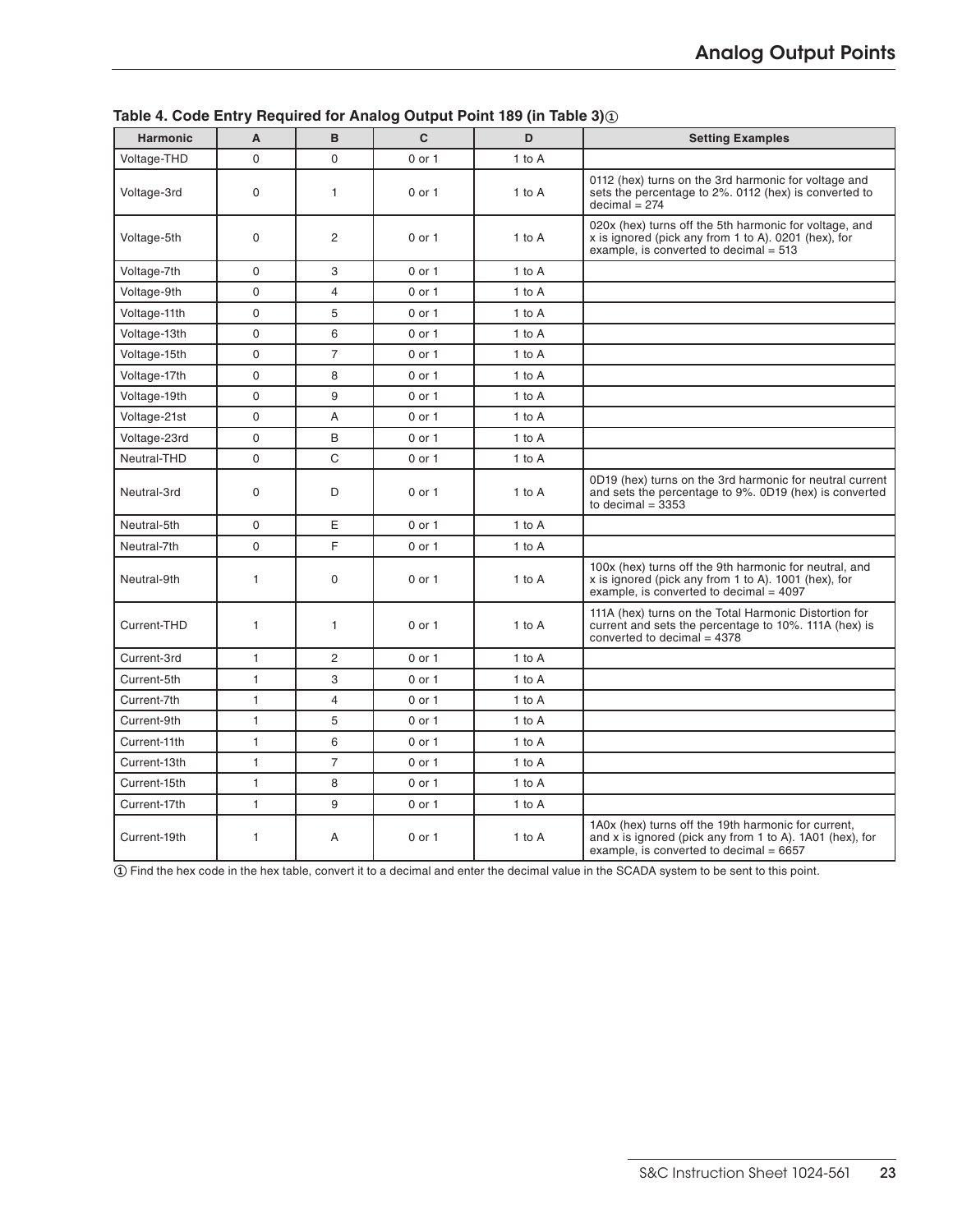| <b>Harmonic</b> | A            | B              | $\mathbf{C}$ | D      | <b>Setting Examples</b>                                                                                                                                      |
|-----------------|--------------|----------------|--------------|--------|--------------------------------------------------------------------------------------------------------------------------------------------------------------|
| Voltage-THD     | $\mathbf 0$  | $\mathbf 0$    | 0 or 1       | 1 to A |                                                                                                                                                              |
| Voltage-3rd     | $\mathbf 0$  | $\mathbf{1}$   | 0 or 1       | 1 to A | 0112 (hex) turns on the 3rd harmonic for voltage and<br>sets the percentage to 2%. 0112 (hex) is converted to<br>$decimal = 274$                             |
| Voltage-5th     | $\mathbf 0$  | 2              | $0$ or $1$   | 1 to A | 020x (hex) turns off the 5th harmonic for voltage, and<br>x is ignored (pick any from 1 to A). 0201 (hex), for<br>example, is converted to decimal $= 513$   |
| Voltage-7th     | $\mathbf 0$  | 3              | $0$ or $1$   | 1 to A |                                                                                                                                                              |
| Voltage-9th     | 0            | $\overline{4}$ | 0 or 1       | 1 to A |                                                                                                                                                              |
| Voltage-11th    | $\Omega$     | 5              | $0$ or $1$   | 1 to A |                                                                                                                                                              |
| Voltage-13th    | $\mathbf 0$  | 6              | 0 or 1       | 1 to A |                                                                                                                                                              |
| Voltage-15th    | $\mathbf 0$  | $\overline{7}$ | $0$ or $1$   | 1 to A |                                                                                                                                                              |
| Voltage-17th    | $\mathbf 0$  | 8              | 0 or 1       | 1 to A |                                                                                                                                                              |
| Voltage-19th    | $\mathbf 0$  | 9              | 0 or 1       | 1 to A |                                                                                                                                                              |
| Voltage-21st    | $\Omega$     | Α              | 0 or 1       | 1 to A |                                                                                                                                                              |
| Voltage-23rd    | $\Omega$     | B              | 0 or 1       | 1 to A |                                                                                                                                                              |
| Neutral-THD     | $\mathbf 0$  | C              | $0$ or $1$   | 1 to A |                                                                                                                                                              |
| Neutral-3rd     | $\mathbf 0$  | D              | $0$ or $1$   | 1 to A | 0D19 (hex) turns on the 3rd harmonic for neutral current<br>and sets the percentage to 9%. 0D19 (hex) is converted<br>to decimal $=$ 3353                    |
| Neutral-5th     | $\mathbf 0$  | Е              | 0 or 1       | 1 to A |                                                                                                                                                              |
| Neutral-7th     | $\mathbf 0$  | F              | $0$ or $1$   | 1 to A |                                                                                                                                                              |
| Neutral-9th     | 1            | $\mathbf 0$    | 0 or 1       | 1 to A | 100x (hex) turns off the 9th harmonic for neutral, and<br>x is ignored (pick any from 1 to A). 1001 (hex), for<br>example, is converted to decimal = 4097    |
| Current-THD     | 1            | 1              | 0 or 1       | 1 to A | 111A (hex) turns on the Total Harmonic Distortion for<br>current and sets the percentage to 10%. 111A (hex) is<br>converted to decimal = $4378$              |
| Current-3rd     | 1            | $\overline{c}$ | $0$ or $1$   | 1 to A |                                                                                                                                                              |
| Current-5th     | $\mathbf{1}$ | 3              | $0$ or $1$   | 1 to A |                                                                                                                                                              |
| Current-7th     | $\mathbf{1}$ | $\overline{4}$ | $0$ or $1$   | 1 to A |                                                                                                                                                              |
| Current-9th     | $\mathbf{1}$ | 5              | $0$ or $1$   | 1 to A |                                                                                                                                                              |
| Current-11th    | $\mathbf{1}$ | 6              | 0 or 1       | 1 to A |                                                                                                                                                              |
| Current-13th    | $\mathbf{1}$ | $\overline{7}$ | 0 or 1       | 1 to A |                                                                                                                                                              |
| Current-15th    | $\mathbf{1}$ | 8              | 0 or 1       | 1 to A |                                                                                                                                                              |
| Current-17th    | $\mathbf{1}$ | 9              | $0$ or $1$   | 1 to A |                                                                                                                                                              |
| Current-19th    | 1            | Α              | 0 or 1       | 1 to A | 1A0x (hex) turns off the 19th harmonic for current,<br>and x is ignored (pick any from 1 to A). 1A01 (hex), for<br>example, is converted to decimal $= 6657$ |

**Table 4. Code Entry Required for Analog Output Point 189 (in Table 3)①**

**①** Find the hex code in the hex table, convert it to a decimal and enter the decimal value in the SCADA system to be sent to this point.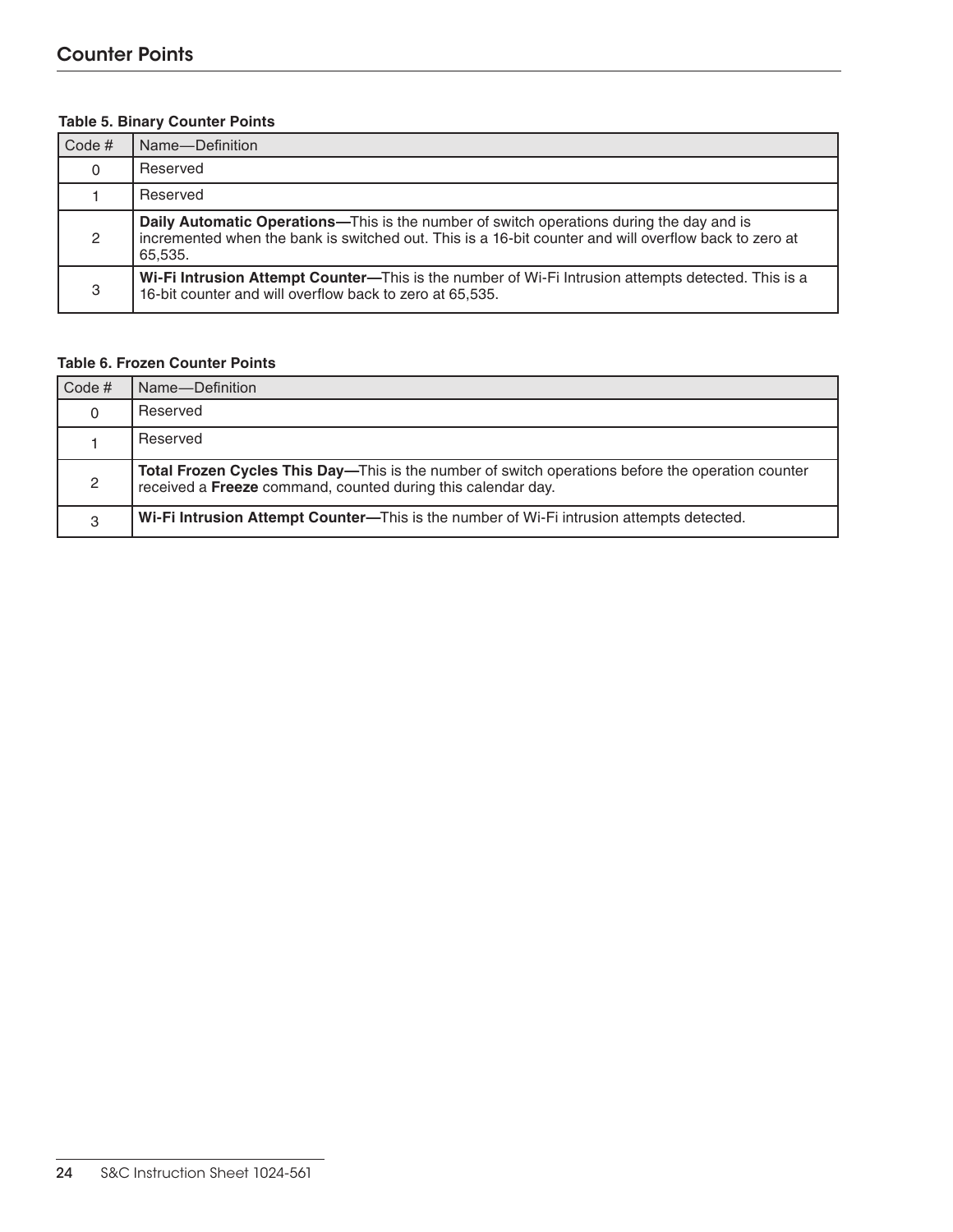## **Table 5. Binary Counter Points**

| Code#    | Name-Definition                                                                                                                                                                                                     |
|----------|---------------------------------------------------------------------------------------------------------------------------------------------------------------------------------------------------------------------|
| $\Omega$ | Reserved                                                                                                                                                                                                            |
|          | Reserved                                                                                                                                                                                                            |
| 2        | <b>Daily Automatic Operations—This is the number of switch operations during the day and is</b><br>incremented when the bank is switched out. This is a 16-bit counter and will overflow back to zero at<br>65.535. |
| 3        | Wi-Fi Intrusion Attempt Counter-This is the number of Wi-Fi Intrusion attempts detected. This is a<br>16-bit counter and will overflow back to zero at 65,535.                                                      |

## **Table 6. Frozen Counter Points**

| $\vert$ Code # | Name-Definition                                                                                                                                                   |
|----------------|-------------------------------------------------------------------------------------------------------------------------------------------------------------------|
| $\Omega$       | Reserved                                                                                                                                                          |
|                | Reserved                                                                                                                                                          |
| 2              | Total Frozen Cycles This Day—This is the number of switch operations before the operation counter<br>received a Freeze command, counted during this calendar day. |
| 3              | Wi-Fi Intrusion Attempt Counter—This is the number of Wi-Fi intrusion attempts detected.                                                                          |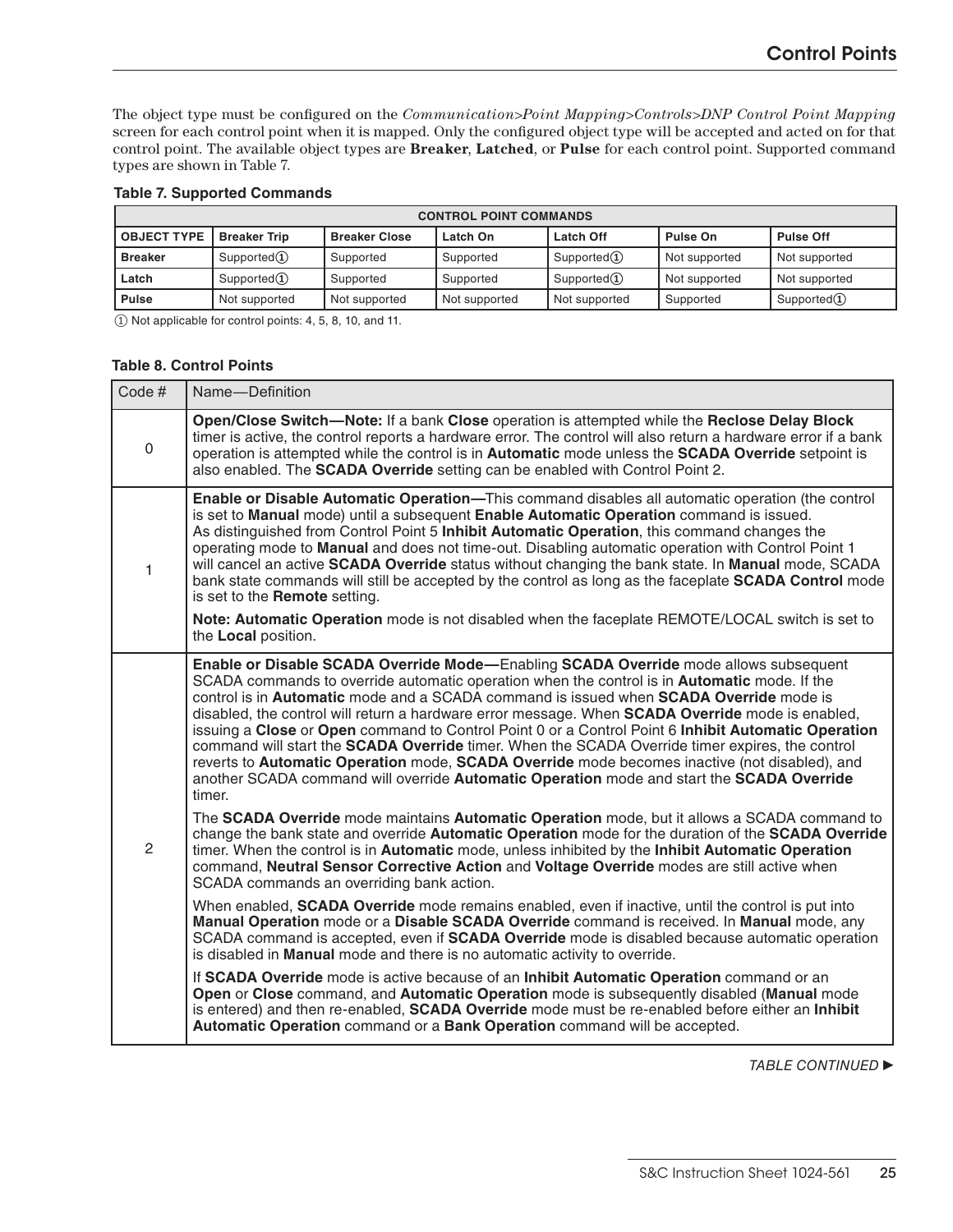The object type must be configured on the *Communication>Point Mapping>Controls>DNP Control Point Mapping*  screen for each control point when it is mapped. Only the configured object type will be accepted and acted on for that control point. The available object types are **Breaker**, **Latched**, or **Pulse** for each control point. Supported command types are shown in Table 7.

|  |  | <b>Table 7. Supported Commands</b> |
|--|--|------------------------------------|
|  |  |                                    |

| <b>CONTROL POINT COMMANDS</b> |                     |                      |               |                  |               |                  |
|-------------------------------|---------------------|----------------------|---------------|------------------|---------------|------------------|
| <b>OBJECT TYPE</b>            | <b>Breaker Trip</b> | <b>Breaker Close</b> | Latch On      | <b>Latch Off</b> | Pulse On      | <b>Pulse Off</b> |
| <b>Breaker</b>                | Supported $(I)$     | Supported            | Supported     | Supported(1)     | Not supported | Not supported    |
| Latch                         | Supported $(I)$     | Supported            | Supported     | Supported(1)     | Not supported | Not supported    |
| <b>Pulse</b>                  | Not supported       | Not supported        | Not supported | Not supported    | Supported     | Supported(1)     |

① Not applicable for control points: 4, 5, 8, 10, and 11.

#### **Table 8. Control Points**

| Code#          | Name-Definition                                                                                                                                                                                                                                                                                                                                                                                                                                                                                                                                                                                                                                                                                                                                                                                                                                                                                                                                                                                                                                                                                                                                                                                                                                                                                                                                                                                                                                                                                                                                                                                                                                                                                                                                                                                                                                                                                                                                                                                                                               |
|----------------|-----------------------------------------------------------------------------------------------------------------------------------------------------------------------------------------------------------------------------------------------------------------------------------------------------------------------------------------------------------------------------------------------------------------------------------------------------------------------------------------------------------------------------------------------------------------------------------------------------------------------------------------------------------------------------------------------------------------------------------------------------------------------------------------------------------------------------------------------------------------------------------------------------------------------------------------------------------------------------------------------------------------------------------------------------------------------------------------------------------------------------------------------------------------------------------------------------------------------------------------------------------------------------------------------------------------------------------------------------------------------------------------------------------------------------------------------------------------------------------------------------------------------------------------------------------------------------------------------------------------------------------------------------------------------------------------------------------------------------------------------------------------------------------------------------------------------------------------------------------------------------------------------------------------------------------------------------------------------------------------------------------------------------------------------|
| $\mathbf 0$    | Open/Close Switch-Note: If a bank Close operation is attempted while the Reclose Delay Block<br>timer is active, the control reports a hardware error. The control will also return a hardware error if a bank<br>operation is attempted while the control is in Automatic mode unless the SCADA Override setpoint is<br>also enabled. The <b>SCADA Override</b> setting can be enabled with Control Point 2.                                                                                                                                                                                                                                                                                                                                                                                                                                                                                                                                                                                                                                                                                                                                                                                                                                                                                                                                                                                                                                                                                                                                                                                                                                                                                                                                                                                                                                                                                                                                                                                                                                 |
| $\mathbf{1}$   | Enable or Disable Automatic Operation-This command disables all automatic operation (the control<br>is set to Manual mode) until a subsequent Enable Automatic Operation command is issued.<br>As distinguished from Control Point 5 Inhibit Automatic Operation, this command changes the<br>operating mode to Manual and does not time-out. Disabling automatic operation with Control Point 1<br>will cancel an active SCADA Override status without changing the bank state. In Manual mode, SCADA<br>bank state commands will still be accepted by the control as long as the faceplate <b>SCADA Control</b> mode<br>is set to the Remote setting.                                                                                                                                                                                                                                                                                                                                                                                                                                                                                                                                                                                                                                                                                                                                                                                                                                                                                                                                                                                                                                                                                                                                                                                                                                                                                                                                                                                       |
|                | Note: Automatic Operation mode is not disabled when the faceplate REMOTE/LOCAL switch is set to<br>the Local position.                                                                                                                                                                                                                                                                                                                                                                                                                                                                                                                                                                                                                                                                                                                                                                                                                                                                                                                                                                                                                                                                                                                                                                                                                                                                                                                                                                                                                                                                                                                                                                                                                                                                                                                                                                                                                                                                                                                        |
| $\overline{c}$ | Enable or Disable SCADA Override Mode-Enabling SCADA Override mode allows subsequent<br>SCADA commands to override automatic operation when the control is in <b>Automatic</b> mode. If the<br>control is in <b>Automatic</b> mode and a SCADA command is issued when <b>SCADA Override</b> mode is<br>disabled, the control will return a hardware error message. When SCADA Override mode is enabled,<br>issuing a Close or Open command to Control Point 0 or a Control Point 6 Inhibit Automatic Operation<br>command will start the SCADA Override timer. When the SCADA Override timer expires, the control<br>reverts to Automatic Operation mode, SCADA Override mode becomes inactive (not disabled), and<br>another SCADA command will override Automatic Operation mode and start the SCADA Override<br>timer.<br>The SCADA Override mode maintains Automatic Operation mode, but it allows a SCADA command to<br>change the bank state and override Automatic Operation mode for the duration of the SCADA Override<br>timer. When the control is in Automatic mode, unless inhibited by the Inhibit Automatic Operation<br>command, Neutral Sensor Corrective Action and Voltage Override modes are still active when<br>SCADA commands an overriding bank action.<br>When enabled, SCADA Override mode remains enabled, even if inactive, until the control is put into<br>Manual Operation mode or a Disable SCADA Override command is received. In Manual mode, any<br>SCADA command is accepted, even if SCADA Override mode is disabled because automatic operation<br>is disabled in Manual mode and there is no automatic activity to override.<br>If SCADA Override mode is active because of an Inhibit Automatic Operation command or an<br>Open or Close command, and Automatic Operation mode is subsequently disabled (Manual mode<br>is entered) and then re-enabled, SCADA Override mode must be re-enabled before either an Inhibit<br>Automatic Operation command or a Bank Operation command will be accepted. |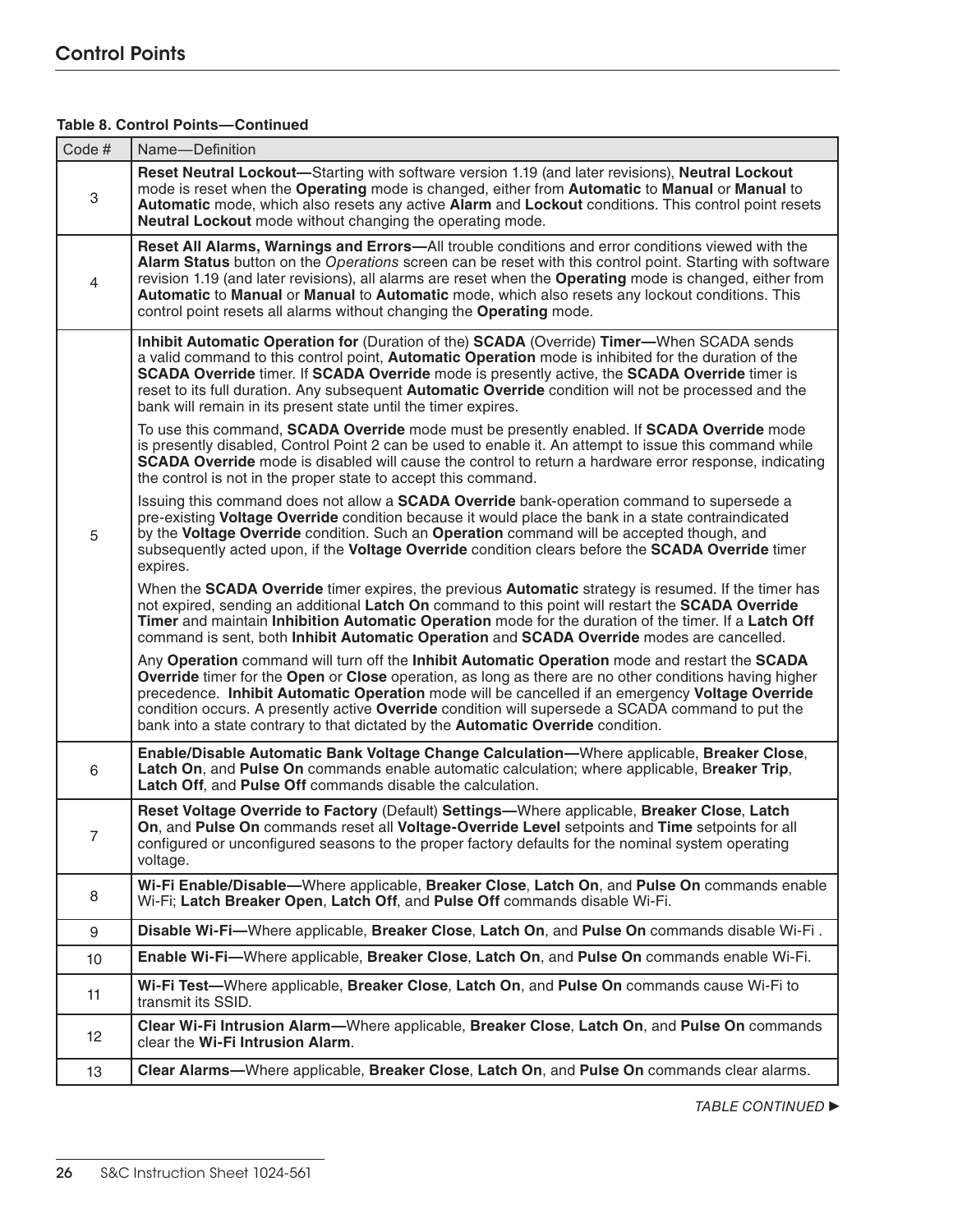## **Table 8. Control Points—Continued**

| Code #          | Name-Definition                                                                                                                                                                                                                                                                                                                                                                                                                                                                                        |  |  |  |  |
|-----------------|--------------------------------------------------------------------------------------------------------------------------------------------------------------------------------------------------------------------------------------------------------------------------------------------------------------------------------------------------------------------------------------------------------------------------------------------------------------------------------------------------------|--|--|--|--|
| 3               | Reset Neutral Lockout-Starting with software version 1.19 (and later revisions), Neutral Lockout<br>mode is reset when the Operating mode is changed, either from Automatic to Manual or Manual to<br>Automatic mode, which also resets any active Alarm and Lockout conditions. This control point resets<br>Neutral Lockout mode without changing the operating mode.                                                                                                                                |  |  |  |  |
| $\overline{4}$  | Reset All Alarms, Warnings and Errors—All trouble conditions and error conditions viewed with the<br>Alarm Status button on the Operations screen can be reset with this control point. Starting with software<br>revision 1.19 (and later revisions), all alarms are reset when the Operating mode is changed, either from<br>Automatic to Manual or Manual to Automatic mode, which also resets any lockout conditions. This<br>control point resets all alarms without changing the Operating mode. |  |  |  |  |
|                 | Inhibit Automatic Operation for (Duration of the) SCADA (Override) Timer—When SCADA sends<br>a valid command to this control point, Automatic Operation mode is inhibited for the duration of the<br>SCADA Override timer. If SCADA Override mode is presently active, the SCADA Override timer is<br>reset to its full duration. Any subsequent Automatic Override condition will not be processed and the<br>bank will remain in its present state until the timer expires.                          |  |  |  |  |
|                 | To use this command, SCADA Override mode must be presently enabled. If SCADA Override mode<br>is presently disabled, Control Point 2 can be used to enable it. An attempt to issue this command while<br><b>SCADA Override</b> mode is disabled will cause the control to return a hardware error response, indicating<br>the control is not in the proper state to accept this command.                                                                                                               |  |  |  |  |
| 5               | Issuing this command does not allow a <b>SCADA Override</b> bank-operation command to supersede a<br>pre-existing Voltage Override condition because it would place the bank in a state contraindicated<br>by the Voltage Override condition. Such an Operation command will be accepted though, and<br>subsequently acted upon, if the Voltage Override condition clears before the SCADA Override timer<br>expires.                                                                                  |  |  |  |  |
|                 | When the SCADA Override timer expires, the previous Automatic strategy is resumed. If the timer has<br>not expired, sending an additional Latch On command to this point will restart the SCADA Override<br>Timer and maintain Inhibition Automatic Operation mode for the duration of the timer. If a Latch Off<br>command is sent, both Inhibit Automatic Operation and SCADA Override modes are cancelled.                                                                                          |  |  |  |  |
|                 | Any Operation command will turn off the Inhibit Automatic Operation mode and restart the SCADA<br>Override timer for the Open or Close operation, as long as there are no other conditions having higher<br>precedence. Inhibit Automatic Operation mode will be cancelled if an emergency Voltage Override<br>condition occurs. A presently active Override condition will supersede a SCADA command to put the<br>bank into a state contrary to that dictated by the Automatic Override condition.   |  |  |  |  |
| 6               | Enable/Disable Automatic Bank Voltage Change Calculation—Where applicable, Breaker Close,<br>Latch On, and Pulse On commands enable automatic calculation; where applicable, Breaker Trip,<br>Latch Off, and Pulse Off commands disable the calculation.                                                                                                                                                                                                                                               |  |  |  |  |
| 7               | Reset Voltage Override to Factory (Default) Settings-Where applicable, Breaker Close, Latch<br>On, and Pulse On commands reset all Voltage-Override Level setpoints and Time setpoints for all<br>configured or unconfigured seasons to the proper factory defaults for the nominal system operating<br>voltage.                                                                                                                                                                                       |  |  |  |  |
| 8               | Wi-Fi Enable/Disable—Where applicable, Breaker Close, Latch On, and Pulse On commands enable<br>Wi-Fi; Latch Breaker Open, Latch Off, and Pulse Off commands disable Wi-Fi.                                                                                                                                                                                                                                                                                                                            |  |  |  |  |
| 9               | Disable Wi-Fi-Where applicable, Breaker Close, Latch On, and Pulse On commands disable Wi-Fi.                                                                                                                                                                                                                                                                                                                                                                                                          |  |  |  |  |
| 10 <sup>1</sup> | Enable Wi-Fi-Where applicable, Breaker Close, Latch On, and Pulse On commands enable Wi-Fi.                                                                                                                                                                                                                                                                                                                                                                                                            |  |  |  |  |
| 11              | Wi-Fi Test—Where applicable, Breaker Close, Latch On, and Pulse On commands cause Wi-Fi to<br>transmit its SSID.                                                                                                                                                                                                                                                                                                                                                                                       |  |  |  |  |
| 12              | Clear Wi-Fi Intrusion Alarm—Where applicable, Breaker Close, Latch On, and Pulse On commands<br>clear the Wi-Fi Intrusion Alarm.                                                                                                                                                                                                                                                                                                                                                                       |  |  |  |  |
| 13              | Clear Alarms—Where applicable, Breaker Close, Latch On, and Pulse On commands clear alarms.                                                                                                                                                                                                                                                                                                                                                                                                            |  |  |  |  |
|                 |                                                                                                                                                                                                                                                                                                                                                                                                                                                                                                        |  |  |  |  |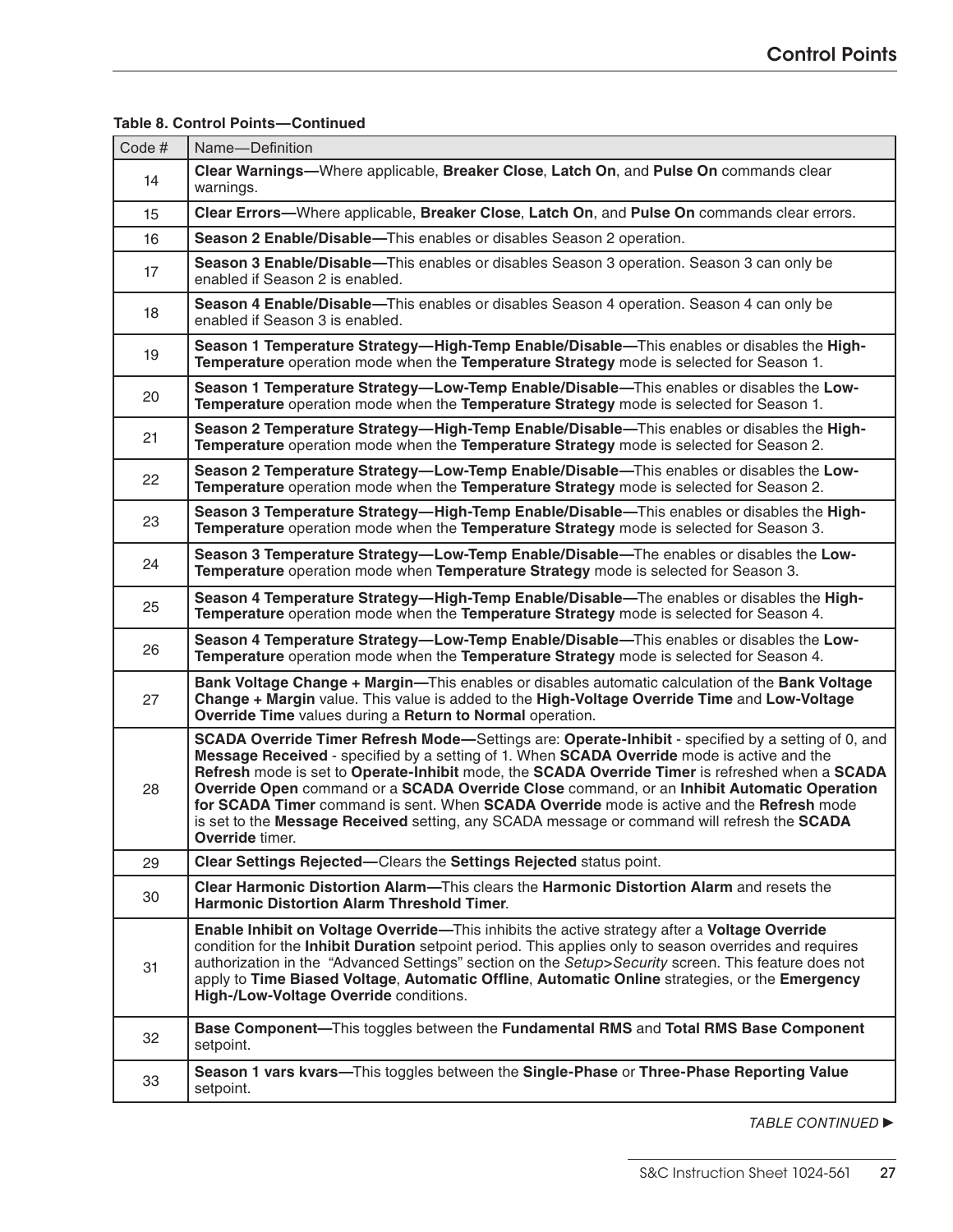| Code# | Name-Definition                                                                                                                                                                                                                                                                                                                                                                                                                                                                                                                                                                                                 |  |  |  |  |
|-------|-----------------------------------------------------------------------------------------------------------------------------------------------------------------------------------------------------------------------------------------------------------------------------------------------------------------------------------------------------------------------------------------------------------------------------------------------------------------------------------------------------------------------------------------------------------------------------------------------------------------|--|--|--|--|
| 14    | Clear Warnings—Where applicable, Breaker Close, Latch On, and Pulse On commands clear<br>warnings.                                                                                                                                                                                                                                                                                                                                                                                                                                                                                                              |  |  |  |  |
| 15    | Clear Errors—Where applicable, Breaker Close, Latch On, and Pulse On commands clear errors.                                                                                                                                                                                                                                                                                                                                                                                                                                                                                                                     |  |  |  |  |
| 16    | Season 2 Enable/Disable-This enables or disables Season 2 operation.                                                                                                                                                                                                                                                                                                                                                                                                                                                                                                                                            |  |  |  |  |
| 17    | Season 3 Enable/Disable—This enables or disables Season 3 operation. Season 3 can only be<br>enabled if Season 2 is enabled.                                                                                                                                                                                                                                                                                                                                                                                                                                                                                    |  |  |  |  |
| 18    | Season 4 Enable/Disable—This enables or disables Season 4 operation. Season 4 can only be<br>enabled if Season 3 is enabled.                                                                                                                                                                                                                                                                                                                                                                                                                                                                                    |  |  |  |  |
| 19    | Season 1 Temperature Strategy-High-Temp Enable/Disable-This enables or disables the High-<br>Temperature operation mode when the Temperature Strategy mode is selected for Season 1.                                                                                                                                                                                                                                                                                                                                                                                                                            |  |  |  |  |
| 20    | Season 1 Temperature Strategy-Low-Temp Enable/Disable-This enables or disables the Low-<br>Temperature operation mode when the Temperature Strategy mode is selected for Season 1.                                                                                                                                                                                                                                                                                                                                                                                                                              |  |  |  |  |
| 21    | Season 2 Temperature Strategy—High-Temp Enable/Disable—This enables or disables the High-<br>Temperature operation mode when the Temperature Strategy mode is selected for Season 2.                                                                                                                                                                                                                                                                                                                                                                                                                            |  |  |  |  |
| 22    | Season 2 Temperature Strategy-Low-Temp Enable/Disable-This enables or disables the Low-<br>Temperature operation mode when the Temperature Strategy mode is selected for Season 2.                                                                                                                                                                                                                                                                                                                                                                                                                              |  |  |  |  |
| 23    | Season 3 Temperature Strategy-High-Temp Enable/Disable-This enables or disables the High-<br>Temperature operation mode when the Temperature Strategy mode is selected for Season 3.                                                                                                                                                                                                                                                                                                                                                                                                                            |  |  |  |  |
| 24    | Season 3 Temperature Strategy-Low-Temp Enable/Disable-The enables or disables the Low-<br>Temperature operation mode when Temperature Strategy mode is selected for Season 3.                                                                                                                                                                                                                                                                                                                                                                                                                                   |  |  |  |  |
| 25    | Season 4 Temperature Strategy—High-Temp Enable/Disable—The enables or disables the High-<br>Temperature operation mode when the Temperature Strategy mode is selected for Season 4.                                                                                                                                                                                                                                                                                                                                                                                                                             |  |  |  |  |
| 26    | Season 4 Temperature Strategy—Low-Temp Enable/Disable—This enables or disables the Low-<br>Temperature operation mode when the Temperature Strategy mode is selected for Season 4.                                                                                                                                                                                                                                                                                                                                                                                                                              |  |  |  |  |
| 27    | Bank Voltage Change + Margin—This enables or disables automatic calculation of the Bank Voltage<br>Change + Margin value. This value is added to the High-Voltage Override Time and Low-Voltage<br>Override Time values during a Return to Normal operation.                                                                                                                                                                                                                                                                                                                                                    |  |  |  |  |
| 28    | SCADA Override Timer Refresh Mode-Settings are: Operate-Inhibit - specified by a setting of 0, and<br>Message Received - specified by a setting of 1. When SCADA Override mode is active and the<br>Refresh mode is set to Operate-Inhibit mode, the SCADA Override Timer is refreshed when a SCADA<br>Override Open command or a SCADA Override Close command, or an Inhibit Automatic Operation<br>for SCADA Timer command is sent. When SCADA Override mode is active and the Refresh mode<br>is set to the Message Received setting, any SCADA message or command will refresh the SCADA<br>Override timer. |  |  |  |  |
| 29    | Clear Settings Rejected-Clears the Settings Rejected status point.                                                                                                                                                                                                                                                                                                                                                                                                                                                                                                                                              |  |  |  |  |
| 30    | Clear Harmonic Distortion Alarm—This clears the Harmonic Distortion Alarm and resets the<br><b>Harmonic Distortion Alarm Threshold Timer.</b>                                                                                                                                                                                                                                                                                                                                                                                                                                                                   |  |  |  |  |
| 31    | Enable Inhibit on Voltage Override-This inhibits the active strategy after a Voltage Override<br>condition for the Inhibit Duration setpoint period. This applies only to season overrides and requires<br>authorization in the "Advanced Settings" section on the Setup>Security screen. This feature does not<br>apply to Time Biased Voltage, Automatic Offline, Automatic Online strategies, or the Emergency<br>High-/Low-Voltage Override conditions.                                                                                                                                                     |  |  |  |  |
| 32    | Base Component-This toggles between the Fundamental RMS and Total RMS Base Component<br>setpoint.                                                                                                                                                                                                                                                                                                                                                                                                                                                                                                               |  |  |  |  |
| 33    | Season 1 vars kvars—This toggles between the Single-Phase or Three-Phase Reporting Value<br>setpoint.                                                                                                                                                                                                                                                                                                                                                                                                                                                                                                           |  |  |  |  |

#### **Table 8. Control Points—Continued**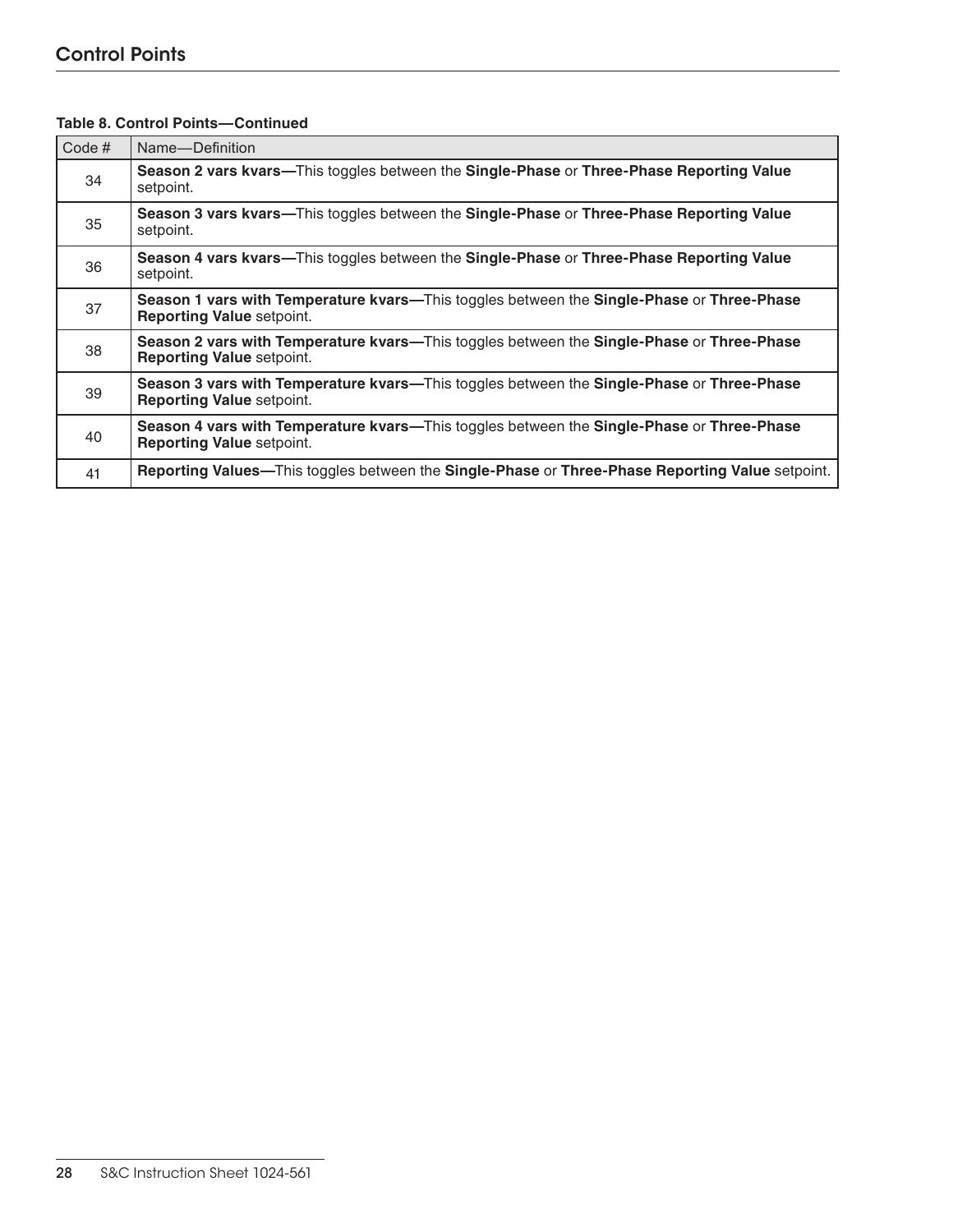## Control Points

| Code# | Name-Definition                                                                                                               |  |  |  |
|-------|-------------------------------------------------------------------------------------------------------------------------------|--|--|--|
| 34    | Season 2 vars kvars—This toggles between the Single-Phase or Three-Phase Reporting Value<br>setpoint.                         |  |  |  |
| 35    | Season 3 vars kvars—This toggles between the Single-Phase or Three-Phase Reporting Value<br>setpoint.                         |  |  |  |
| 36    | Season 4 vars kvars—This toggles between the Single-Phase or Three-Phase Reporting Value<br>setpoint.                         |  |  |  |
| 37    | Season 1 vars with Temperature kvars—This toggles between the Single-Phase or Three-Phase<br><b>Reporting Value setpoint.</b> |  |  |  |
| 38    | Season 2 vars with Temperature kvars—This toggles between the Single-Phase or Three-Phase<br><b>Reporting Value setpoint.</b> |  |  |  |
| 39    | Season 3 vars with Temperature kvars—This toggles between the Single-Phase or Three-Phase<br><b>Reporting Value setpoint.</b> |  |  |  |
| 40    | Season 4 vars with Temperature kvars—This toggles between the Single-Phase or Three-Phase<br><b>Reporting Value setpoint.</b> |  |  |  |
| 41    | Reporting Values—This toggles between the Single-Phase or Three-Phase Reporting Value setpoint.                               |  |  |  |

## **Table 8. Control Points—Continued**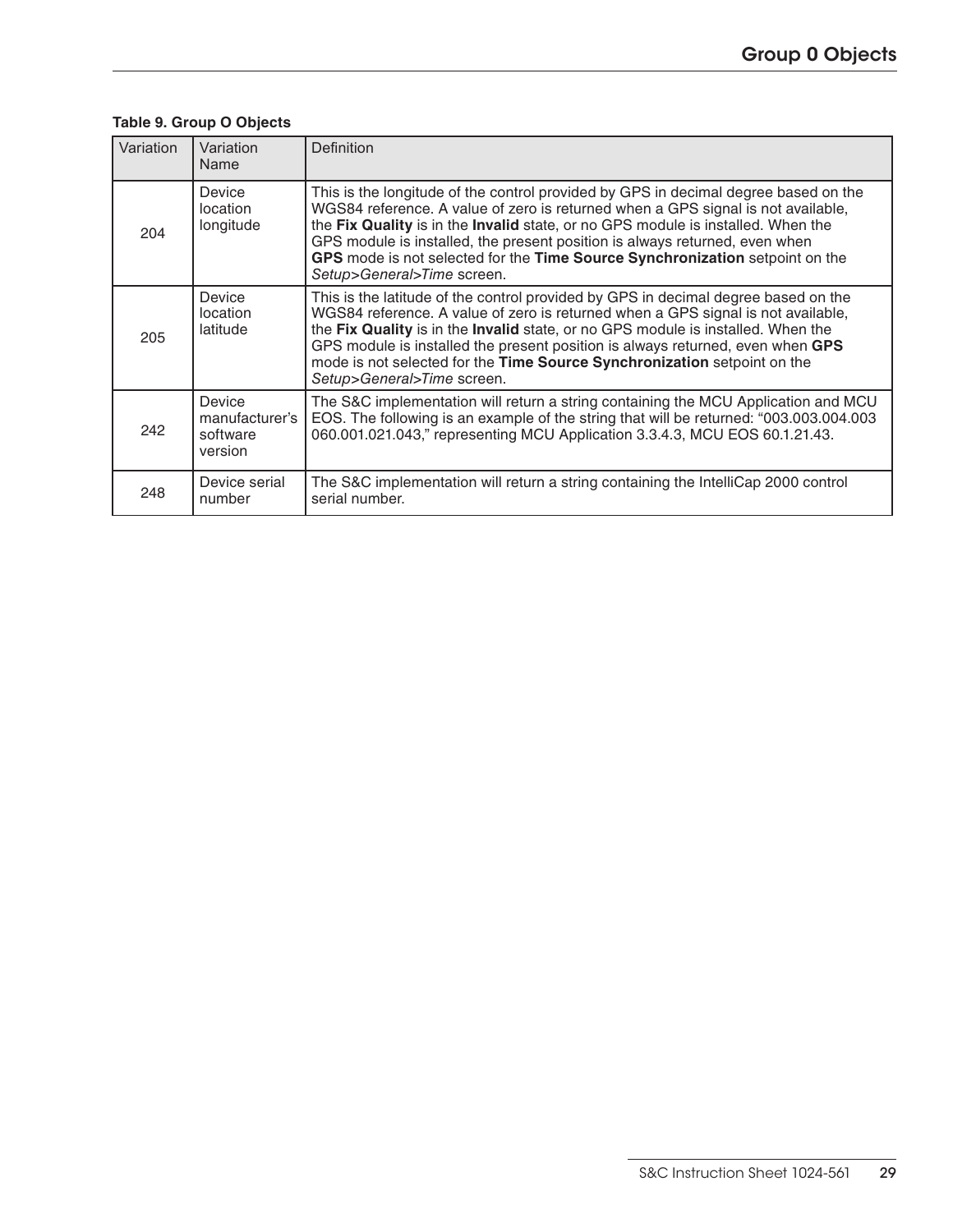## **Table 9. Group O Objects**

| Variation | Variation<br>Name                               | Definition                                                                                                                                                                                                                                                                                                                                                                                                                                               |
|-----------|-------------------------------------------------|----------------------------------------------------------------------------------------------------------------------------------------------------------------------------------------------------------------------------------------------------------------------------------------------------------------------------------------------------------------------------------------------------------------------------------------------------------|
| 204       | Device<br>location<br>longitude                 | This is the longitude of the control provided by GPS in decimal degree based on the<br>WGS84 reference. A value of zero is returned when a GPS signal is not available,<br>the Fix Quality is in the Invalid state, or no GPS module is installed. When the<br>GPS module is installed, the present position is always returned, even when<br>GPS mode is not selected for the Time Source Synchronization setpoint on the<br>Setup>General>Time screen. |
| 205       | Device<br>location<br>latitude                  | This is the latitude of the control provided by GPS in decimal degree based on the<br>WGS84 reference. A value of zero is returned when a GPS signal is not available,<br>the Fix Quality is in the Invalid state, or no GPS module is installed. When the<br>GPS module is installed the present position is always returned, even when GPS<br>mode is not selected for the Time Source Synchronization setpoint on the<br>Setup>General>Time screen.   |
| 242       | Device<br>manufacturer's<br>software<br>version | The S&C implementation will return a string containing the MCU Application and MCU<br>EOS. The following is an example of the string that will be returned: "003.003.004.003<br>060.001.021.043," representing MCU Application 3.3.4.3, MCU EOS 60.1.21.43.                                                                                                                                                                                              |
| 248       | Device serial<br>number                         | The S&C implementation will return a string containing the IntelliCap 2000 control<br>serial number.                                                                                                                                                                                                                                                                                                                                                     |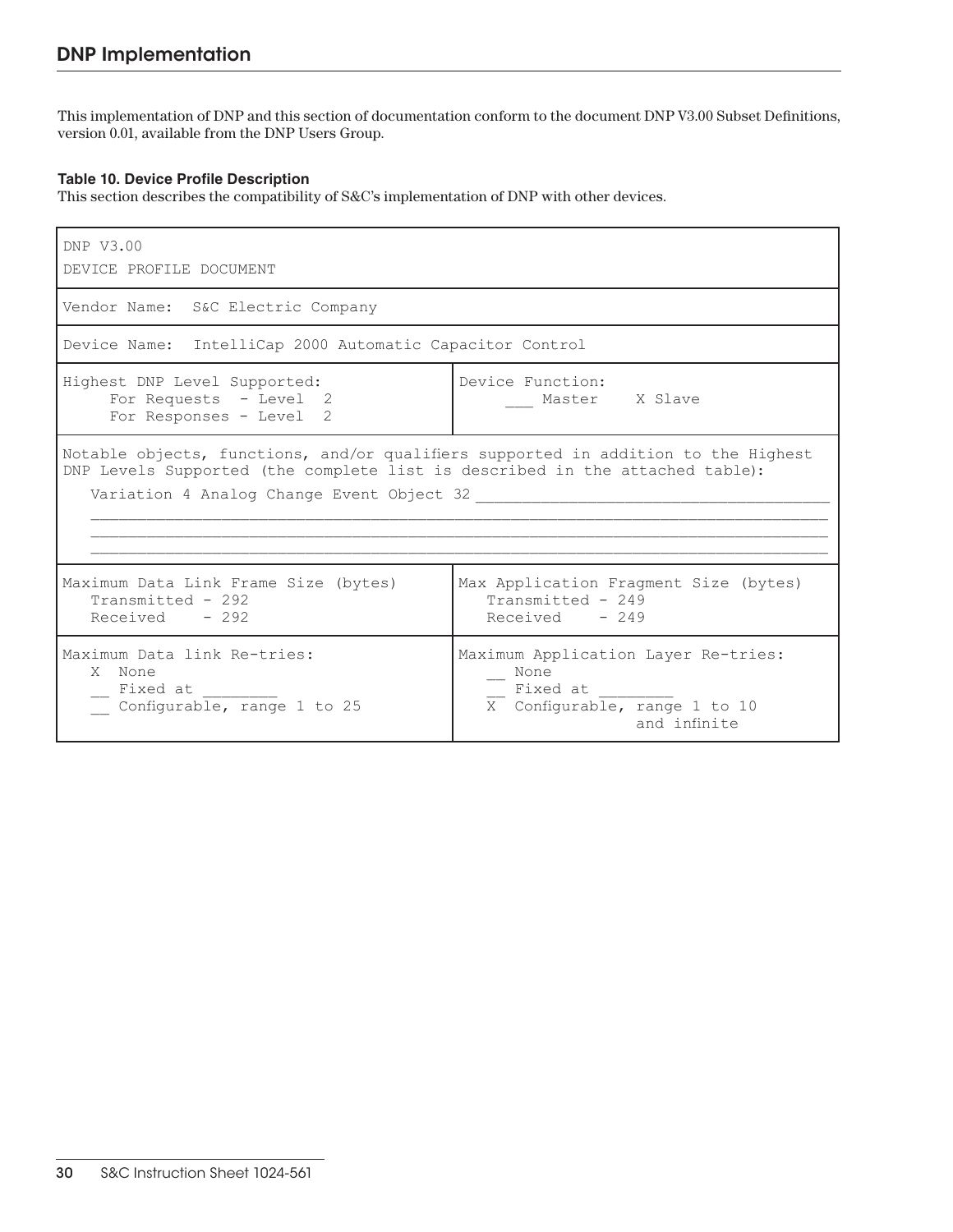This implementation of DNP and this section of documentation conform to the document DNP V3.00 Subset Definitions, version 0.01, available from the DNP Users Group.

#### **Table 10. Device Profile Description**

This section describes the compatibility of S&C's implementation of DNP with other devices.

| DNP V3.00<br>DEVICE PROFILE DOCUMENT                                                                                                                                                                            |                                                                                                          |  |  |
|-----------------------------------------------------------------------------------------------------------------------------------------------------------------------------------------------------------------|----------------------------------------------------------------------------------------------------------|--|--|
| Vendor Name: S&C Electric Company                                                                                                                                                                               |                                                                                                          |  |  |
| Device Name: IntelliCap 2000 Automatic Capacitor Control                                                                                                                                                        |                                                                                                          |  |  |
| Highest DNP Level Supported:<br>Device Function:<br>For Requests - Level 2<br>Master X Slave<br>For Responses - Level 2                                                                                         |                                                                                                          |  |  |
| Notable objects, functions, and/or qualifiers supported in addition to the Highest<br>DNP Levels Supported (the complete list is described in the attached table):<br>Variation 4 Analog Change Event Object 32 |                                                                                                          |  |  |
| Maximum Data Link Frame Size (bytes)<br>Transmitted - 292<br>$Received - 292$                                                                                                                                   | Max Application Fragment Size (bytes)<br>Transmitted - 249<br>$Received - 249$                           |  |  |
| Maximum Data link Re-tries:<br>X None<br>Fixed at<br>Configurable, range 1 to 25                                                                                                                                | Maximum Application Layer Re-tries:<br>None<br>Fixed at<br>X Configurable, range 1 to 10<br>and infinite |  |  |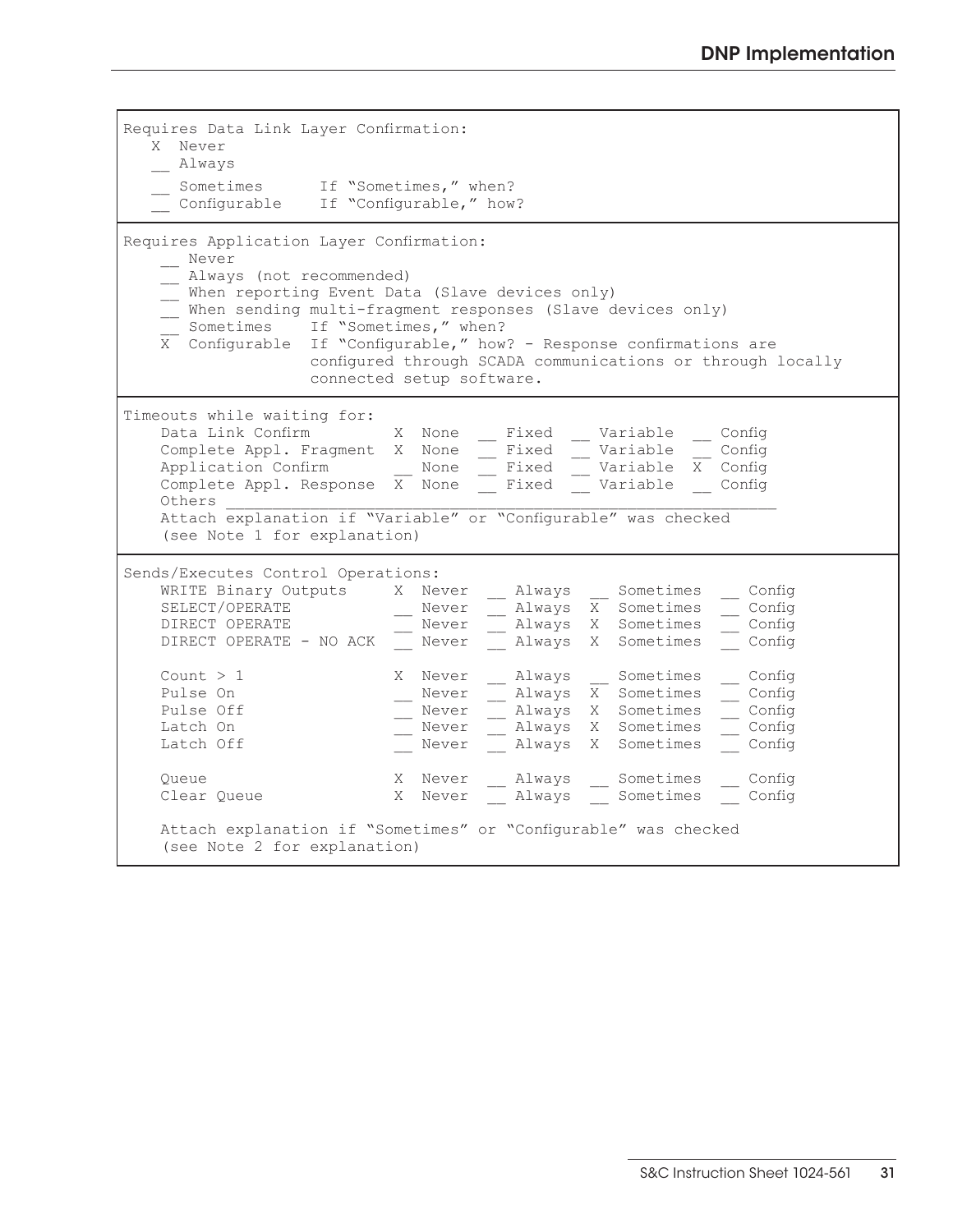| Requires Data Link Layer Confirmation:<br>X Never<br>Always<br>Sometimes If "Sometimes," when?<br>Configurable If "Configurable," how?                                                                                                                                                                                                                                                                                                                                                                                                                                                                                                                                                                                                                                                                        |
|---------------------------------------------------------------------------------------------------------------------------------------------------------------------------------------------------------------------------------------------------------------------------------------------------------------------------------------------------------------------------------------------------------------------------------------------------------------------------------------------------------------------------------------------------------------------------------------------------------------------------------------------------------------------------------------------------------------------------------------------------------------------------------------------------------------|
| Requires Application Layer Confirmation:<br>Never<br>Always (not recommended)<br>When reporting Event Data (Slave devices only)<br>When sending multi-fragment responses (Slave devices only)<br>Sometimes If "Sometimes," when?<br>X Configurable If "Configurable," how? - Response confirmations are<br>configured through SCADA communications or through locally<br>connected setup software.                                                                                                                                                                                                                                                                                                                                                                                                            |
| Timeouts while waiting for:<br>Data Link Confirm X None<br>Fixed<br>Variable<br>Config<br>$-$ Fixed<br>Variable<br>Complete Appl. Fragment X None<br>Config<br>Application Confirm  None __ Fixed __ Variable X Config<br>Complete Appl. Response $\overline{X}$ None<br>Fixed Variable<br>Config<br>Others<br>Attach explanation if "Variable" or "Configurable" was checked<br>(see Note 1 for explanation)                                                                                                                                                                                                                                                                                                                                                                                                 |
| Sends/Executes Control Operations:<br>WRITE Binary Outputs X Never<br>Always Sometimes<br>Config<br>SELECT/OPERATE<br>$\overline{X}$ Sometimes<br>Never<br>__ Config<br>Always X Sometimes<br>DIRECT OPERATE<br>Never<br>$\_$ Config<br>Always X Sometimes<br>DIRECT OPERATE - NO ACK<br>Config<br>Never<br>Count $>1$<br>X Never<br>__ Always __ Sometimes<br>Config<br>Pulse On<br>Always X Sometimes<br>Config<br>Never<br>- Always X Sometimes<br>$\equiv$ Config<br>Pulse Off<br>Never<br>Always X Sometimes<br>Latch On<br>Never<br>$\overline{\phantom{0}}$ Config<br>Always X Sometimes<br>Latch Off<br>Config<br>Never<br>X Never _ Always _ Sometimes<br>Config<br>Queue<br>X Never<br>Always Sometimes<br>Config<br>Clear Queue<br>Attach explanation if "Sometimes" or "Configurable" was checked |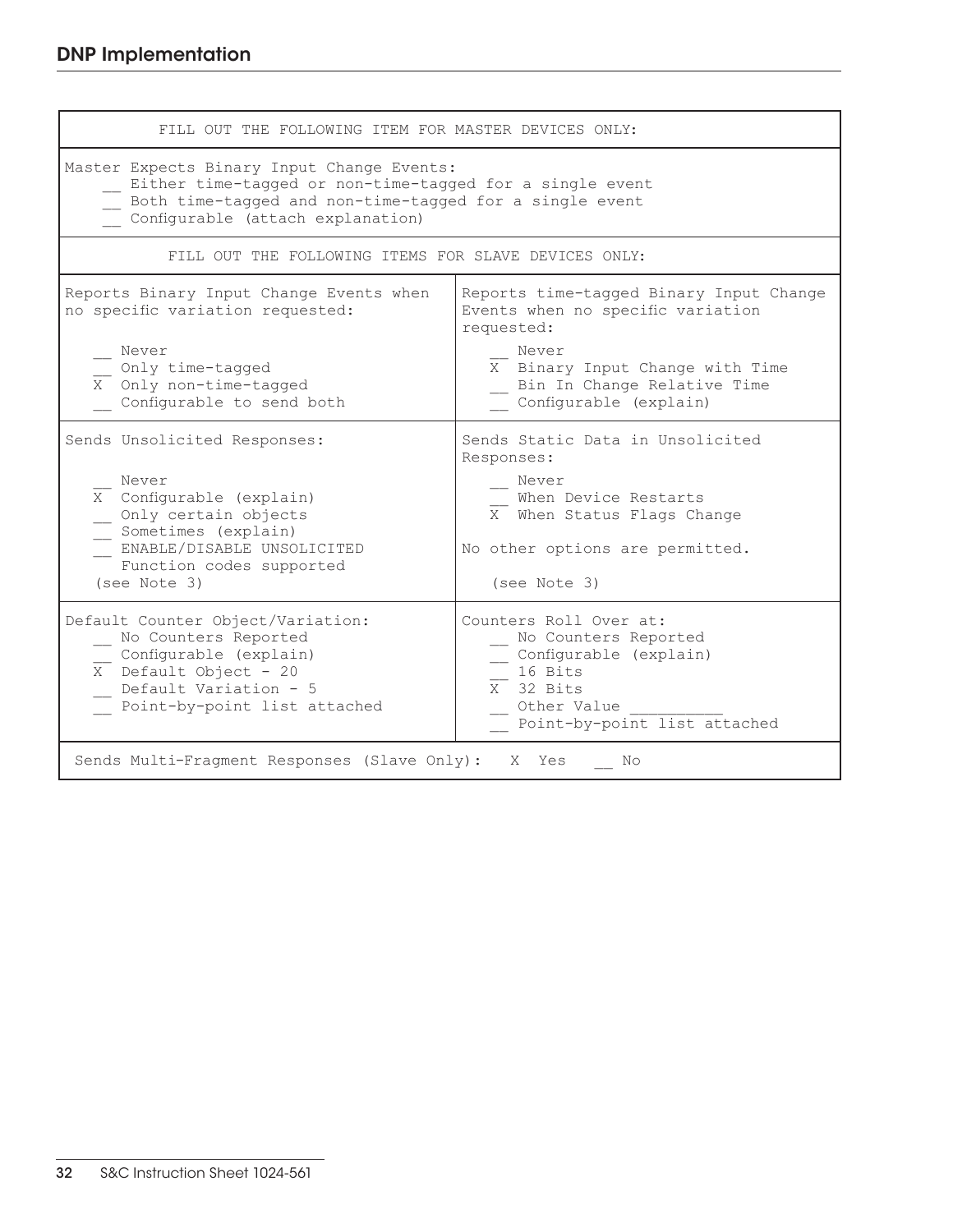| FILL OUT THE FOLLOWING ITEM FOR MASTER DEVICES ONLY:                                                                                                                                                   |                                                                                                                                                                  |  |  |  |  |  |  |
|--------------------------------------------------------------------------------------------------------------------------------------------------------------------------------------------------------|------------------------------------------------------------------------------------------------------------------------------------------------------------------|--|--|--|--|--|--|
| Master Expects Binary Input Change Events:<br>Either time-tagged or non-time-tagged for a single event<br>Both time-tagged and non-time-tagged for a single event<br>Configurable (attach explanation) |                                                                                                                                                                  |  |  |  |  |  |  |
| FILL OUT THE FOLLOWING ITEMS FOR SLAVE DEVICES ONLY:                                                                                                                                                   |                                                                                                                                                                  |  |  |  |  |  |  |
| Reports Binary Input Change Events when<br>no specific variation requested:                                                                                                                            | Reports time-tagged Binary Input Change<br>Events when no specific variation<br>requested:                                                                       |  |  |  |  |  |  |
| Never<br>Only time-tagged<br>$\overline{X}$ Only non-time-tagged<br>Configurable to send both                                                                                                          | Never<br>X Binary Input Change with Time<br>Bin In Change Relative Time<br>Configurable (explain)                                                                |  |  |  |  |  |  |
| Sends Unsolicited Responses:<br>Never<br>X Configurable (explain)<br>Only certain objects<br>Sometimes (explain)<br>ENABLE/DISABLE UNSOLICITED<br>Function codes supported<br>(see Note 3)             | Sends Static Data in Unsolicited<br>Responses:<br>Never<br>When Device Restarts<br>X When Status Flags Change<br>No other options are permitted.<br>(see Note 3) |  |  |  |  |  |  |
| Default Counter Object/Variation:<br>No Counters Reported<br>Configurable (explain)<br>$\overline{X}$ Default Object - 20<br>Default Variation - 5<br>Point-by-point list attached                     | Counters Roll Over at:<br>No Counters Reported<br>Configurable (explain)<br>16 Bits<br>X 32 Bits<br>Other Value<br>Point-by-point list attached                  |  |  |  |  |  |  |
| Sends Multi-Fragment Responses (Slave Only): X Yes<br>No                                                                                                                                               |                                                                                                                                                                  |  |  |  |  |  |  |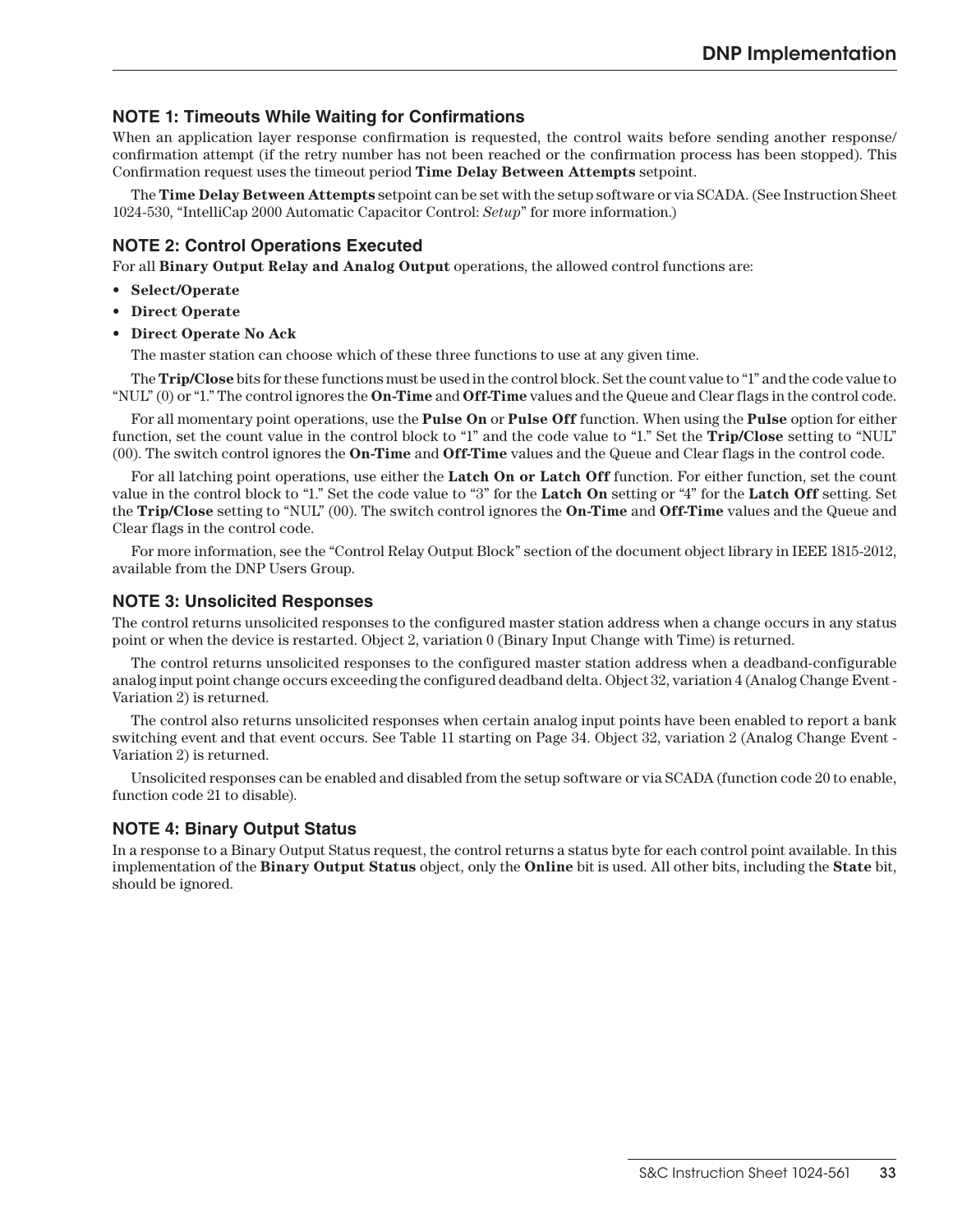## **NOTE 1: Timeouts While Waiting for Confirmations**

When an application layer response confirmation is requested, the control waits before sending another response/ confirmation attempt (if the retry number has not been reached or the confirmation process has been stopped). This Confirmation request uses the timeout period **Time Delay Between Attempts** setpoint.

The **Time Delay Between Attempts** setpoint can be set with the setup software or via SCADA. (See Instruction Sheet 1024-530, "IntelliCap 2000 Automatic Capacitor Control: *Setup*" for more information.)

## **NOTE 2: Control Operations Executed**

For all **Binary Output Relay and Analog Output** operations, the allowed control functions are:

- **• Select/Operate**
- **• Direct Operate**
- **• Direct Operate No Ack**

The master station can choose which of these three functions to use at any given time.

The **Trip/Close** bits for these functions must be used in the control block. Set the count value to "1" and the code value to "NUL" (0) or "1." The control ignores the **On-Time** and **Off-Time** values and the Queue and Clear flags in the control code.

For all momentary point operations, use the **Pulse On** or **Pulse Off** function. When using the **Pulse** option for either function, set the count value in the control block to "1" and the code value to "1." Set the **Trip/Close** setting to "NUL" (00). The switch control ignores the **On-Time** and **Off-Time** values and the Queue and Clear flags in the control code.

For all latching point operations, use either the **Latch On or Latch Off** function. For either function, set the count value in the control block to "1." Set the code value to "3" for the **Latch On** setting or "4" for the **Latch Off** setting. Set the **Trip/Close** setting to "NUL" (00). The switch control ignores the **On-Time** and **Off-Time** values and the Queue and Clear flags in the control code.

For more information, see the "Control Relay Output Block" section of the document object library in IEEE 1815-2012, available from the DNP Users Group.

#### **NOTE 3: Unsolicited Responses**

The control returns unsolicited responses to the configured master station address when a change occurs in any status point or when the device is restarted. Object 2, variation 0 (Binary Input Change with Time) is returned.

The control returns unsolicited responses to the configured master station address when a deadband-configurable analog input point change occurs exceeding the configured deadband delta. Object 32, variation 4 (Analog Change Event - Variation 2) is returned.

The control also returns unsolicited responses when certain analog input points have been enabled to report a bank switching event and that event occurs. See Table 11 starting on Page 34. Object 32, variation 2 (Analog Change Event - Variation 2) is returned.

Unsolicited responses can be enabled and disabled from the setup software or via SCADA (function code 20 to enable, function code 21 to disable).

## **NOTE 4: Binary Output Status**

In a response to a Binary Output Status request, the control returns a status byte for each control point available. In this implementation of the **Binary Output Status** object, only the **Online** bit is used. All other bits, including the **State** bit, should be ignored.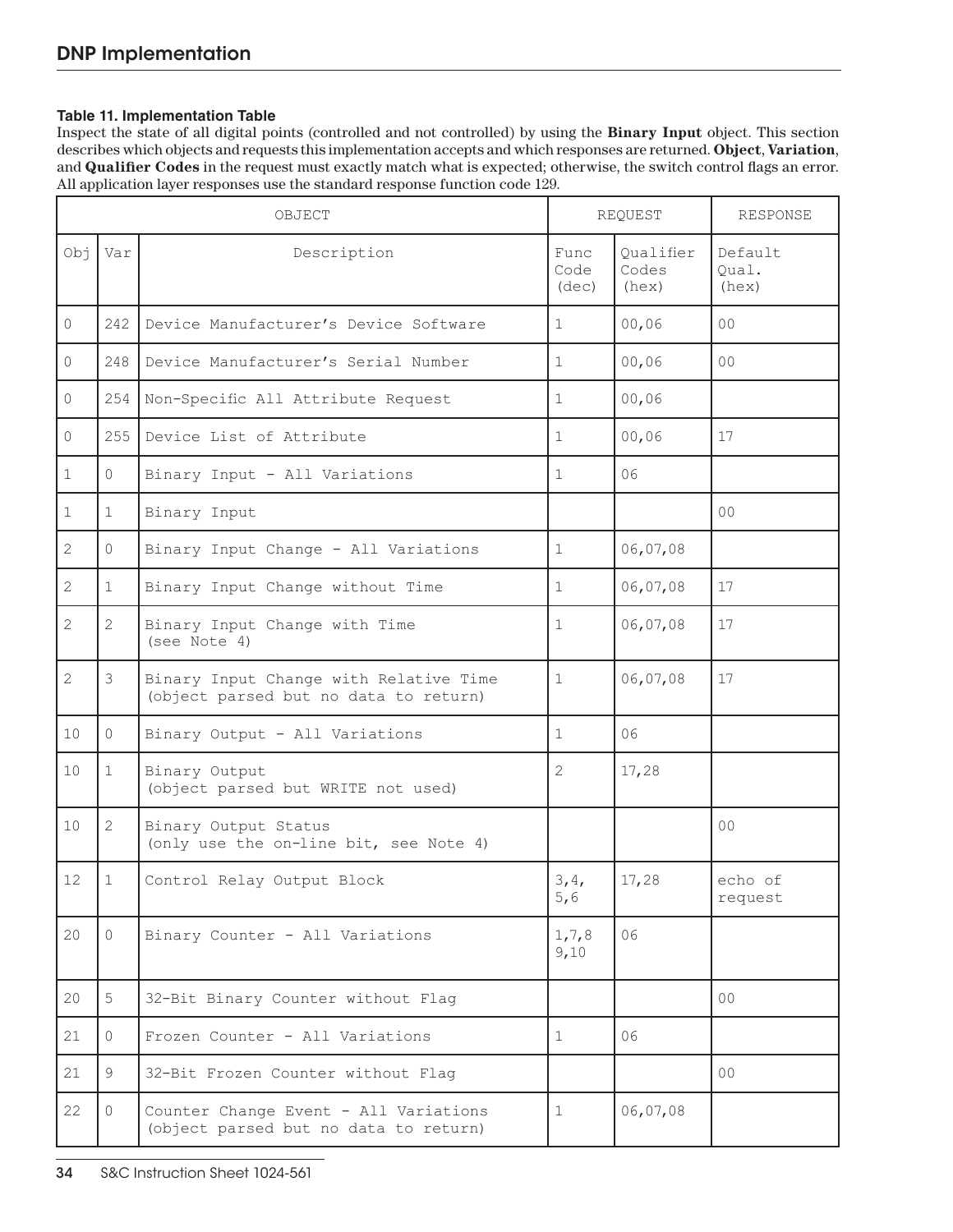#### **Table 11. Implementation Table**

Inspect the state of all digital points (controlled and not controlled) by using the **Binary Input** object. This section describes which objects and requests this implementation accepts and which responses are returned. **Object**, **Variation**, and **Qualifier Codes** in the request must exactly match what is expected; otherwise, the switch control flags an error. All application layer responses use the standard response function code 129.

|          | OBJECT         |                                                                                 | REQUEST               |                             | RESPONSE                  |
|----------|----------------|---------------------------------------------------------------------------------|-----------------------|-----------------------------|---------------------------|
| ŕdO      | Var            | Description                                                                     | Func<br>Code<br>(dec) | Oualifier<br>Codes<br>(hex) | Default<br>Qual.<br>(hex) |
| 0        | 242            | Device Manufacturer's Device Software                                           | $\mathbf{1}$          | 00,06                       | 00                        |
| $\Omega$ | 248            | Device Manufacturer's Serial Number                                             | $\mathbf 1$           | 00,06                       | 0 <sup>0</sup>            |
| $\Omega$ | 254            | Non-Specific All Attribute Request                                              | $\mathbf 1$           | 00,06                       |                           |
| $\Omega$ | 255            | Device List of Attribute                                                        | $\mathbf 1$           | 00,06                       | 17                        |
| 1        | $\Omega$       | Binary Input - All Variations                                                   | $\mathbf 1$           | 06                          |                           |
| 1        | $\mathbf 1$    | Binary Input                                                                    |                       |                             | 0 <sup>0</sup>            |
| 2        | $\Omega$       | Binary Input Change - All Variations                                            | $\mathbf{1}$          | 06,07,08                    |                           |
| 2        | $\mathbf 1$    | Binary Input Change without Time                                                | $\mathbf 1$           | 06,07,08                    | 17                        |
| 2        | 2              | Binary Input Change with Time<br>(see Note 4)                                   | 1                     | 06,07,08                    | 17                        |
| 2        | 3              | Binary Input Change with Relative Time<br>(object parsed but no data to return) | 1                     | 06,07,08                    | 17                        |
| 10       | $\Omega$       | Binary Output - All Variations                                                  | $\mathbf 1$           | 06                          |                           |
| 10       | 1              | Binary Output<br>(object parsed but WRITE not used)                             | 2                     | 17,28                       |                           |
| 10       | $\overline{2}$ | Binary Output Status<br>(only use the on-line bit, see Note 4)                  |                       |                             | 0 <sub>0</sub>            |
| 12       | 1              | Control Relay Output Block                                                      | 3,4,<br>5,6           | 17,28                       | echo of<br>request        |
| 20       | $\Omega$       | Binary Counter - All Variations                                                 | 1, 7, 8<br>9,10       | 06                          |                           |
| 20       | 5              | 32-Bit Binary Counter without Flag                                              |                       |                             | 00 <sup>o</sup>           |
| 21       | $\Omega$       | Frozen Counter - All Variations                                                 | 1                     | 06                          |                           |
| 21       | 9              | 32-Bit Frozen Counter without Flag                                              |                       |                             | 00 <sup>o</sup>           |
| 22       | $\Omega$       | Counter Change Event - All Variations<br>(object parsed but no data to return)  | 1                     | 06,07,08                    |                           |